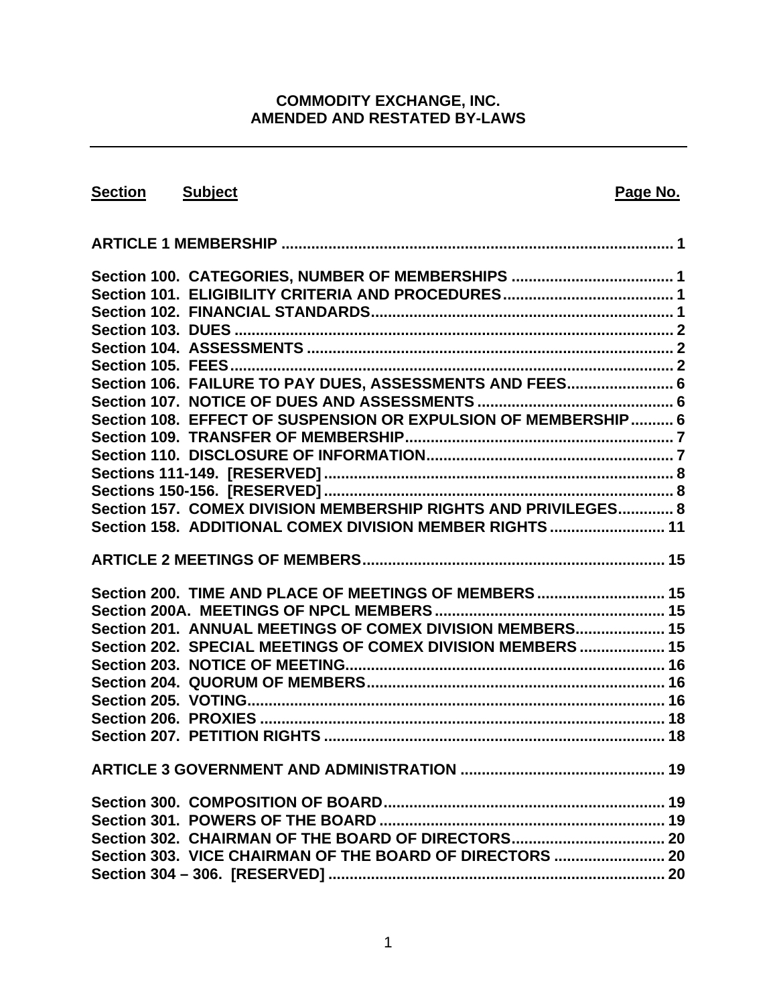### **COMMODITY EXCHANGE, INC. AMENDED AND RESTATED BY-LAWS**

| Section Subject |                                                                | Page No. |
|-----------------|----------------------------------------------------------------|----------|
|                 |                                                                |          |
|                 |                                                                |          |
|                 | Section 100. CATEGORIES, NUMBER OF MEMBERSHIPS  1              |          |
|                 |                                                                |          |
|                 |                                                                |          |
|                 |                                                                |          |
|                 |                                                                |          |
|                 |                                                                |          |
|                 | Section 106. FAILURE TO PAY DUES, ASSESSMENTS AND FEES 6       |          |
|                 |                                                                |          |
|                 | Section 108. EFFECT OF SUSPENSION OR EXPULSION OF MEMBERSHIP 6 |          |
|                 |                                                                |          |
|                 |                                                                |          |
|                 |                                                                |          |
|                 |                                                                |          |
|                 | Section 157. COMEX DIVISION MEMBERSHIP RIGHTS AND PRIVILEGES 8 |          |
|                 | Section 158. ADDITIONAL COMEX DIVISION MEMBER RIGHTS  11       |          |
|                 |                                                                |          |
|                 | Section 200. TIME AND PLACE OF MEETINGS OF MEMBERS 15          |          |
|                 |                                                                |          |
|                 | Section 201. ANNUAL MEETINGS OF COMEX DIVISION MEMBERS 15      |          |
|                 | Section 202. SPECIAL MEETINGS OF COMEX DIVISION MEMBERS  15    |          |
|                 |                                                                |          |
|                 |                                                                |          |
|                 |                                                                |          |
|                 |                                                                |          |
|                 |                                                                |          |
|                 |                                                                |          |
|                 |                                                                |          |
|                 |                                                                |          |
|                 |                                                                |          |
|                 | Section 303. VICE CHAIRMAN OF THE BOARD OF DIRECTORS  20       |          |
|                 |                                                                |          |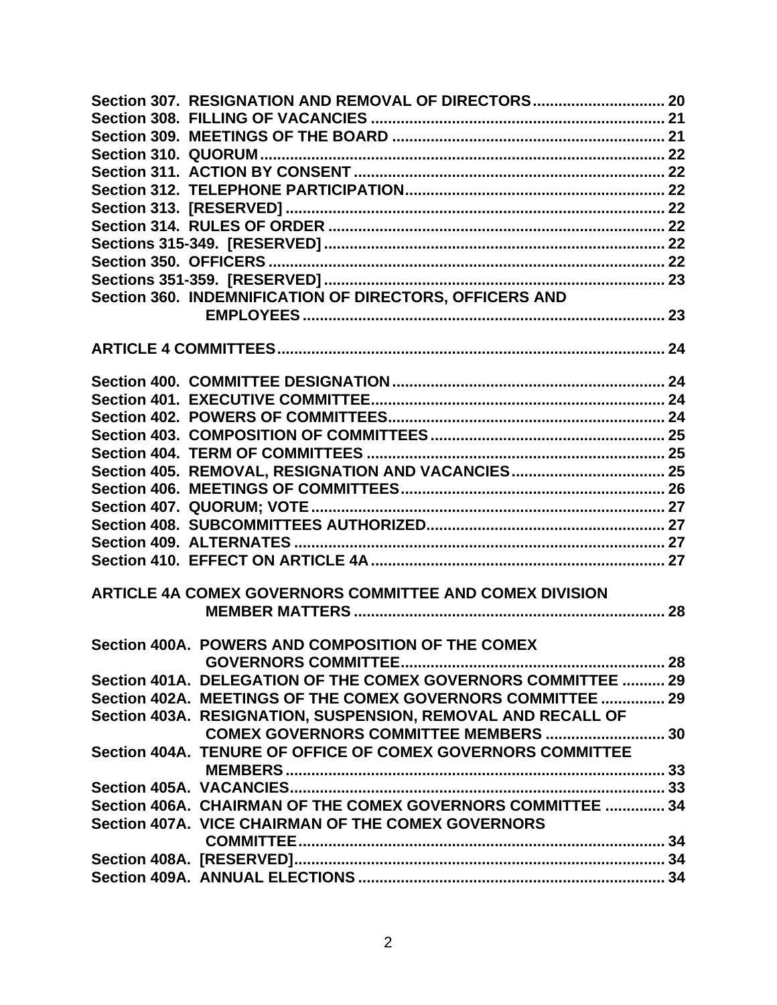| Section 307. RESIGNATION AND REMOVAL OF DIRECTORS 20          |  |
|---------------------------------------------------------------|--|
|                                                               |  |
|                                                               |  |
|                                                               |  |
|                                                               |  |
|                                                               |  |
|                                                               |  |
|                                                               |  |
|                                                               |  |
|                                                               |  |
|                                                               |  |
| Section 360. INDEMNIFICATION OF DIRECTORS, OFFICERS AND       |  |
|                                                               |  |
|                                                               |  |
|                                                               |  |
|                                                               |  |
|                                                               |  |
|                                                               |  |
|                                                               |  |
|                                                               |  |
| Section 405. REMOVAL, RESIGNATION AND VACANCIES 25            |  |
|                                                               |  |
|                                                               |  |
|                                                               |  |
|                                                               |  |
|                                                               |  |
|                                                               |  |
| ARTICLE 4A COMEX GOVERNORS COMMITTEE AND COMEX DIVISION       |  |
|                                                               |  |
|                                                               |  |
| Section 400A. POWERS AND COMPOSITION OF THE COMEX             |  |
|                                                               |  |
| Section 401A. DELEGATION OF THE COMEX GOVERNORS COMMITTEE  29 |  |
| Section 402A. MEETINGS OF THE COMEX GOVERNORS COMMITTEE  29   |  |
| Section 403A. RESIGNATION, SUSPENSION, REMOVAL AND RECALL OF  |  |
| COMEX GOVERNORS COMMITTEE MEMBERS  30                         |  |
| Section 404A. TENURE OF OFFICE OF COMEX GOVERNORS COMMITTEE   |  |
|                                                               |  |
|                                                               |  |
| Section 406A. CHAIRMAN OF THE COMEX GOVERNORS COMMITTEE  34   |  |
| Section 407A. VICE CHAIRMAN OF THE COMEX GOVERNORS            |  |
|                                                               |  |
|                                                               |  |
|                                                               |  |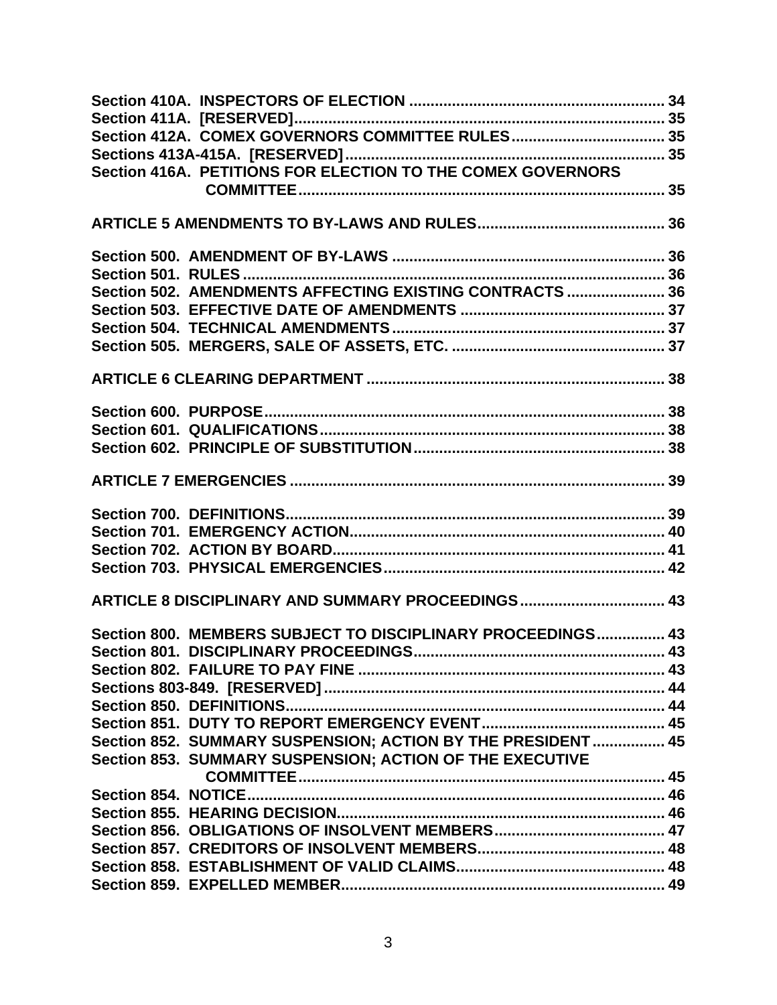| Section 416A. PETITIONS FOR ELECTION TO THE COMEX GOVERNORS  |  |
|--------------------------------------------------------------|--|
|                                                              |  |
|                                                              |  |
|                                                              |  |
|                                                              |  |
|                                                              |  |
|                                                              |  |
| Section 502. AMENDMENTS AFFECTING EXISTING CONTRACTS  36     |  |
|                                                              |  |
|                                                              |  |
|                                                              |  |
|                                                              |  |
|                                                              |  |
|                                                              |  |
|                                                              |  |
|                                                              |  |
|                                                              |  |
|                                                              |  |
|                                                              |  |
|                                                              |  |
|                                                              |  |
|                                                              |  |
|                                                              |  |
|                                                              |  |
| ARTICLE 8 DISCIPLINARY AND SUMMARY PROCEEDINGS 43            |  |
|                                                              |  |
| Section 800. MEMBERS SUBJECT TO DISCIPLINARY PROCEEDINGS 43  |  |
|                                                              |  |
|                                                              |  |
|                                                              |  |
|                                                              |  |
|                                                              |  |
| Section 852. SUMMARY SUSPENSION; ACTION BY THE PRESIDENT  45 |  |
| Section 853. SUMMARY SUSPENSION; ACTION OF THE EXECUTIVE     |  |
|                                                              |  |
|                                                              |  |
|                                                              |  |
|                                                              |  |
|                                                              |  |
|                                                              |  |
|                                                              |  |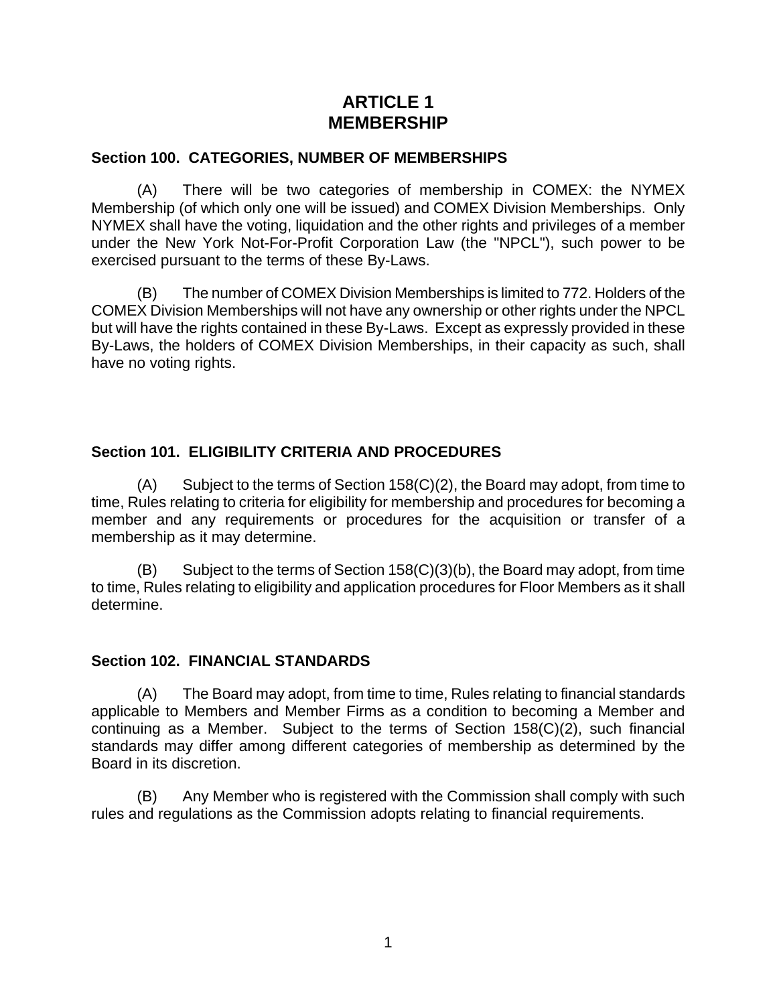# **ARTICLE 1 MEMBERSHIP**

#### <span id="page-5-0"></span>**Section 100. CATEGORIES, NUMBER OF MEMBERSHIPS**

(A) There will be two categories of membership in COMEX: the NYMEX Membership (of which only one will be issued) and COMEX Division Memberships. Only NYMEX shall have the voting, liquidation and the other rights and privileges of a member under the New York Not-For-Profit Corporation Law (the "NPCL"), such power to be exercised pursuant to the terms of these By-Laws.

(B) The number of COMEX Division Memberships is limited to 772. Holders of the COMEX Division Memberships will not have any ownership or other rights under the NPCL but will have the rights contained in these By-Laws. Except as expressly provided in these By-Laws, the holders of COMEX Division Memberships, in their capacity as such, shall have no voting rights.

### **Section 101. ELIGIBILITY CRITERIA AND PROCEDURES**

(A) Subject to the terms of Section 158(C)(2), the Board may adopt, from time to time, Rules relating to criteria for eligibility for membership and procedures for becoming a member and any requirements or procedures for the acquisition or transfer of a membership as it may determine.

(B) Subject to the terms of Section 158(C)(3)(b), the Board may adopt, from time to time, Rules relating to eligibility and application procedures for Floor Members as it shall determine.

### **Section 102. FINANCIAL STANDARDS**

(A) The Board may adopt, from time to time, Rules relating to financial standards applicable to Members and Member Firms as a condition to becoming a Member and continuing as a Member. Subject to the terms of Section 158(C)(2), such financial standards may differ among different categories of membership as determined by the Board in its discretion.

(B) Any Member who is registered with the Commission shall comply with such rules and regulations as the Commission adopts relating to financial requirements.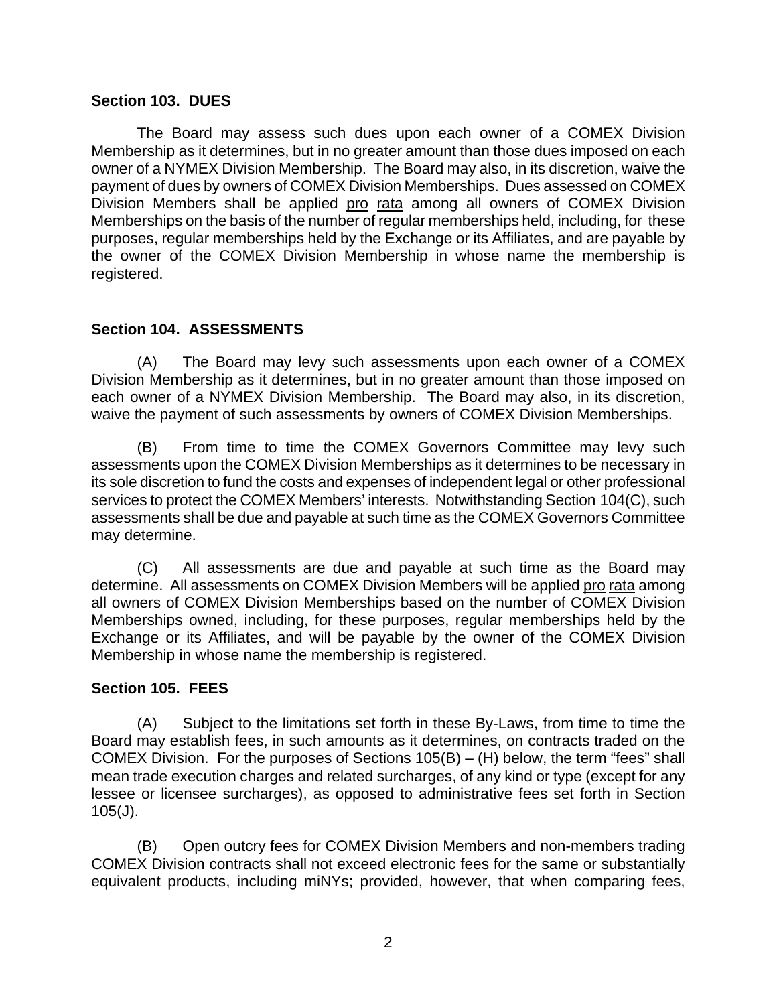#### <span id="page-6-0"></span>**Section 103. DUES**

The Board may assess such dues upon each owner of a COMEX Division Membership as it determines, but in no greater amount than those dues imposed on each owner of a NYMEX Division Membership. The Board may also, in its discretion, waive the payment of dues by owners of COMEX Division Memberships. Dues assessed on COMEX Division Members shall be applied pro rata among all owners of COMEX Division Memberships on the basis of the number of regular memberships held, including, for these purposes, regular memberships held by the Exchange or its Affiliates, and are payable by the owner of the COMEX Division Membership in whose name the membership is registered.

### **Section 104. ASSESSMENTS**

(A) The Board may levy such assessments upon each owner of a COMEX Division Membership as it determines, but in no greater amount than those imposed on each owner of a NYMEX Division Membership. The Board may also, in its discretion, waive the payment of such assessments by owners of COMEX Division Memberships.

(B) From time to time the COMEX Governors Committee may levy such assessments upon the COMEX Division Memberships as it determines to be necessary in its sole discretion to fund the costs and expenses of independent legal or other professional services to protect the COMEX Members' interests. Notwithstanding Section 104(C), such assessments shall be due and payable at such time as the COMEX Governors Committee may determine.

(C) All assessments are due and payable at such time as the Board may determine. All assessments on COMEX Division Members will be applied pro rata among all owners of COMEX Division Memberships based on the number of COMEX Division Memberships owned, including, for these purposes, regular memberships held by the Exchange or its Affiliates, and will be payable by the owner of the COMEX Division Membership in whose name the membership is registered.

### **Section 105. FEES**

(A) Subject to the limitations set forth in these By-Laws, from time to time the Board may establish fees, in such amounts as it determines, on contracts traded on the COMEX Division. For the purposes of Sections 105(B) – (H) below, the term "fees" shall mean trade execution charges and related surcharges, of any kind or type (except for any lessee or licensee surcharges), as opposed to administrative fees set forth in Section 105(J).

(B) Open outcry fees for COMEX Division Members and non-members trading COMEX Division contracts shall not exceed electronic fees for the same or substantially equivalent products, including miNYs; provided, however, that when comparing fees,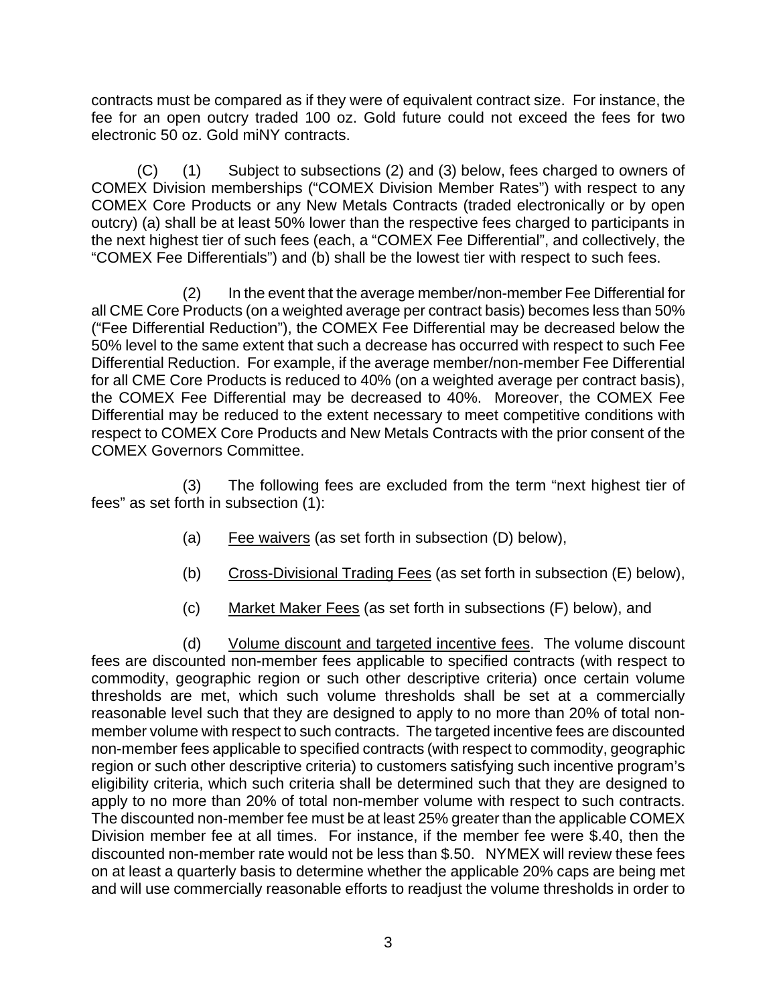contracts must be compared as if they were of equivalent contract size. For instance, the fee for an open outcry traded 100 oz. Gold future could not exceed the fees for two electronic 50 oz. Gold miNY contracts.

(C) (1) Subject to subsections (2) and (3) below, fees charged to owners of COMEX Division memberships ("COMEX Division Member Rates") with respect to any COMEX Core Products or any New Metals Contracts (traded electronically or by open outcry) (a) shall be at least 50% lower than the respective fees charged to participants in the next highest tier of such fees (each, a "COMEX Fee Differential", and collectively, the "COMEX Fee Differentials") and (b) shall be the lowest tier with respect to such fees.

 (2) In the event that the average member/non-member Fee Differential for all CME Core Products (on a weighted average per contract basis) becomes less than 50% ("Fee Differential Reduction"), the COMEX Fee Differential may be decreased below the 50% level to the same extent that such a decrease has occurred with respect to such Fee Differential Reduction. For example, if the average member/non-member Fee Differential for all CME Core Products is reduced to 40% (on a weighted average per contract basis), the COMEX Fee Differential may be decreased to 40%. Moreover, the COMEX Fee Differential may be reduced to the extent necessary to meet competitive conditions with respect to COMEX Core Products and New Metals Contracts with the prior consent of the COMEX Governors Committee.

(3) The following fees are excluded from the term "next highest tier of fees" as set forth in subsection (1):

- (a) Fee waivers (as set forth in subsection (D) below),
- (b) Cross-Divisional Trading Fees (as set forth in subsection (E) below),
- (c) Market Maker Fees (as set forth in subsections (F) below), and

(d) Volume discount and targeted incentive fees. The volume discount fees are discounted non-member fees applicable to specified contracts (with respect to commodity, geographic region or such other descriptive criteria) once certain volume thresholds are met, which such volume thresholds shall be set at a commercially reasonable level such that they are designed to apply to no more than 20% of total nonmember volume with respect to such contracts. The targeted incentive fees are discounted non-member fees applicable to specified contracts (with respect to commodity, geographic region or such other descriptive criteria) to customers satisfying such incentive program's eligibility criteria, which such criteria shall be determined such that they are designed to apply to no more than 20% of total non-member volume with respect to such contracts. The discounted non-member fee must be at least 25% greater than the applicable COMEX Division member fee at all times. For instance, if the member fee were \$.40, then the discounted non-member rate would not be less than \$.50. NYMEX will review these fees on at least a quarterly basis to determine whether the applicable 20% caps are being met and will use commercially reasonable efforts to readjust the volume thresholds in order to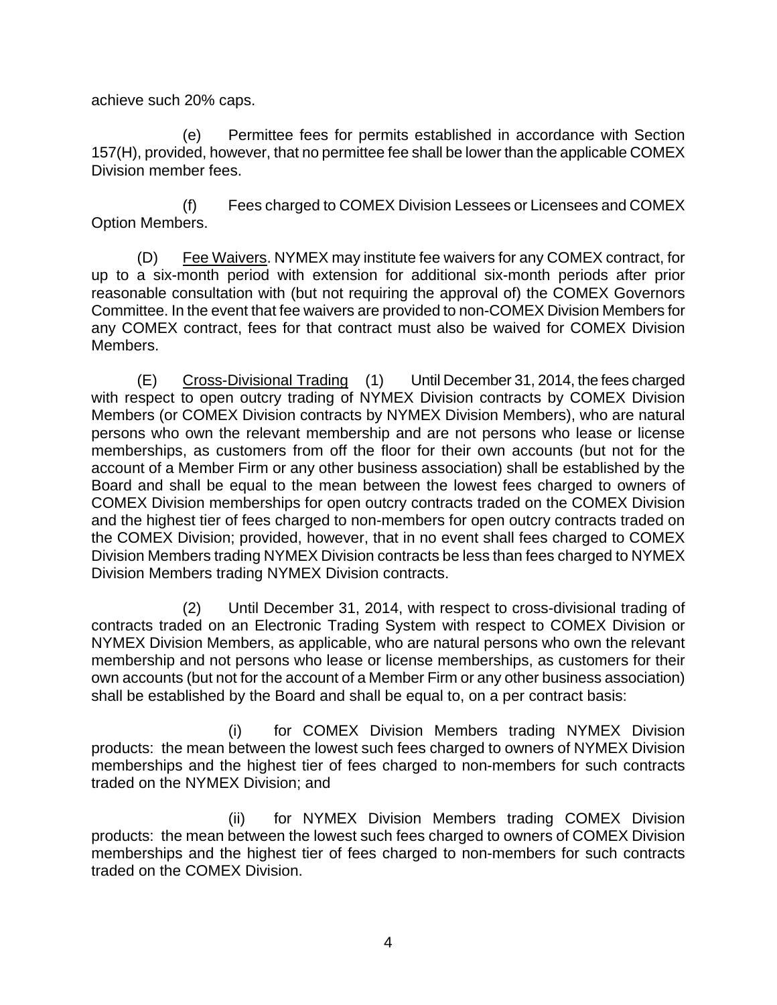achieve such 20% caps.

(e) Permittee fees for permits established in accordance with Section 157(H), provided, however, that no permittee fee shall be lower than the applicable COMEX Division member fees.

(f) Fees charged to COMEX Division Lessees or Licensees and COMEX Option Members.

(D) Fee Waivers. NYMEX may institute fee waivers for any COMEX contract, for up to a six-month period with extension for additional six-month periods after prior reasonable consultation with (but not requiring the approval of) the COMEX Governors Committee. In the event that fee waivers are provided to non-COMEX Division Members for any COMEX contract, fees for that contract must also be waived for COMEX Division Members.

(E) Cross-Divisional Trading (1) Until December 31, 2014, the fees charged with respect to open outcry trading of NYMEX Division contracts by COMEX Division Members (or COMEX Division contracts by NYMEX Division Members), who are natural persons who own the relevant membership and are not persons who lease or license memberships, as customers from off the floor for their own accounts (but not for the account of a Member Firm or any other business association) shall be established by the Board and shall be equal to the mean between the lowest fees charged to owners of COMEX Division memberships for open outcry contracts traded on the COMEX Division and the highest tier of fees charged to non-members for open outcry contracts traded on the COMEX Division; provided, however, that in no event shall fees charged to COMEX Division Members trading NYMEX Division contracts be less than fees charged to NYMEX Division Members trading NYMEX Division contracts.

(2) Until December 31, 2014, with respect to cross-divisional trading of contracts traded on an Electronic Trading System with respect to COMEX Division or NYMEX Division Members, as applicable, who are natural persons who own the relevant membership and not persons who lease or license memberships, as customers for their own accounts (but not for the account of a Member Firm or any other business association) shall be established by the Board and shall be equal to, on a per contract basis:

(i) for COMEX Division Members trading NYMEX Division products: the mean between the lowest such fees charged to owners of NYMEX Division memberships and the highest tier of fees charged to non-members for such contracts traded on the NYMEX Division; and

(ii) for NYMEX Division Members trading COMEX Division products: the mean between the lowest such fees charged to owners of COMEX Division memberships and the highest tier of fees charged to non-members for such contracts traded on the COMEX Division.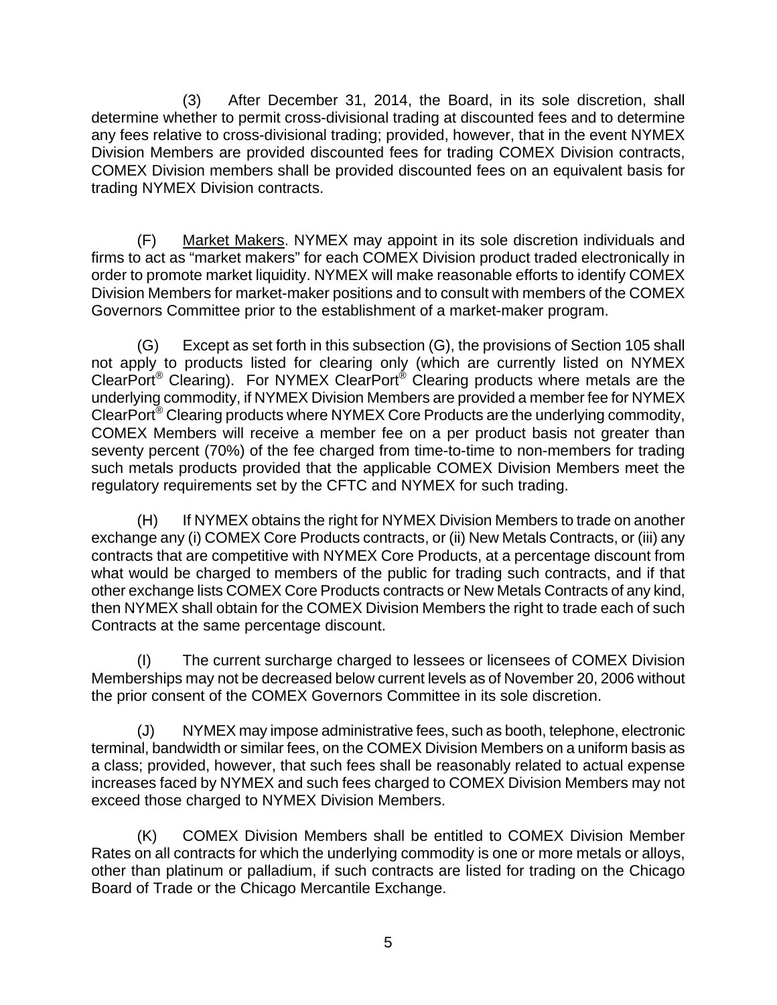(3) After December 31, 2014, the Board, in its sole discretion, shall determine whether to permit cross-divisional trading at discounted fees and to determine any fees relative to cross-divisional trading; provided, however, that in the event NYMEX Division Members are provided discounted fees for trading COMEX Division contracts, COMEX Division members shall be provided discounted fees on an equivalent basis for trading NYMEX Division contracts.

(F) Market Makers. NYMEX may appoint in its sole discretion individuals and firms to act as "market makers" for each COMEX Division product traded electronically in order to promote market liquidity. NYMEX will make reasonable efforts to identify COMEX Division Members for market-maker positions and to consult with members of the COMEX Governors Committee prior to the establishment of a market-maker program.

(G) Except as set forth in this subsection (G), the provisions of Section 105 shall not apply to products listed for clearing only (which are currently listed on NYMEX ClearPort® Clearing). For NYMEX ClearPort® Clearing products where metals are the underlying commodity, if NYMEX Division Members are provided a member fee for NYMEX ClearPort® Clearing products where NYMEX Core Products are the underlying commodity, COMEX Members will receive a member fee on a per product basis not greater than seventy percent (70%) of the fee charged from time-to-time to non-members for trading such metals products provided that the applicable COMEX Division Members meet the regulatory requirements set by the CFTC and NYMEX for such trading.

(H) If NYMEX obtains the right for NYMEX Division Members to trade on another exchange any (i) COMEX Core Products contracts, or (ii) New Metals Contracts, or (iii) any contracts that are competitive with NYMEX Core Products, at a percentage discount from what would be charged to members of the public for trading such contracts, and if that other exchange lists COMEX Core Products contracts or New Metals Contracts of any kind, then NYMEX shall obtain for the COMEX Division Members the right to trade each of such Contracts at the same percentage discount.

(I) The current surcharge charged to lessees or licensees of COMEX Division Memberships may not be decreased below current levels as of November 20, 2006 without the prior consent of the COMEX Governors Committee in its sole discretion.

(J) NYMEX may impose administrative fees, such as booth, telephone, electronic terminal, bandwidth or similar fees, on the COMEX Division Members on a uniform basis as a class; provided, however, that such fees shall be reasonably related to actual expense increases faced by NYMEX and such fees charged to COMEX Division Members may not exceed those charged to NYMEX Division Members.

(K) COMEX Division Members shall be entitled to COMEX Division Member Rates on all contracts for which the underlying commodity is one or more metals or alloys, other than platinum or palladium, if such contracts are listed for trading on the Chicago Board of Trade or the Chicago Mercantile Exchange.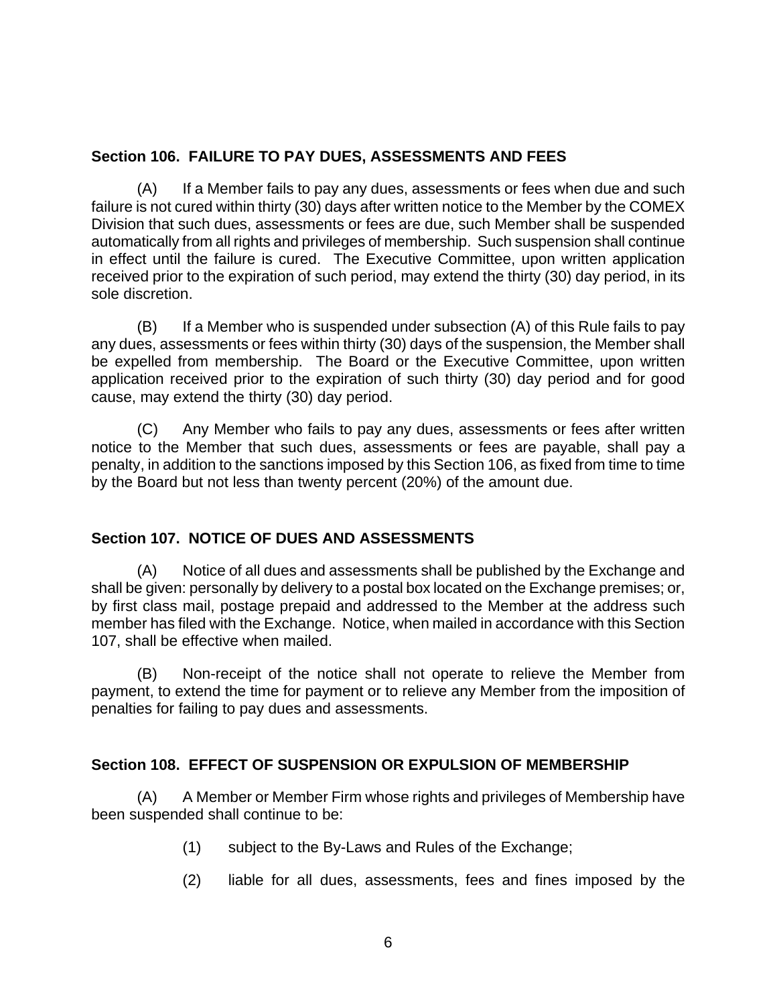### <span id="page-10-0"></span>**Section 106. FAILURE TO PAY DUES, ASSESSMENTS AND FEES**

(A) If a Member fails to pay any dues, assessments or fees when due and such failure is not cured within thirty (30) days after written notice to the Member by the COMEX Division that such dues, assessments or fees are due, such Member shall be suspended automatically from all rights and privileges of membership. Such suspension shall continue in effect until the failure is cured. The Executive Committee, upon written application received prior to the expiration of such period, may extend the thirty (30) day period, in its sole discretion.

(B) If a Member who is suspended under subsection (A) of this Rule fails to pay any dues, assessments or fees within thirty (30) days of the suspension, the Member shall be expelled from membership. The Board or the Executive Committee, upon written application received prior to the expiration of such thirty (30) day period and for good cause, may extend the thirty (30) day period.

(C) Any Member who fails to pay any dues, assessments or fees after written notice to the Member that such dues, assessments or fees are payable, shall pay a penalty, in addition to the sanctions imposed by this Section 106, as fixed from time to time by the Board but not less than twenty percent (20%) of the amount due.

# **Section 107. NOTICE OF DUES AND ASSESSMENTS**

(A) Notice of all dues and assessments shall be published by the Exchange and shall be given: personally by delivery to a postal box located on the Exchange premises; or, by first class mail, postage prepaid and addressed to the Member at the address such member has filed with the Exchange. Notice, when mailed in accordance with this Section 107, shall be effective when mailed.

(B) Non-receipt of the notice shall not operate to relieve the Member from payment, to extend the time for payment or to relieve any Member from the imposition of penalties for failing to pay dues and assessments.

# **Section 108. EFFECT OF SUSPENSION OR EXPULSION OF MEMBERSHIP**

(A) A Member or Member Firm whose rights and privileges of Membership have been suspended shall continue to be:

- (1) subject to the By-Laws and Rules of the Exchange;
- (2) liable for all dues, assessments, fees and fines imposed by the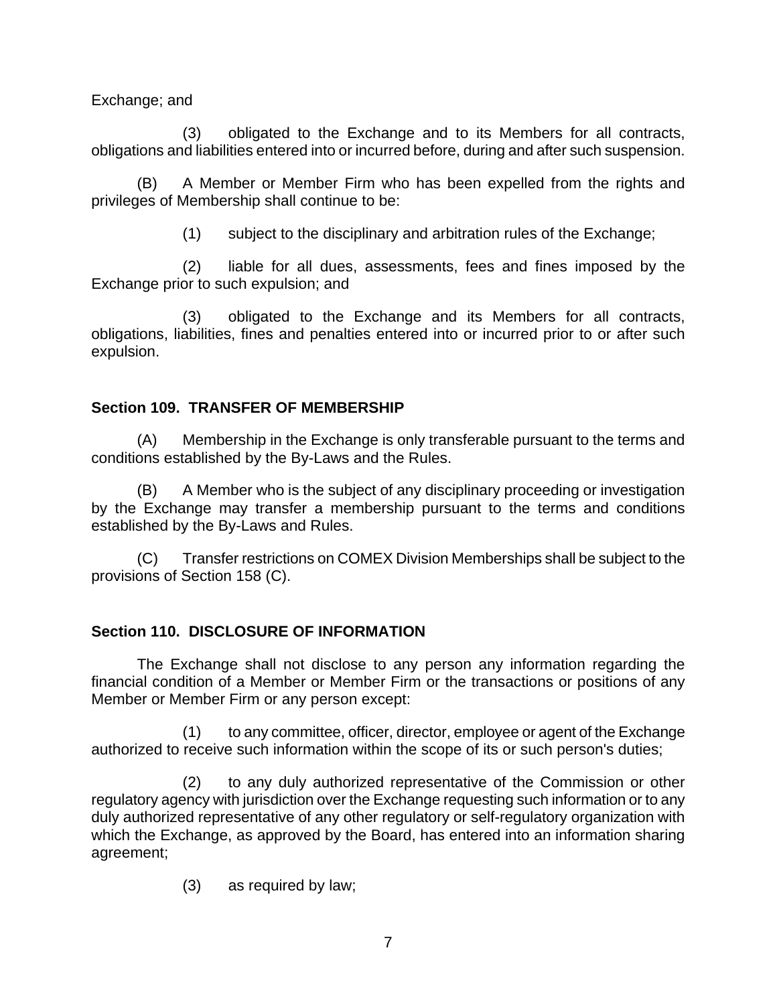<span id="page-11-0"></span>Exchange; and

(3) obligated to the Exchange and to its Members for all contracts, obligations and liabilities entered into or incurred before, during and after such suspension.

(B) A Member or Member Firm who has been expelled from the rights and privileges of Membership shall continue to be:

(1) subject to the disciplinary and arbitration rules of the Exchange;

(2) liable for all dues, assessments, fees and fines imposed by the Exchange prior to such expulsion; and

(3) obligated to the Exchange and its Members for all contracts, obligations, liabilities, fines and penalties entered into or incurred prior to or after such expulsion.

# **Section 109. TRANSFER OF MEMBERSHIP**

(A) Membership in the Exchange is only transferable pursuant to the terms and conditions established by the By-Laws and the Rules.

(B) A Member who is the subject of any disciplinary proceeding or investigation by the Exchange may transfer a membership pursuant to the terms and conditions established by the By-Laws and Rules.

(C) Transfer restrictions on COMEX Division Memberships shall be subject to the provisions of Section 158 (C).

# **Section 110. DISCLOSURE OF INFORMATION**

The Exchange shall not disclose to any person any information regarding the financial condition of a Member or Member Firm or the transactions or positions of any Member or Member Firm or any person except:

(1) to any committee, officer, director, employee or agent of the Exchange authorized to receive such information within the scope of its or such person's duties;

(2) to any duly authorized representative of the Commission or other regulatory agency with jurisdiction over the Exchange requesting such information or to any duly authorized representative of any other regulatory or self-regulatory organization with which the Exchange, as approved by the Board, has entered into an information sharing agreement;

(3) as required by law;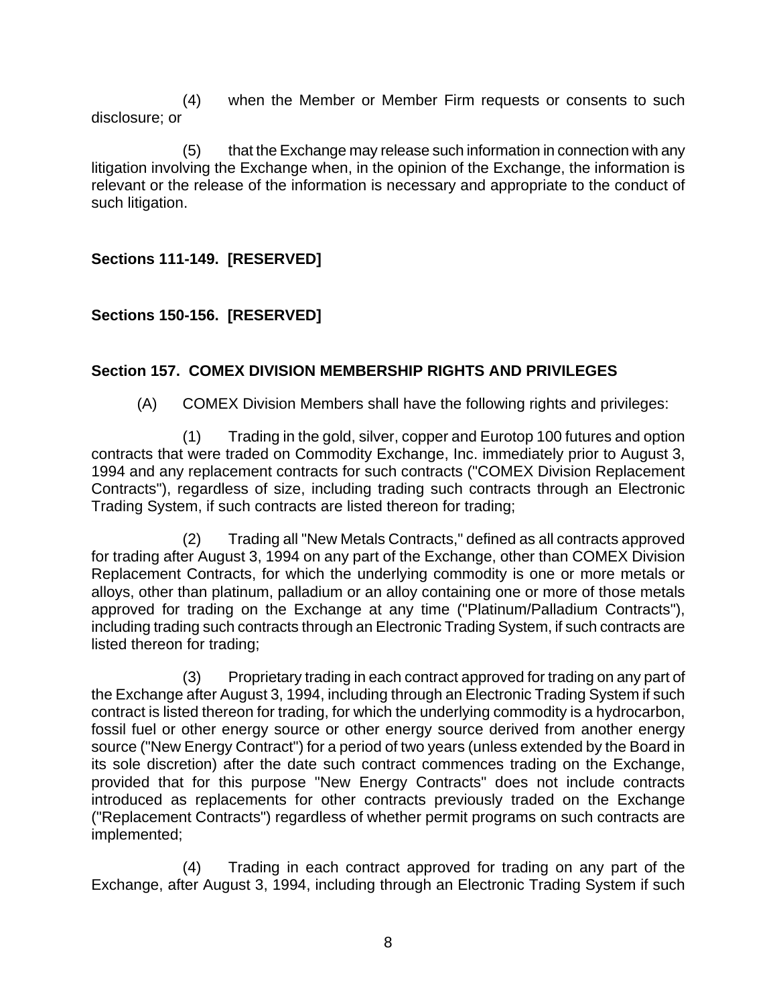<span id="page-12-0"></span>(4) when the Member or Member Firm requests or consents to such disclosure; or

(5) that the Exchange may release such information in connection with any litigation involving the Exchange when, in the opinion of the Exchange, the information is relevant or the release of the information is necessary and appropriate to the conduct of such litigation.

**Sections 111-149. [RESERVED]** 

# **Sections 150-156. [RESERVED]**

### **Section 157. COMEX DIVISION MEMBERSHIP RIGHTS AND PRIVILEGES**

(A) COMEX Division Members shall have the following rights and privileges:

(1) Trading in the gold, silver, copper and Eurotop 100 futures and option contracts that were traded on Commodity Exchange, Inc. immediately prior to August 3, 1994 and any replacement contracts for such contracts ("COMEX Division Replacement Contracts"), regardless of size, including trading such contracts through an Electronic Trading System, if such contracts are listed thereon for trading;

(2) Trading all "New Metals Contracts," defined as all contracts approved for trading after August 3, 1994 on any part of the Exchange, other than COMEX Division Replacement Contracts, for which the underlying commodity is one or more metals or alloys, other than platinum, palladium or an alloy containing one or more of those metals approved for trading on the Exchange at any time ("Platinum/Palladium Contracts"), including trading such contracts through an Electronic Trading System, if such contracts are listed thereon for trading;

(3) Proprietary trading in each contract approved for trading on any part of the Exchange after August 3, 1994, including through an Electronic Trading System if such contract is listed thereon for trading, for which the underlying commodity is a hydrocarbon, fossil fuel or other energy source or other energy source derived from another energy source ("New Energy Contract") for a period of two years (unless extended by the Board in its sole discretion) after the date such contract commences trading on the Exchange, provided that for this purpose "New Energy Contracts" does not include contracts introduced as replacements for other contracts previously traded on the Exchange ("Replacement Contracts") regardless of whether permit programs on such contracts are implemented;

(4) Trading in each contract approved for trading on any part of the Exchange, after August 3, 1994, including through an Electronic Trading System if such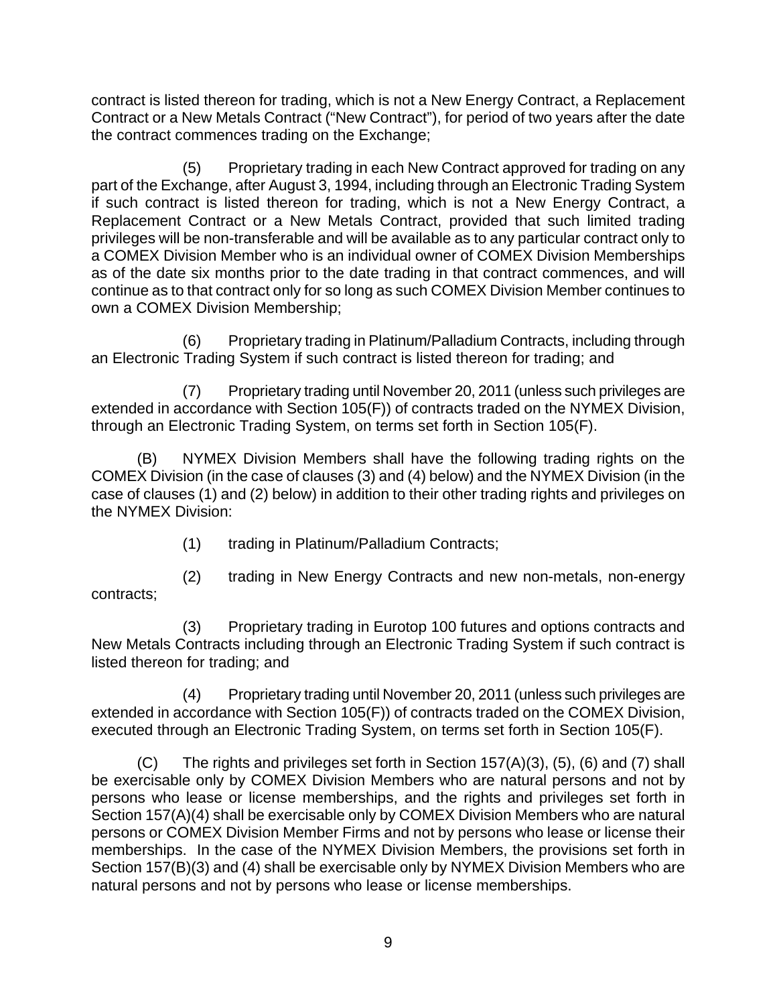contract is listed thereon for trading, which is not a New Energy Contract, a Replacement Contract or a New Metals Contract ("New Contract"), for period of two years after the date the contract commences trading on the Exchange;

(5) Proprietary trading in each New Contract approved for trading on any part of the Exchange, after August 3, 1994, including through an Electronic Trading System if such contract is listed thereon for trading, which is not a New Energy Contract, a Replacement Contract or a New Metals Contract, provided that such limited trading privileges will be non-transferable and will be available as to any particular contract only to a COMEX Division Member who is an individual owner of COMEX Division Memberships as of the date six months prior to the date trading in that contract commences, and will continue as to that contract only for so long as such COMEX Division Member continues to own a COMEX Division Membership;

(6) Proprietary trading in Platinum/Palladium Contracts, including through an Electronic Trading System if such contract is listed thereon for trading; and

(7) Proprietary trading until November 20, 2011 (unless such privileges are extended in accordance with Section 105(F)) of contracts traded on the NYMEX Division, through an Electronic Trading System, on terms set forth in Section 105(F).

(B) NYMEX Division Members shall have the following trading rights on the COMEX Division (in the case of clauses (3) and (4) below) and the NYMEX Division (in the case of clauses (1) and (2) below) in addition to their other trading rights and privileges on the NYMEX Division:

(1) trading in Platinum/Palladium Contracts;

(2) trading in New Energy Contracts and new non-metals, non-energy contracts;

(3) Proprietary trading in Eurotop 100 futures and options contracts and New Metals Contracts including through an Electronic Trading System if such contract is listed thereon for trading; and

(4) Proprietary trading until November 20, 2011 (unless such privileges are extended in accordance with Section 105(F)) of contracts traded on the COMEX Division, executed through an Electronic Trading System, on terms set forth in Section 105(F).

(C) The rights and privileges set forth in Section 157(A)(3), (5), (6) and (7) shall be exercisable only by COMEX Division Members who are natural persons and not by persons who lease or license memberships, and the rights and privileges set forth in Section 157(A)(4) shall be exercisable only by COMEX Division Members who are natural persons or COMEX Division Member Firms and not by persons who lease or license their memberships. In the case of the NYMEX Division Members, the provisions set forth in Section 157(B)(3) and (4) shall be exercisable only by NYMEX Division Members who are natural persons and not by persons who lease or license memberships.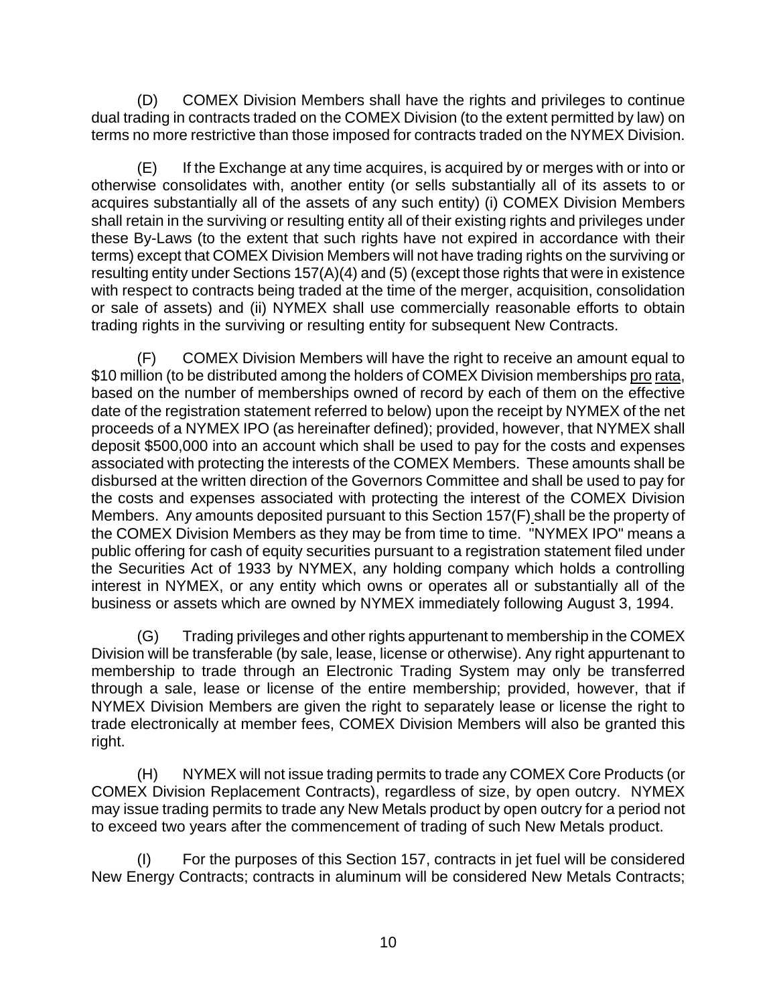(D) COMEX Division Members shall have the rights and privileges to continue dual trading in contracts traded on the COMEX Division (to the extent permitted by law) on terms no more restrictive than those imposed for contracts traded on the NYMEX Division.

(E) If the Exchange at any time acquires, is acquired by or merges with or into or otherwise consolidates with, another entity (or sells substantially all of its assets to or acquires substantially all of the assets of any such entity) (i) COMEX Division Members shall retain in the surviving or resulting entity all of their existing rights and privileges under these By-Laws (to the extent that such rights have not expired in accordance with their terms) except that COMEX Division Members will not have trading rights on the surviving or resulting entity under Sections 157(A)(4) and (5) (except those rights that were in existence with respect to contracts being traded at the time of the merger, acquisition, consolidation or sale of assets) and (ii) NYMEX shall use commercially reasonable efforts to obtain trading rights in the surviving or resulting entity for subsequent New Contracts.

(F) COMEX Division Members will have the right to receive an amount equal to \$10 million (to be distributed among the holders of COMEX Division memberships pro rata, based on the number of memberships owned of record by each of them on the effective date of the registration statement referred to below) upon the receipt by NYMEX of the net proceeds of a NYMEX IPO (as hereinafter defined); provided, however, that NYMEX shall deposit \$500,000 into an account which shall be used to pay for the costs and expenses associated with protecting the interests of the COMEX Members. These amounts shall be disbursed at the written direction of the Governors Committee and shall be used to pay for the costs and expenses associated with protecting the interest of the COMEX Division Members. Any amounts deposited pursuant to this Section 157(F) shall be the property of the COMEX Division Members as they may be from time to time. "NYMEX IPO" means a public offering for cash of equity securities pursuant to a registration statement filed under the Securities Act of 1933 by NYMEX, any holding company which holds a controlling interest in NYMEX, or any entity which owns or operates all or substantially all of the business or assets which are owned by NYMEX immediately following August 3, 1994.

(G) Trading privileges and other rights appurtenant to membership in the COMEX Division will be transferable (by sale, lease, license or otherwise). Any right appurtenant to membership to trade through an Electronic Trading System may only be transferred through a sale, lease or license of the entire membership; provided, however, that if NYMEX Division Members are given the right to separately lease or license the right to trade electronically at member fees, COMEX Division Members will also be granted this right.

(H) NYMEX will not issue trading permits to trade any COMEX Core Products (or COMEX Division Replacement Contracts), regardless of size, by open outcry. NYMEX may issue trading permits to trade any New Metals product by open outcry for a period not to exceed two years after the commencement of trading of such New Metals product.

(I) For the purposes of this Section 157, contracts in jet fuel will be considered New Energy Contracts; contracts in aluminum will be considered New Metals Contracts;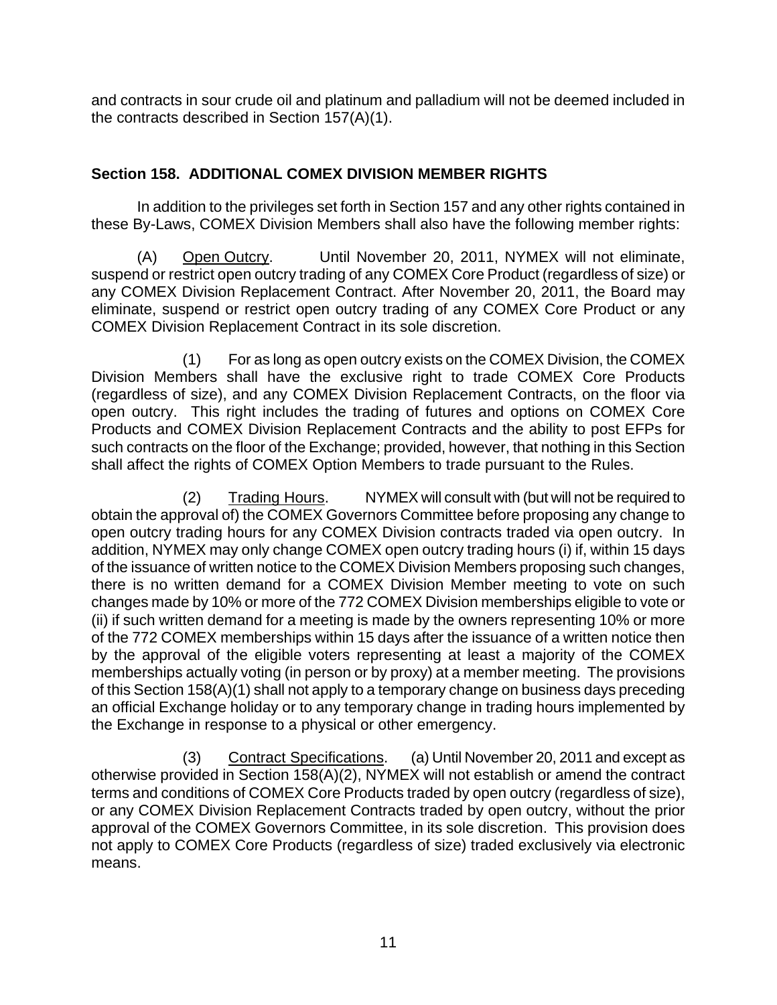<span id="page-15-0"></span>and contracts in sour crude oil and platinum and palladium will not be deemed included in the contracts described in Section 157(A)(1).

# **Section 158. ADDITIONAL COMEX DIVISION MEMBER RIGHTS**

In addition to the privileges set forth in Section 157 and any other rights contained in these By-Laws, COMEX Division Members shall also have the following member rights:

(A) Open Outcry. Until November 20, 2011, NYMEX will not eliminate, suspend or restrict open outcry trading of any COMEX Core Product (regardless of size) or any COMEX Division Replacement Contract. After November 20, 2011, the Board may eliminate, suspend or restrict open outcry trading of any COMEX Core Product or any COMEX Division Replacement Contract in its sole discretion.

(1) For as long as open outcry exists on the COMEX Division, the COMEX Division Members shall have the exclusive right to trade COMEX Core Products (regardless of size), and any COMEX Division Replacement Contracts, on the floor via open outcry. This right includes the trading of futures and options on COMEX Core Products and COMEX Division Replacement Contracts and the ability to post EFPs for such contracts on the floor of the Exchange; provided, however, that nothing in this Section shall affect the rights of COMEX Option Members to trade pursuant to the Rules.

(2) Trading Hours. NYMEX will consult with (but will not be required to obtain the approval of) the COMEX Governors Committee before proposing any change to open outcry trading hours for any COMEX Division contracts traded via open outcry. In addition, NYMEX may only change COMEX open outcry trading hours (i) if, within 15 days of the issuance of written notice to the COMEX Division Members proposing such changes, there is no written demand for a COMEX Division Member meeting to vote on such changes made by 10% or more of the 772 COMEX Division memberships eligible to vote or (ii) if such written demand for a meeting is made by the owners representing 10% or more of the 772 COMEX memberships within 15 days after the issuance of a written notice then by the approval of the eligible voters representing at least a majority of the COMEX memberships actually voting (in person or by proxy) at a member meeting. The provisions of this Section 158(A)(1) shall not apply to a temporary change on business days preceding an official Exchange holiday or to any temporary change in trading hours implemented by the Exchange in response to a physical or other emergency.

(3) Contract Specifications. (a) Until November 20, 2011 and except as otherwise provided in Section 158(A)(2), NYMEX will not establish or amend the contract terms and conditions of COMEX Core Products traded by open outcry (regardless of size), or any COMEX Division Replacement Contracts traded by open outcry, without the prior approval of the COMEX Governors Committee, in its sole discretion. This provision does not apply to COMEX Core Products (regardless of size) traded exclusively via electronic means.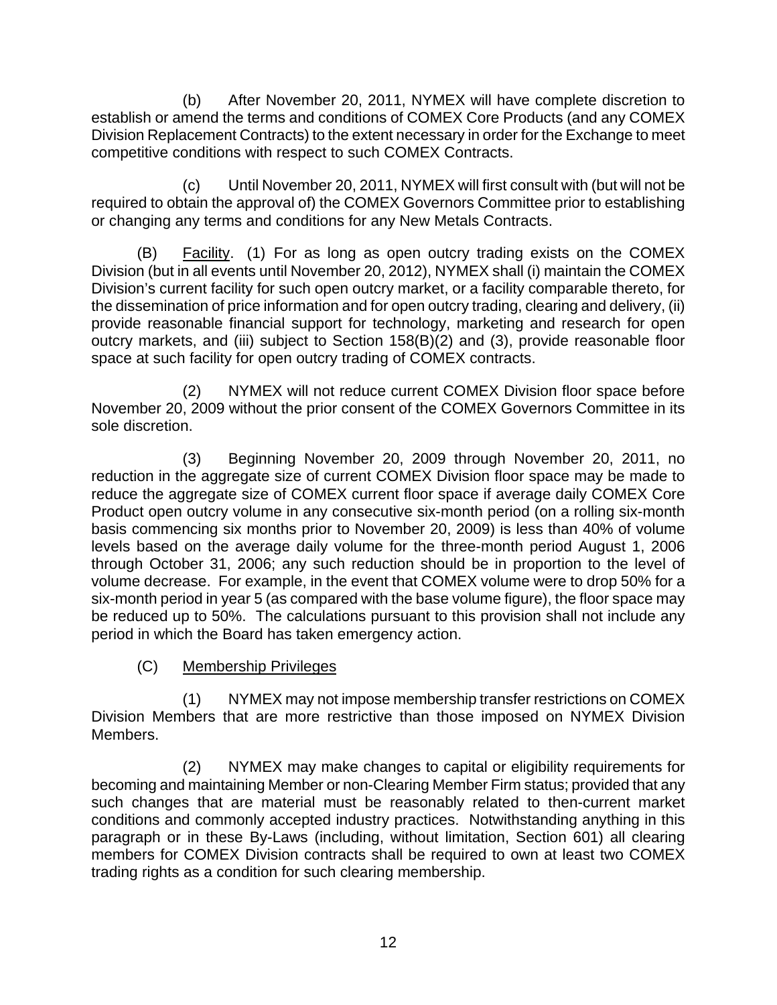(b) After November 20, 2011, NYMEX will have complete discretion to establish or amend the terms and conditions of COMEX Core Products (and any COMEX Division Replacement Contracts) to the extent necessary in order for the Exchange to meet competitive conditions with respect to such COMEX Contracts.

(c) Until November 20, 2011, NYMEX will first consult with (but will not be required to obtain the approval of) the COMEX Governors Committee prior to establishing or changing any terms and conditions for any New Metals Contracts.

(B) Facility. (1) For as long as open outcry trading exists on the COMEX Division (but in all events until November 20, 2012), NYMEX shall (i) maintain the COMEX Division's current facility for such open outcry market, or a facility comparable thereto, for the dissemination of price information and for open outcry trading, clearing and delivery, (ii) provide reasonable financial support for technology, marketing and research for open outcry markets, and (iii) subject to Section 158(B)(2) and (3), provide reasonable floor space at such facility for open outcry trading of COMEX contracts.

(2) NYMEX will not reduce current COMEX Division floor space before November 20, 2009 without the prior consent of the COMEX Governors Committee in its sole discretion.

(3) Beginning November 20, 2009 through November 20, 2011, no reduction in the aggregate size of current COMEX Division floor space may be made to reduce the aggregate size of COMEX current floor space if average daily COMEX Core Product open outcry volume in any consecutive six-month period (on a rolling six-month basis commencing six months prior to November 20, 2009) is less than 40% of volume levels based on the average daily volume for the three-month period August 1, 2006 through October 31, 2006; any such reduction should be in proportion to the level of volume decrease. For example, in the event that COMEX volume were to drop 50% for a six-month period in year 5 (as compared with the base volume figure), the floor space may be reduced up to 50%. The calculations pursuant to this provision shall not include any period in which the Board has taken emergency action.

(C) Membership Privileges

(1) NYMEX may not impose membership transfer restrictions on COMEX Division Members that are more restrictive than those imposed on NYMEX Division Members.

(2) NYMEX may make changes to capital or eligibility requirements for becoming and maintaining Member or non-Clearing Member Firm status; provided that any such changes that are material must be reasonably related to then-current market conditions and commonly accepted industry practices. Notwithstanding anything in this paragraph or in these By-Laws (including, without limitation, Section 601) all clearing members for COMEX Division contracts shall be required to own at least two COMEX trading rights as a condition for such clearing membership.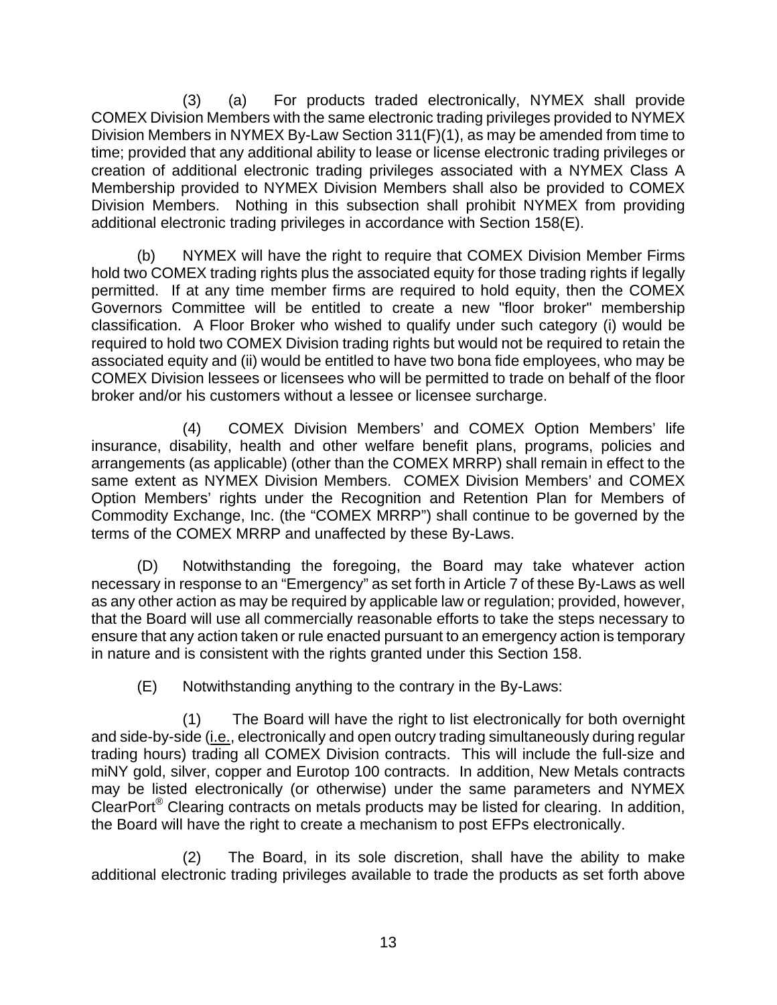(3) (a) For products traded electronically, NYMEX shall provide COMEX Division Members with the same electronic trading privileges provided to NYMEX Division Members in NYMEX By-Law Section 311(F)(1), as may be amended from time to time; provided that any additional ability to lease or license electronic trading privileges or creation of additional electronic trading privileges associated with a NYMEX Class A Membership provided to NYMEX Division Members shall also be provided to COMEX Division Members. Nothing in this subsection shall prohibit NYMEX from providing additional electronic trading privileges in accordance with Section 158(E).

(b) NYMEX will have the right to require that COMEX Division Member Firms hold two COMEX trading rights plus the associated equity for those trading rights if legally permitted. If at any time member firms are required to hold equity, then the COMEX Governors Committee will be entitled to create a new "floor broker" membership classification. A Floor Broker who wished to qualify under such category (i) would be required to hold two COMEX Division trading rights but would not be required to retain the associated equity and (ii) would be entitled to have two bona fide employees, who may be COMEX Division lessees or licensees who will be permitted to trade on behalf of the floor broker and/or his customers without a lessee or licensee surcharge.

(4) COMEX Division Members' and COMEX Option Members' life insurance, disability, health and other welfare benefit plans, programs, policies and arrangements (as applicable) (other than the COMEX MRRP) shall remain in effect to the same extent as NYMEX Division Members. COMEX Division Members' and COMEX Option Members' rights under the Recognition and Retention Plan for Members of Commodity Exchange, Inc. (the "COMEX MRRP") shall continue to be governed by the terms of the COMEX MRRP and unaffected by these By-Laws.

(D) Notwithstanding the foregoing, the Board may take whatever action necessary in response to an "Emergency" as set forth in Article 7 of these By-Laws as well as any other action as may be required by applicable law or regulation; provided, however, that the Board will use all commercially reasonable efforts to take the steps necessary to ensure that any action taken or rule enacted pursuant to an emergency action is temporary in nature and is consistent with the rights granted under this Section 158.

(E) Notwithstanding anything to the contrary in the By-Laws:

(1) The Board will have the right to list electronically for both overnight and side-by-side (i.e., electronically and open outcry trading simultaneously during regular trading hours) trading all COMEX Division contracts. This will include the full-size and miNY gold, silver, copper and Eurotop 100 contracts. In addition, New Metals contracts may be listed electronically (or otherwise) under the same parameters and NYMEX ClearPort® Clearing contracts on metals products may be listed for clearing. In addition, the Board will have the right to create a mechanism to post EFPs electronically.

(2) The Board, in its sole discretion, shall have the ability to make additional electronic trading privileges available to trade the products as set forth above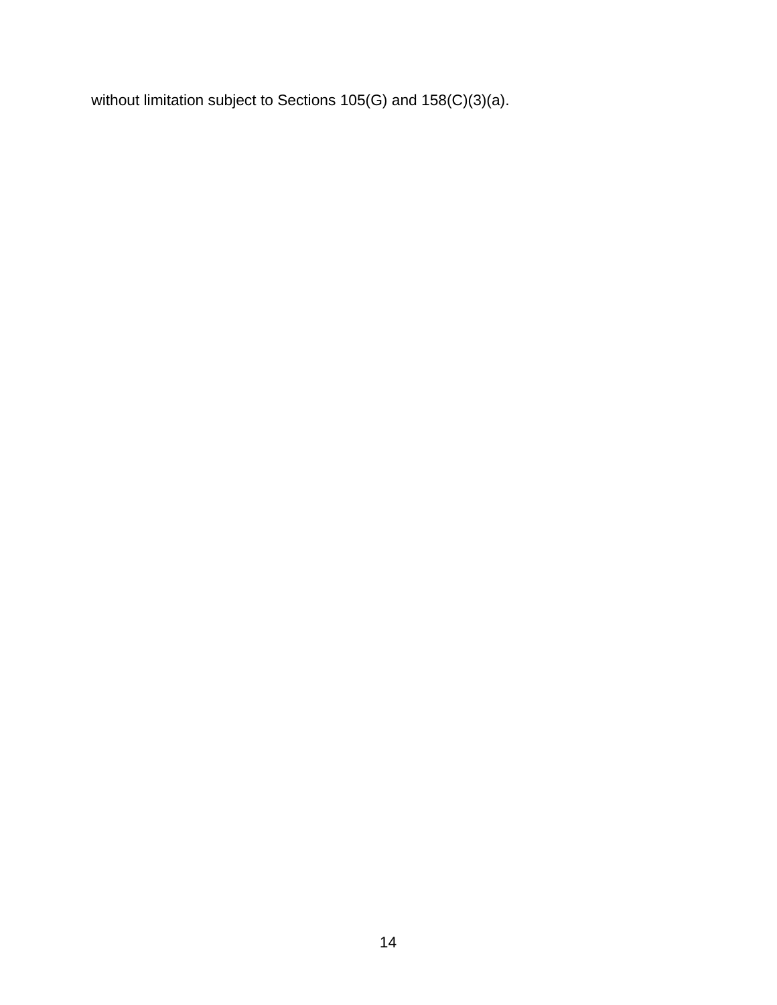without limitation subject to Sections 105(G) and 158(C)(3)(a).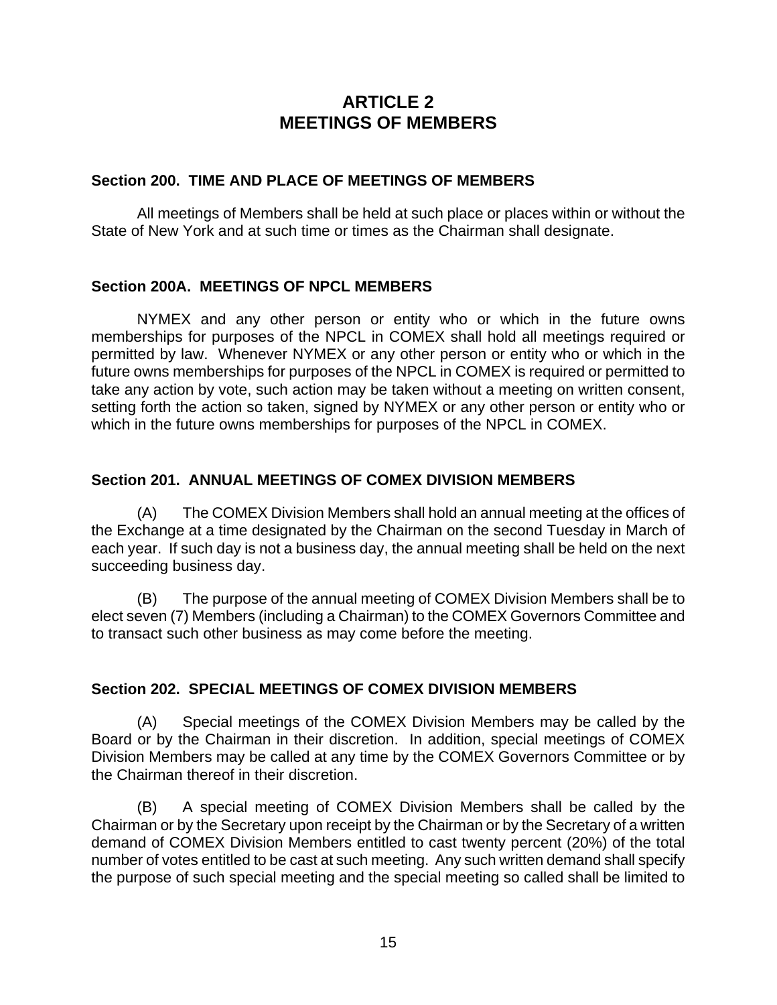# **ARTICLE 2 MEETINGS OF MEMBERS**

#### <span id="page-19-0"></span>**Section 200. TIME AND PLACE OF MEETINGS OF MEMBERS**

All meetings of Members shall be held at such place or places within or without the State of New York and at such time or times as the Chairman shall designate.

### **Section 200A. MEETINGS OF NPCL MEMBERS**

NYMEX and any other person or entity who or which in the future owns memberships for purposes of the NPCL in COMEX shall hold all meetings required or permitted by law. Whenever NYMEX or any other person or entity who or which in the future owns memberships for purposes of the NPCL in COMEX is required or permitted to take any action by vote, such action may be taken without a meeting on written consent, setting forth the action so taken, signed by NYMEX or any other person or entity who or which in the future owns memberships for purposes of the NPCL in COMEX.

### **Section 201. ANNUAL MEETINGS OF COMEX DIVISION MEMBERS**

(A) The COMEX Division Members shall hold an annual meeting at the offices of the Exchange at a time designated by the Chairman on the second Tuesday in March of each year. If such day is not a business day, the annual meeting shall be held on the next succeeding business day.

(B) The purpose of the annual meeting of COMEX Division Members shall be to elect seven (7) Members (including a Chairman) to the COMEX Governors Committee and to transact such other business as may come before the meeting.

### **Section 202. SPECIAL MEETINGS OF COMEX DIVISION MEMBERS**

(A) Special meetings of the COMEX Division Members may be called by the Board or by the Chairman in their discretion. In addition, special meetings of COMEX Division Members may be called at any time by the COMEX Governors Committee or by the Chairman thereof in their discretion.

(B) A special meeting of COMEX Division Members shall be called by the Chairman or by the Secretary upon receipt by the Chairman or by the Secretary of a written demand of COMEX Division Members entitled to cast twenty percent (20%) of the total number of votes entitled to be cast at such meeting. Any such written demand shall specify the purpose of such special meeting and the special meeting so called shall be limited to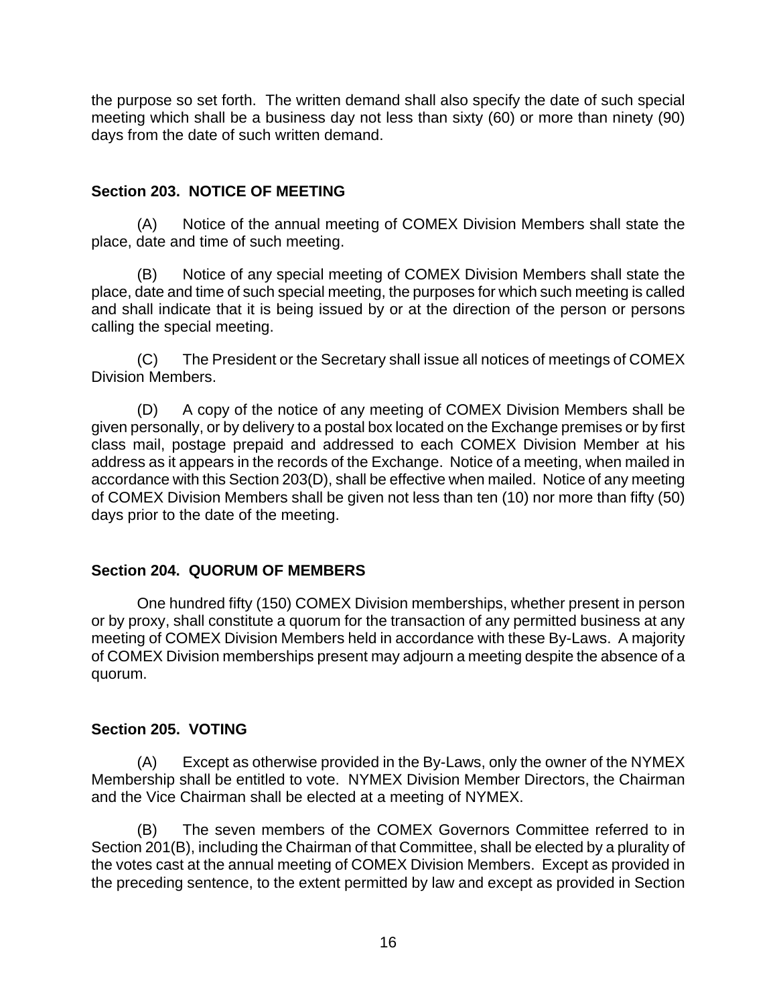<span id="page-20-0"></span>the purpose so set forth. The written demand shall also specify the date of such special meeting which shall be a business day not less than sixty (60) or more than ninety (90) days from the date of such written demand.

### **Section 203. NOTICE OF MEETING**

(A) Notice of the annual meeting of COMEX Division Members shall state the place, date and time of such meeting.

(B) Notice of any special meeting of COMEX Division Members shall state the place, date and time of such special meeting, the purposes for which such meeting is called and shall indicate that it is being issued by or at the direction of the person or persons calling the special meeting.

(C) The President or the Secretary shall issue all notices of meetings of COMEX Division Members.

(D) A copy of the notice of any meeting of COMEX Division Members shall be given personally, or by delivery to a postal box located on the Exchange premises or by first class mail, postage prepaid and addressed to each COMEX Division Member at his address as it appears in the records of the Exchange. Notice of a meeting, when mailed in accordance with this Section 203(D), shall be effective when mailed. Notice of any meeting of COMEX Division Members shall be given not less than ten (10) nor more than fifty (50) days prior to the date of the meeting.

# **Section 204. QUORUM OF MEMBERS**

One hundred fifty (150) COMEX Division memberships, whether present in person or by proxy, shall constitute a quorum for the transaction of any permitted business at any meeting of COMEX Division Members held in accordance with these By-Laws. A majority of COMEX Division memberships present may adjourn a meeting despite the absence of a quorum.

# **Section 205. VOTING**

(A) Except as otherwise provided in the By-Laws, only the owner of the NYMEX Membership shall be entitled to vote. NYMEX Division Member Directors, the Chairman and the Vice Chairman shall be elected at a meeting of NYMEX.

(B) The seven members of the COMEX Governors Committee referred to in Section 201(B), including the Chairman of that Committee, shall be elected by a plurality of the votes cast at the annual meeting of COMEX Division Members. Except as provided in the preceding sentence, to the extent permitted by law and except as provided in Section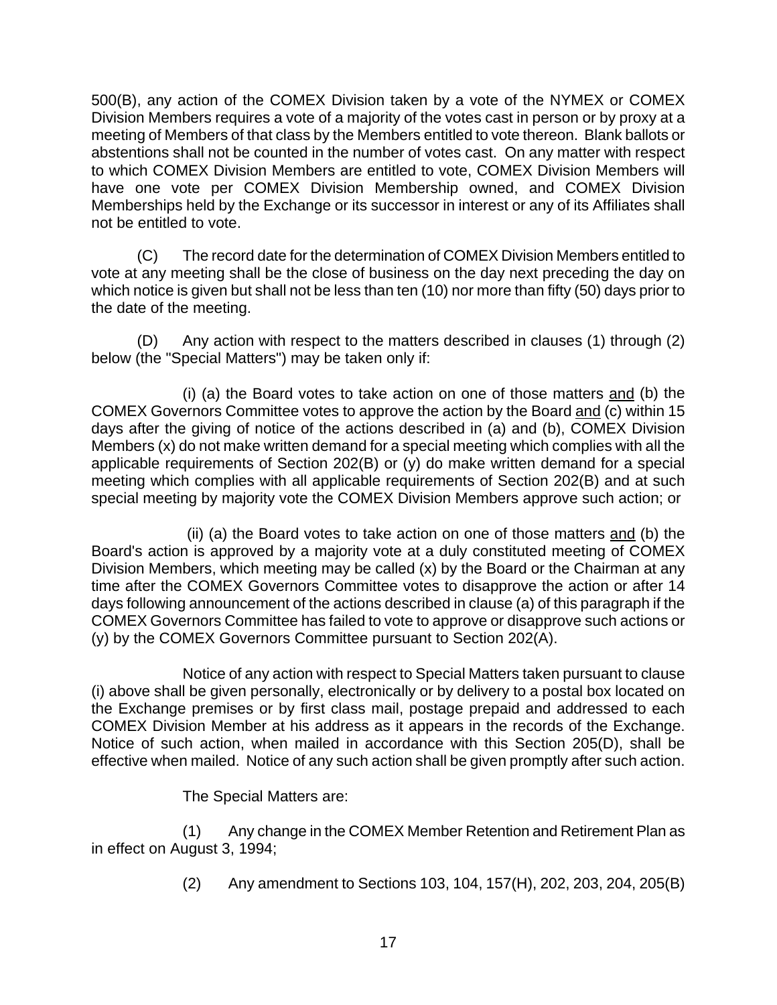500(B), any action of the COMEX Division taken by a vote of the NYMEX or COMEX Division Members requires a vote of a majority of the votes cast in person or by proxy at a meeting of Members of that class by the Members entitled to vote thereon. Blank ballots or abstentions shall not be counted in the number of votes cast. On any matter with respect to which COMEX Division Members are entitled to vote, COMEX Division Members will have one vote per COMEX Division Membership owned, and COMEX Division Memberships held by the Exchange or its successor in interest or any of its Affiliates shall not be entitled to vote.

(C) The record date for the determination of COMEX Division Members entitled to vote at any meeting shall be the close of business on the day next preceding the day on which notice is given but shall not be less than ten (10) nor more than fifty (50) days prior to the date of the meeting.

(D) Any action with respect to the matters described in clauses (1) through (2) below (the "Special Matters") may be taken only if:

(i) (a) the Board votes to take action on one of those matters and (b) the COMEX Governors Committee votes to approve the action by the Board and (c) within 15 days after the giving of notice of the actions described in (a) and (b), COMEX Division Members (x) do not make written demand for a special meeting which complies with all the applicable requirements of Section 202(B) or (y) do make written demand for a special meeting which complies with all applicable requirements of Section 202(B) and at such special meeting by majority vote the COMEX Division Members approve such action; or

 (ii) (a) the Board votes to take action on one of those matters and (b) the Board's action is approved by a majority vote at a duly constituted meeting of COMEX Division Members, which meeting may be called (x) by the Board or the Chairman at any time after the COMEX Governors Committee votes to disapprove the action or after 14 days following announcement of the actions described in clause (a) of this paragraph if the COMEX Governors Committee has failed to vote to approve or disapprove such actions or (y) by the COMEX Governors Committee pursuant to Section 202(A).

Notice of any action with respect to Special Matters taken pursuant to clause (i) above shall be given personally, electronically or by delivery to a postal box located on the Exchange premises or by first class mail, postage prepaid and addressed to each COMEX Division Member at his address as it appears in the records of the Exchange. Notice of such action, when mailed in accordance with this Section 205(D), shall be effective when mailed. Notice of any such action shall be given promptly after such action.

The Special Matters are:

(1) Any change in the COMEX Member Retention and Retirement Plan as in effect on August 3, 1994;

(2) Any amendment to Sections 103, 104, 157(H), 202, 203, 204, 205(B)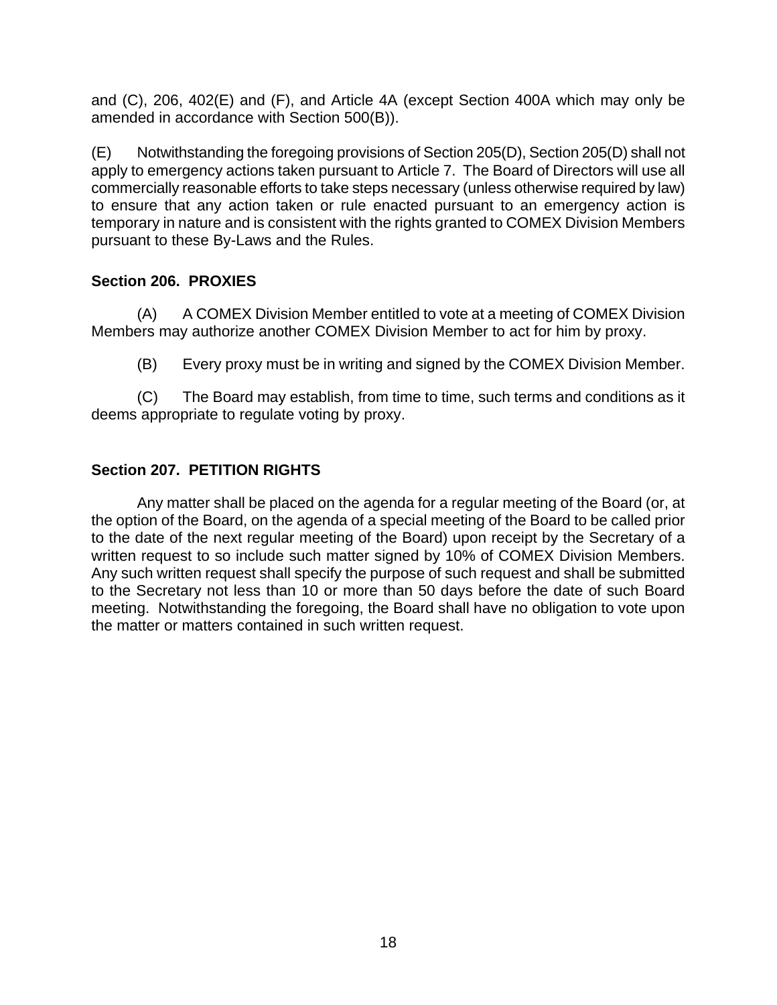<span id="page-22-0"></span>and (C), 206, 402(E) and (F), and Article 4A (except Section 400A which may only be amended in accordance with Section 500(B)).

(E) Notwithstanding the foregoing provisions of Section 205(D), Section 205(D) shall not apply to emergency actions taken pursuant to Article 7. The Board of Directors will use all commercially reasonable efforts to take steps necessary (unless otherwise required by law) to ensure that any action taken or rule enacted pursuant to an emergency action is temporary in nature and is consistent with the rights granted to COMEX Division Members pursuant to these By-Laws and the Rules.

# **Section 206. PROXIES**

(A) A COMEX Division Member entitled to vote at a meeting of COMEX Division Members may authorize another COMEX Division Member to act for him by proxy.

(B) Every proxy must be in writing and signed by the COMEX Division Member.

(C) The Board may establish, from time to time, such terms and conditions as it deems appropriate to regulate voting by proxy.

# **Section 207. PETITION RIGHTS**

Any matter shall be placed on the agenda for a regular meeting of the Board (or, at the option of the Board, on the agenda of a special meeting of the Board to be called prior to the date of the next regular meeting of the Board) upon receipt by the Secretary of a written request to so include such matter signed by 10% of COMEX Division Members. Any such written request shall specify the purpose of such request and shall be submitted to the Secretary not less than 10 or more than 50 days before the date of such Board meeting. Notwithstanding the foregoing, the Board shall have no obligation to vote upon the matter or matters contained in such written request.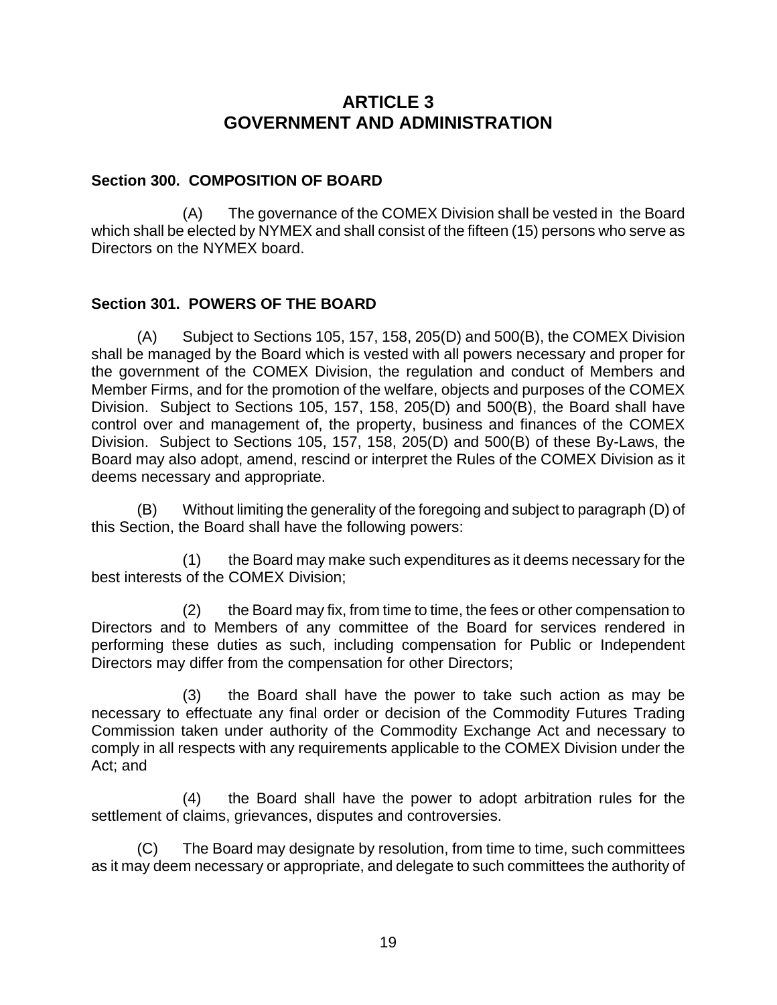# **ARTICLE 3 GOVERNMENT AND ADMINISTRATION**

### <span id="page-23-0"></span>**Section 300. COMPOSITION OF BOARD**

(A) The governance of the COMEX Division shall be vested in the Board which shall be elected by NYMEX and shall consist of the fifteen (15) persons who serve as Directors on the NYMEX board.

### **Section 301. POWERS OF THE BOARD**

(A) Subject to Sections 105, 157, 158, 205(D) and 500(B), the COMEX Division shall be managed by the Board which is vested with all powers necessary and proper for the government of the COMEX Division, the regulation and conduct of Members and Member Firms, and for the promotion of the welfare, objects and purposes of the COMEX Division. Subject to Sections 105, 157, 158, 205(D) and 500(B), the Board shall have control over and management of, the property, business and finances of the COMEX Division. Subject to Sections 105, 157, 158, 205(D) and 500(B) of these By-Laws, the Board may also adopt, amend, rescind or interpret the Rules of the COMEX Division as it deems necessary and appropriate.

(B) Without limiting the generality of the foregoing and subject to paragraph (D) of this Section, the Board shall have the following powers:

(1) the Board may make such expenditures as it deems necessary for the best interests of the COMEX Division;

(2) the Board may fix, from time to time, the fees or other compensation to Directors and to Members of any committee of the Board for services rendered in performing these duties as such, including compensation for Public or Independent Directors may differ from the compensation for other Directors;

(3) the Board shall have the power to take such action as may be necessary to effectuate any final order or decision of the Commodity Futures Trading Commission taken under authority of the Commodity Exchange Act and necessary to comply in all respects with any requirements applicable to the COMEX Division under the Act; and

(4) the Board shall have the power to adopt arbitration rules for the settlement of claims, grievances, disputes and controversies.

(C) The Board may designate by resolution, from time to time, such committees as it may deem necessary or appropriate, and delegate to such committees the authority of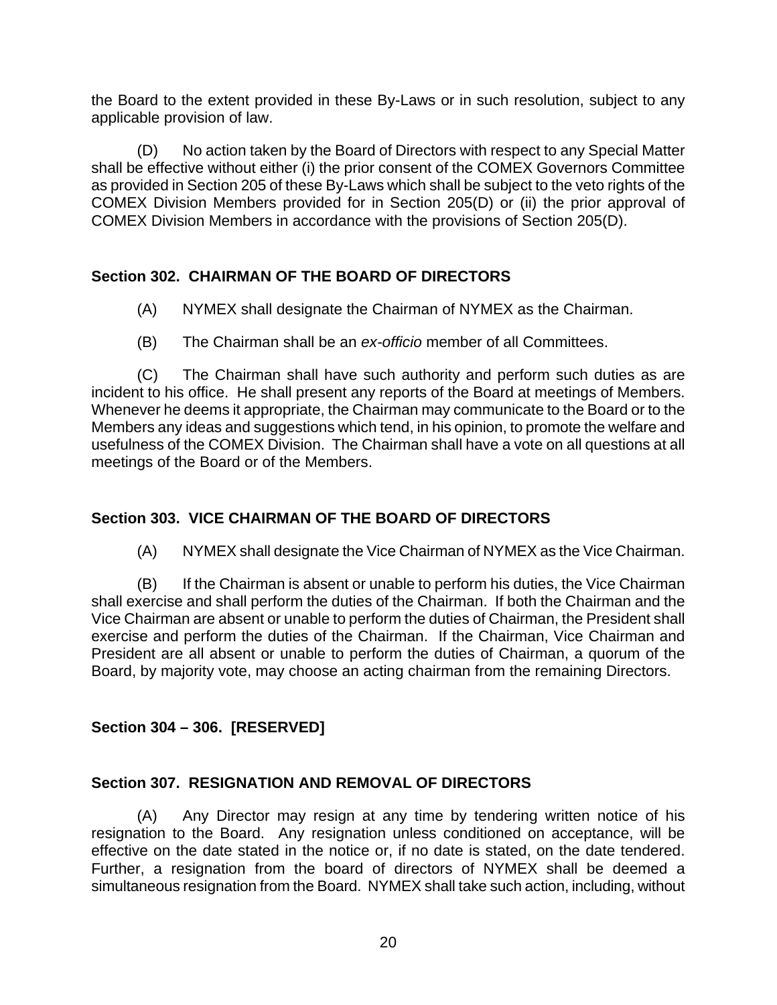<span id="page-24-0"></span>the Board to the extent provided in these By-Laws or in such resolution, subject to any applicable provision of law.

(D) No action taken by the Board of Directors with respect to any Special Matter shall be effective without either (i) the prior consent of the COMEX Governors Committee as provided in Section 205 of these By-Laws which shall be subject to the veto rights of the COMEX Division Members provided for in Section 205(D) or (ii) the prior approval of COMEX Division Members in accordance with the provisions of Section 205(D).

### **Section 302. CHAIRMAN OF THE BOARD OF DIRECTORS**

- (A) NYMEX shall designate the Chairman of NYMEX as the Chairman.
- (B) The Chairman shall be an *ex-officio* member of all Committees.

(C) The Chairman shall have such authority and perform such duties as are incident to his office. He shall present any reports of the Board at meetings of Members. Whenever he deems it appropriate, the Chairman may communicate to the Board or to the Members any ideas and suggestions which tend, in his opinion, to promote the welfare and usefulness of the COMEX Division. The Chairman shall have a vote on all questions at all meetings of the Board or of the Members.

# **Section 303. VICE CHAIRMAN OF THE BOARD OF DIRECTORS**

(A) NYMEX shall designate the Vice Chairman of NYMEX as the Vice Chairman.

(B) If the Chairman is absent or unable to perform his duties, the Vice Chairman shall exercise and shall perform the duties of the Chairman. If both the Chairman and the Vice Chairman are absent or unable to perform the duties of Chairman, the President shall exercise and perform the duties of the Chairman. If the Chairman, Vice Chairman and President are all absent or unable to perform the duties of Chairman, a quorum of the Board, by majority vote, may choose an acting chairman from the remaining Directors.

### **Section 304 – 306. [RESERVED]**

### **Section 307. RESIGNATION AND REMOVAL OF DIRECTORS**

(A) Any Director may resign at any time by tendering written notice of his resignation to the Board. Any resignation unless conditioned on acceptance, will be effective on the date stated in the notice or, if no date is stated, on the date tendered. Further, a resignation from the board of directors of NYMEX shall be deemed a simultaneous resignation from the Board. NYMEX shall take such action, including, without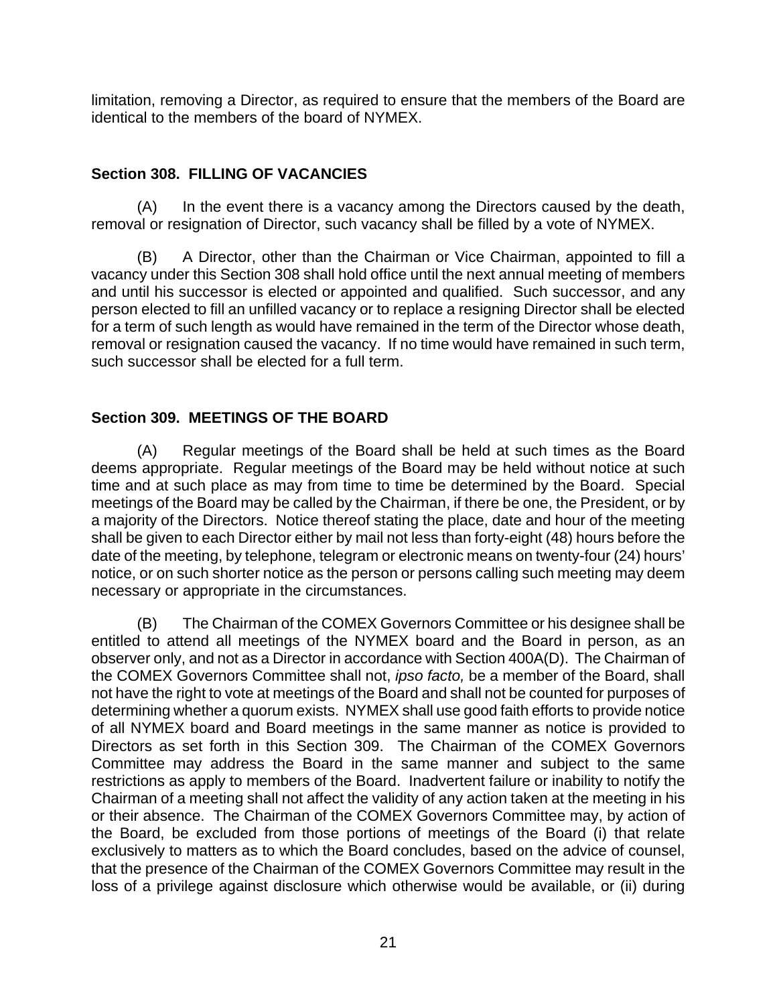<span id="page-25-0"></span>limitation, removing a Director, as required to ensure that the members of the Board are identical to the members of the board of NYMEX.

# **Section 308. FILLING OF VACANCIES**

(A) In the event there is a vacancy among the Directors caused by the death, removal or resignation of Director, such vacancy shall be filled by a vote of NYMEX.

(B) A Director, other than the Chairman or Vice Chairman, appointed to fill a vacancy under this Section 308 shall hold office until the next annual meeting of members and until his successor is elected or appointed and qualified. Such successor, and any person elected to fill an unfilled vacancy or to replace a resigning Director shall be elected for a term of such length as would have remained in the term of the Director whose death, removal or resignation caused the vacancy. If no time would have remained in such term, such successor shall be elected for a full term.

# **Section 309. MEETINGS OF THE BOARD**

(A) Regular meetings of the Board shall be held at such times as the Board deems appropriate. Regular meetings of the Board may be held without notice at such time and at such place as may from time to time be determined by the Board. Special meetings of the Board may be called by the Chairman, if there be one, the President, or by a majority of the Directors. Notice thereof stating the place, date and hour of the meeting shall be given to each Director either by mail not less than forty-eight (48) hours before the date of the meeting, by telephone, telegram or electronic means on twenty-four (24) hours' notice, or on such shorter notice as the person or persons calling such meeting may deem necessary or appropriate in the circumstances.

(B) The Chairman of the COMEX Governors Committee or his designee shall be entitled to attend all meetings of the NYMEX board and the Board in person, as an observer only, and not as a Director in accordance with Section 400A(D). The Chairman of the COMEX Governors Committee shall not, *ipso facto,* be a member of the Board, shall not have the right to vote at meetings of the Board and shall not be counted for purposes of determining whether a quorum exists. NYMEX shall use good faith efforts to provide notice of all NYMEX board and Board meetings in the same manner as notice is provided to Directors as set forth in this Section 309. The Chairman of the COMEX Governors Committee may address the Board in the same manner and subject to the same restrictions as apply to members of the Board. Inadvertent failure or inability to notify the Chairman of a meeting shall not affect the validity of any action taken at the meeting in his or their absence. The Chairman of the COMEX Governors Committee may, by action of the Board, be excluded from those portions of meetings of the Board (i) that relate exclusively to matters as to which the Board concludes, based on the advice of counsel, that the presence of the Chairman of the COMEX Governors Committee may result in the loss of a privilege against disclosure which otherwise would be available, or (ii) during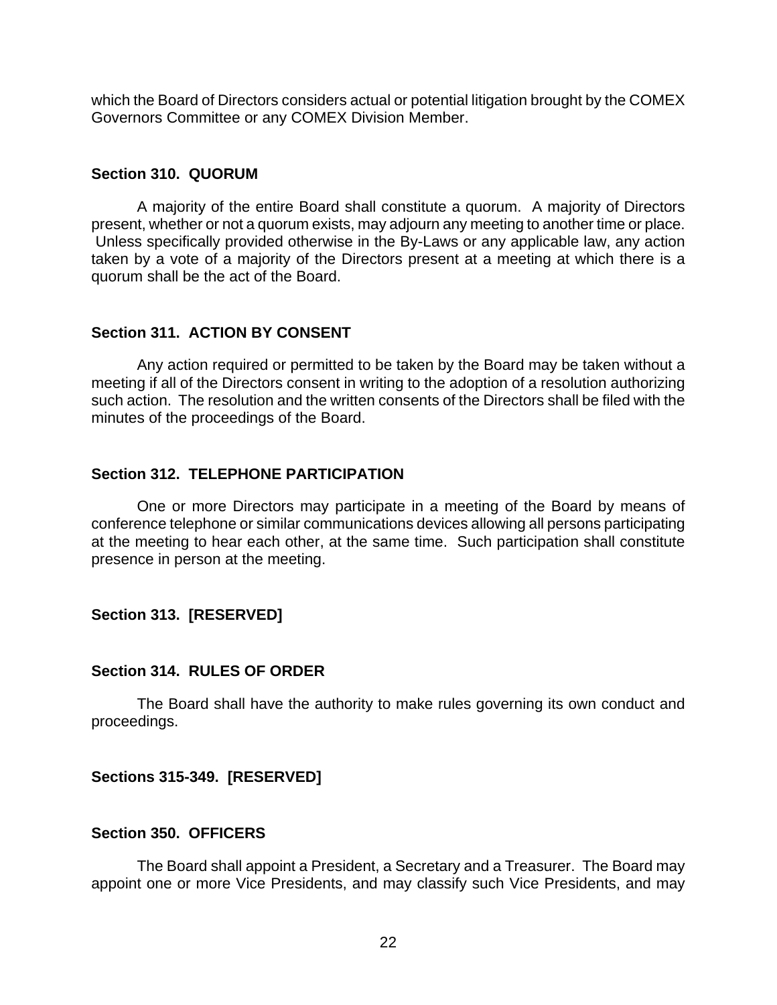<span id="page-26-0"></span>which the Board of Directors considers actual or potential litigation brought by the COMEX Governors Committee or any COMEX Division Member.

#### **Section 310. QUORUM**

A majority of the entire Board shall constitute a quorum. A majority of Directors present, whether or not a quorum exists, may adjourn any meeting to another time or place. Unless specifically provided otherwise in the By-Laws or any applicable law, any action taken by a vote of a majority of the Directors present at a meeting at which there is a quorum shall be the act of the Board.

#### **Section 311. ACTION BY CONSENT**

Any action required or permitted to be taken by the Board may be taken without a meeting if all of the Directors consent in writing to the adoption of a resolution authorizing such action. The resolution and the written consents of the Directors shall be filed with the minutes of the proceedings of the Board.

#### **Section 312. TELEPHONE PARTICIPATION**

One or more Directors may participate in a meeting of the Board by means of conference telephone or similar communications devices allowing all persons participating at the meeting to hear each other, at the same time. Such participation shall constitute presence in person at the meeting.

### **Section 313. [RESERVED]**

#### **Section 314. RULES OF ORDER**

The Board shall have the authority to make rules governing its own conduct and proceedings.

### **Sections 315-349. [RESERVED]**

#### **Section 350. OFFICERS**

The Board shall appoint a President, a Secretary and a Treasurer. The Board may appoint one or more Vice Presidents, and may classify such Vice Presidents, and may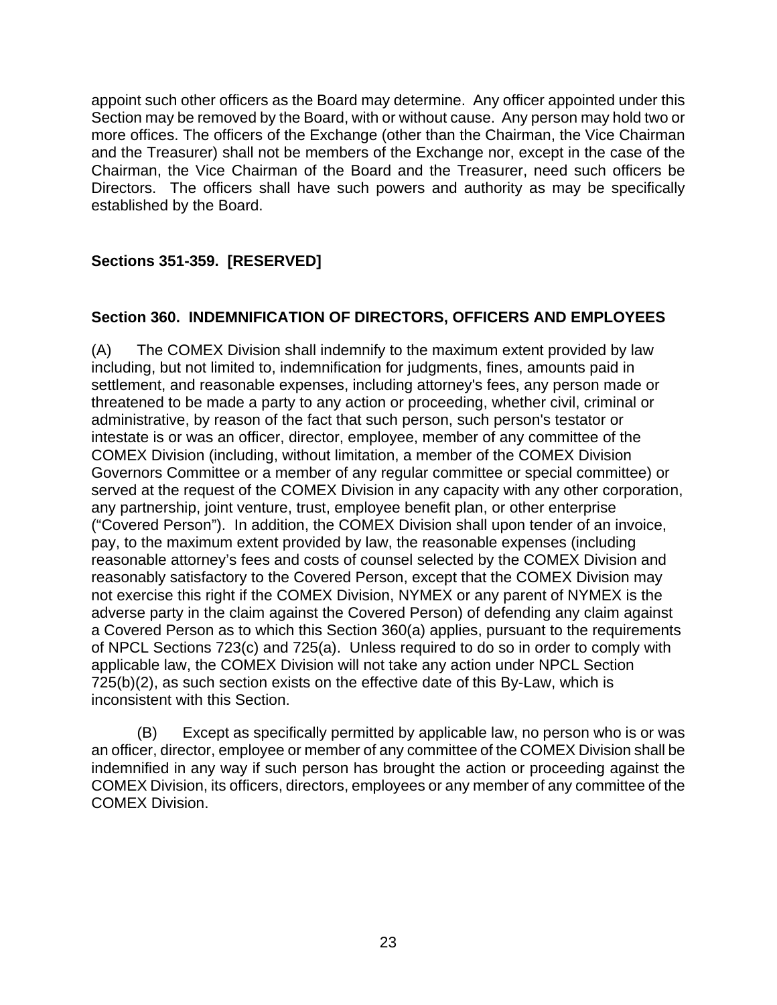<span id="page-27-0"></span>appoint such other officers as the Board may determine. Any officer appointed under this Section may be removed by the Board, with or without cause. Any person may hold two or more offices. The officers of the Exchange (other than the Chairman, the Vice Chairman and the Treasurer) shall not be members of the Exchange nor, except in the case of the Chairman, the Vice Chairman of the Board and the Treasurer, need such officers be Directors. The officers shall have such powers and authority as may be specifically established by the Board.

# **Sections 351-359. [RESERVED]**

# **Section 360. INDEMNIFICATION OF DIRECTORS, OFFICERS AND EMPLOYEES**

(A) The COMEX Division shall indemnify to the maximum extent provided by law including, but not limited to, indemnification for judgments, fines, amounts paid in settlement, and reasonable expenses, including attorney's fees, any person made or threatened to be made a party to any action or proceeding, whether civil, criminal or administrative, by reason of the fact that such person, such person's testator or intestate is or was an officer, director, employee, member of any committee of the COMEX Division (including, without limitation, a member of the COMEX Division Governors Committee or a member of any regular committee or special committee) or served at the request of the COMEX Division in any capacity with any other corporation, any partnership, joint venture, trust, employee benefit plan, or other enterprise ("Covered Person"). In addition, the COMEX Division shall upon tender of an invoice, pay, to the maximum extent provided by law, the reasonable expenses (including reasonable attorney's fees and costs of counsel selected by the COMEX Division and reasonably satisfactory to the Covered Person, except that the COMEX Division may not exercise this right if the COMEX Division, NYMEX or any parent of NYMEX is the adverse party in the claim against the Covered Person) of defending any claim against a Covered Person as to which this Section 360(a) applies, pursuant to the requirements of NPCL Sections 723(c) and 725(a). Unless required to do so in order to comply with applicable law, the COMEX Division will not take any action under NPCL Section 725(b)(2), as such section exists on the effective date of this By-Law, which is inconsistent with this Section.

(B) Except as specifically permitted by applicable law, no person who is or was an officer, director, employee or member of any committee of the COMEX Division shall be indemnified in any way if such person has brought the action or proceeding against the COMEX Division, its officers, directors, employees or any member of any committee of the COMEX Division.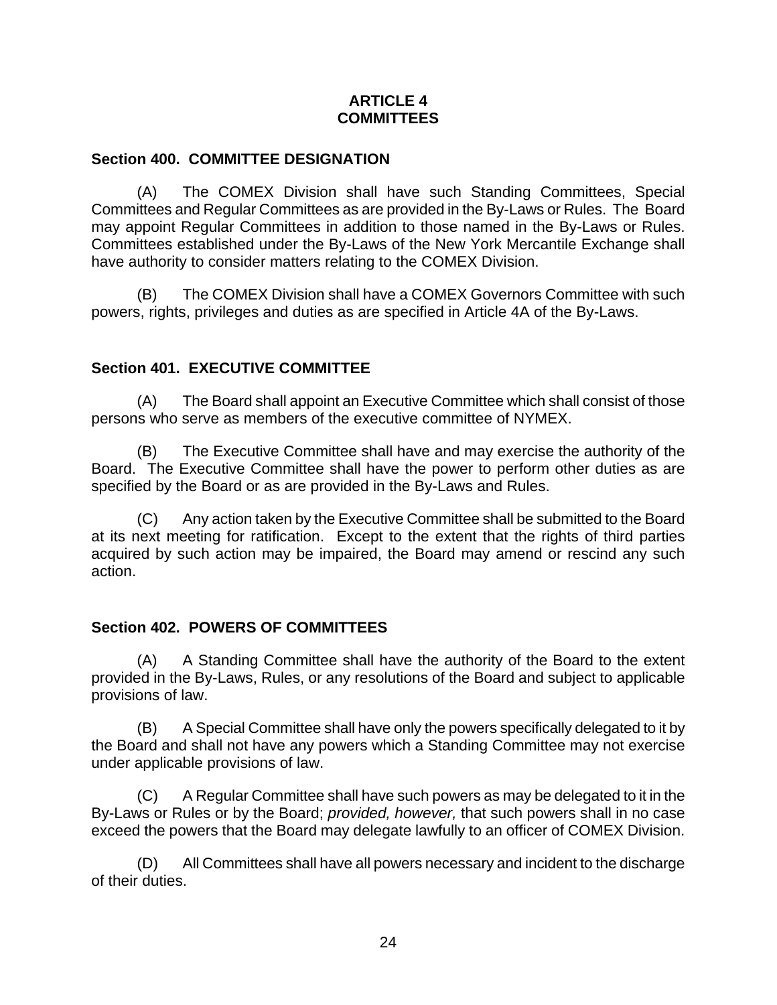### **ARTICLE 4 COMMITTEES**

### <span id="page-28-0"></span>**Section 400. COMMITTEE DESIGNATION**

(A) The COMEX Division shall have such Standing Committees, Special Committees and Regular Committees as are provided in the By-Laws or Rules. The Board may appoint Regular Committees in addition to those named in the By-Laws or Rules. Committees established under the By-Laws of the New York Mercantile Exchange shall have authority to consider matters relating to the COMEX Division.

(B) The COMEX Division shall have a COMEX Governors Committee with such powers, rights, privileges and duties as are specified in Article 4A of the By-Laws.

# **Section 401. EXECUTIVE COMMITTEE**

(A) The Board shall appoint an Executive Committee which shall consist of those persons who serve as members of the executive committee of NYMEX.

(B) The Executive Committee shall have and may exercise the authority of the Board. The Executive Committee shall have the power to perform other duties as are specified by the Board or as are provided in the By-Laws and Rules.

(C) Any action taken by the Executive Committee shall be submitted to the Board at its next meeting for ratification. Except to the extent that the rights of third parties acquired by such action may be impaired, the Board may amend or rescind any such action.

# **Section 402. POWERS OF COMMITTEES**

(A) A Standing Committee shall have the authority of the Board to the extent provided in the By-Laws, Rules, or any resolutions of the Board and subject to applicable provisions of law.

(B) A Special Committee shall have only the powers specifically delegated to it by the Board and shall not have any powers which a Standing Committee may not exercise under applicable provisions of law.

(C) A Regular Committee shall have such powers as may be delegated to it in the By-Laws or Rules or by the Board; *provided, however,* that such powers shall in no case exceed the powers that the Board may delegate lawfully to an officer of COMEX Division.

(D) All Committees shall have all powers necessary and incident to the discharge of their duties.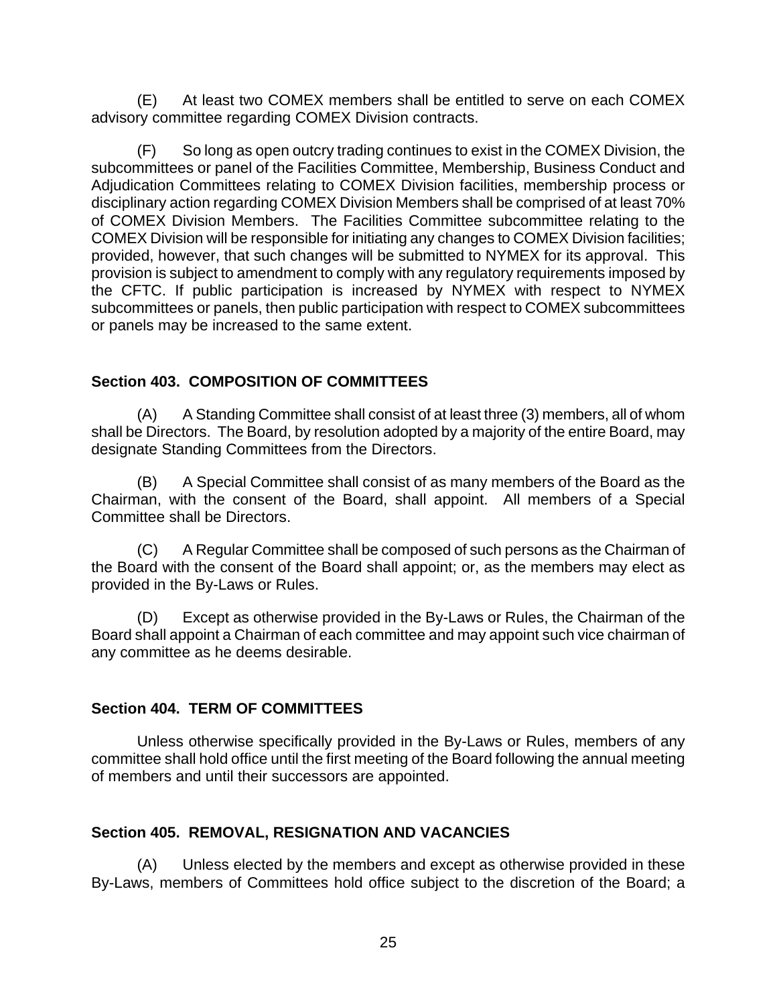<span id="page-29-0"></span>(E) At least two COMEX members shall be entitled to serve on each COMEX advisory committee regarding COMEX Division contracts.

(F) So long as open outcry trading continues to exist in the COMEX Division, the subcommittees or panel of the Facilities Committee, Membership, Business Conduct and Adjudication Committees relating to COMEX Division facilities, membership process or disciplinary action regarding COMEX Division Members shall be comprised of at least 70% of COMEX Division Members. The Facilities Committee subcommittee relating to the COMEX Division will be responsible for initiating any changes to COMEX Division facilities; provided, however, that such changes will be submitted to NYMEX for its approval. This provision is subject to amendment to comply with any regulatory requirements imposed by the CFTC. If public participation is increased by NYMEX with respect to NYMEX subcommittees or panels, then public participation with respect to COMEX subcommittees or panels may be increased to the same extent.

### **Section 403. COMPOSITION OF COMMITTEES**

(A) A Standing Committee shall consist of at least three (3) members, all of whom shall be Directors. The Board, by resolution adopted by a majority of the entire Board, may designate Standing Committees from the Directors.

(B) A Special Committee shall consist of as many members of the Board as the Chairman, with the consent of the Board, shall appoint. All members of a Special Committee shall be Directors.

(C) A Regular Committee shall be composed of such persons as the Chairman of the Board with the consent of the Board shall appoint; or, as the members may elect as provided in the By-Laws or Rules.

(D) Except as otherwise provided in the By-Laws or Rules, the Chairman of the Board shall appoint a Chairman of each committee and may appoint such vice chairman of any committee as he deems desirable.

# **Section 404. TERM OF COMMITTEES**

Unless otherwise specifically provided in the By-Laws or Rules, members of any committee shall hold office until the first meeting of the Board following the annual meeting of members and until their successors are appointed.

# **Section 405. REMOVAL, RESIGNATION AND VACANCIES**

(A) Unless elected by the members and except as otherwise provided in these By-Laws, members of Committees hold office subject to the discretion of the Board; a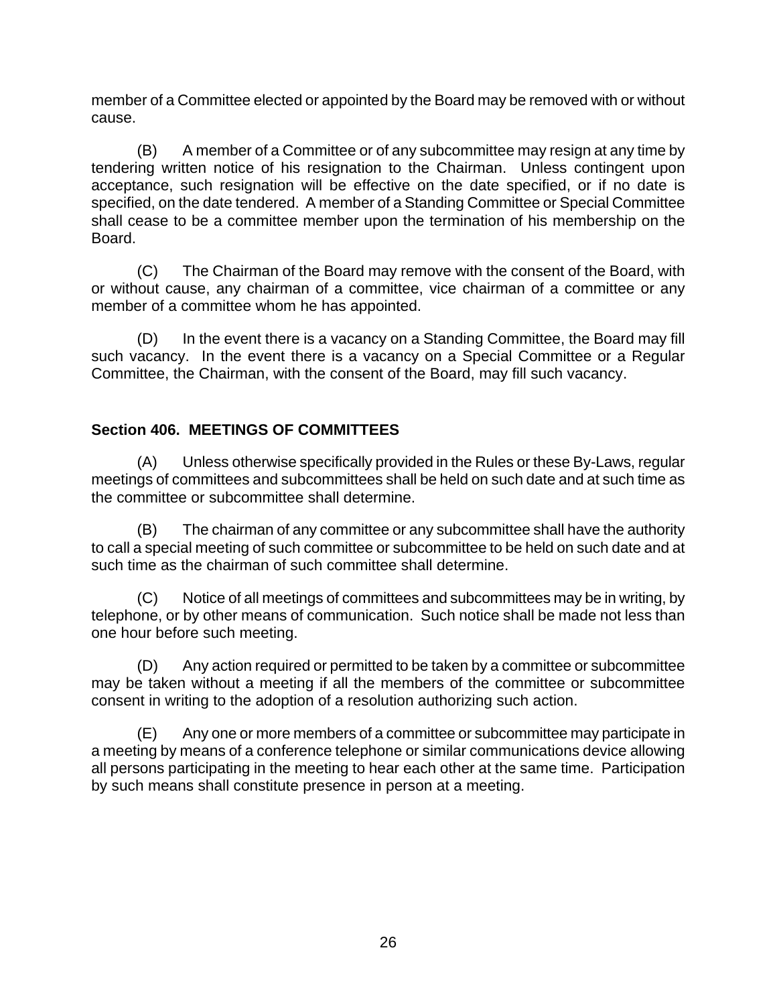<span id="page-30-0"></span>member of a Committee elected or appointed by the Board may be removed with or without cause.

(B) A member of a Committee or of any subcommittee may resign at any time by tendering written notice of his resignation to the Chairman. Unless contingent upon acceptance, such resignation will be effective on the date specified, or if no date is specified, on the date tendered. A member of a Standing Committee or Special Committee shall cease to be a committee member upon the termination of his membership on the Board.

(C) The Chairman of the Board may remove with the consent of the Board, with or without cause, any chairman of a committee, vice chairman of a committee or any member of a committee whom he has appointed.

(D) In the event there is a vacancy on a Standing Committee, the Board may fill such vacancy. In the event there is a vacancy on a Special Committee or a Regular Committee, the Chairman, with the consent of the Board, may fill such vacancy.

# **Section 406. MEETINGS OF COMMITTEES**

(A) Unless otherwise specifically provided in the Rules or these By-Laws, regular meetings of committees and subcommittees shall be held on such date and at such time as the committee or subcommittee shall determine.

(B) The chairman of any committee or any subcommittee shall have the authority to call a special meeting of such committee or subcommittee to be held on such date and at such time as the chairman of such committee shall determine.

(C) Notice of all meetings of committees and subcommittees may be in writing, by telephone, or by other means of communication. Such notice shall be made not less than one hour before such meeting.

(D) Any action required or permitted to be taken by a committee or subcommittee may be taken without a meeting if all the members of the committee or subcommittee consent in writing to the adoption of a resolution authorizing such action.

(E) Any one or more members of a committee or subcommittee may participate in a meeting by means of a conference telephone or similar communications device allowing all persons participating in the meeting to hear each other at the same time. Participation by such means shall constitute presence in person at a meeting.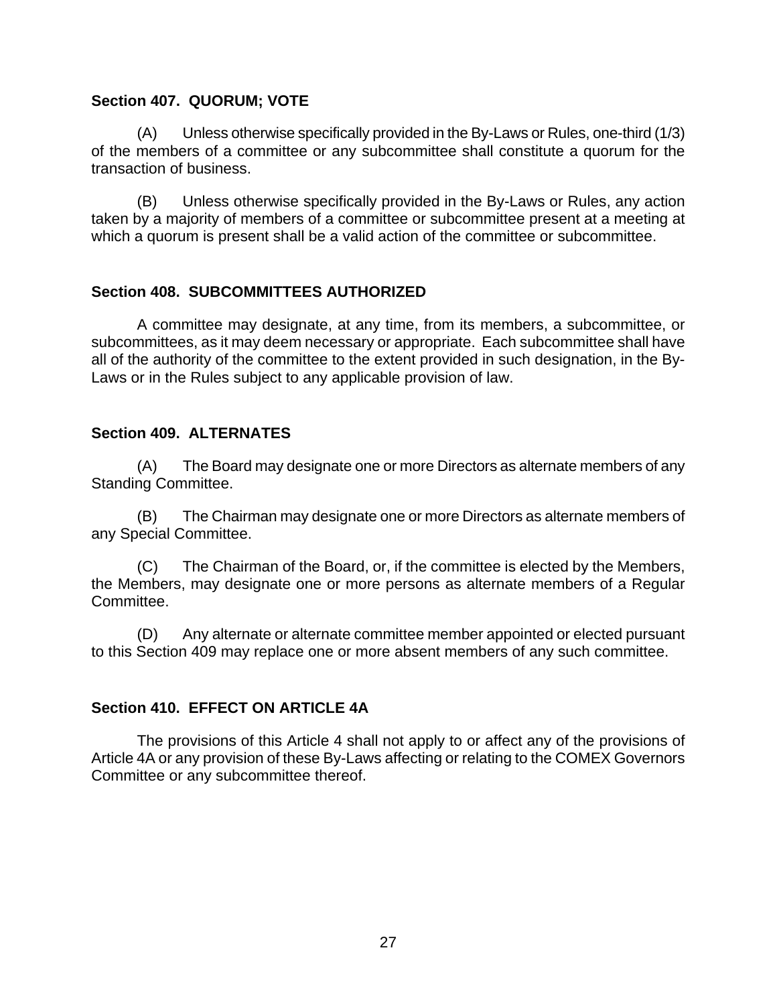#### <span id="page-31-0"></span>**Section 407. QUORUM; VOTE**

(A) Unless otherwise specifically provided in the By-Laws or Rules, one-third (1/3) of the members of a committee or any subcommittee shall constitute a quorum for the transaction of business.

(B) Unless otherwise specifically provided in the By-Laws or Rules, any action taken by a majority of members of a committee or subcommittee present at a meeting at which a quorum is present shall be a valid action of the committee or subcommittee.

### **Section 408. SUBCOMMITTEES AUTHORIZED**

A committee may designate, at any time, from its members, a subcommittee, or subcommittees, as it may deem necessary or appropriate. Each subcommittee shall have all of the authority of the committee to the extent provided in such designation, in the By-Laws or in the Rules subject to any applicable provision of law.

### **Section 409. ALTERNATES**

(A) The Board may designate one or more Directors as alternate members of any Standing Committee.

(B) The Chairman may designate one or more Directors as alternate members of any Special Committee.

(C) The Chairman of the Board, or, if the committee is elected by the Members, the Members, may designate one or more persons as alternate members of a Regular Committee.

(D) Any alternate or alternate committee member appointed or elected pursuant to this Section 409 may replace one or more absent members of any such committee.

### **Section 410. EFFECT ON ARTICLE 4A**

The provisions of this Article 4 shall not apply to or affect any of the provisions of Article 4A or any provision of these By-Laws affecting or relating to the COMEX Governors Committee or any subcommittee thereof.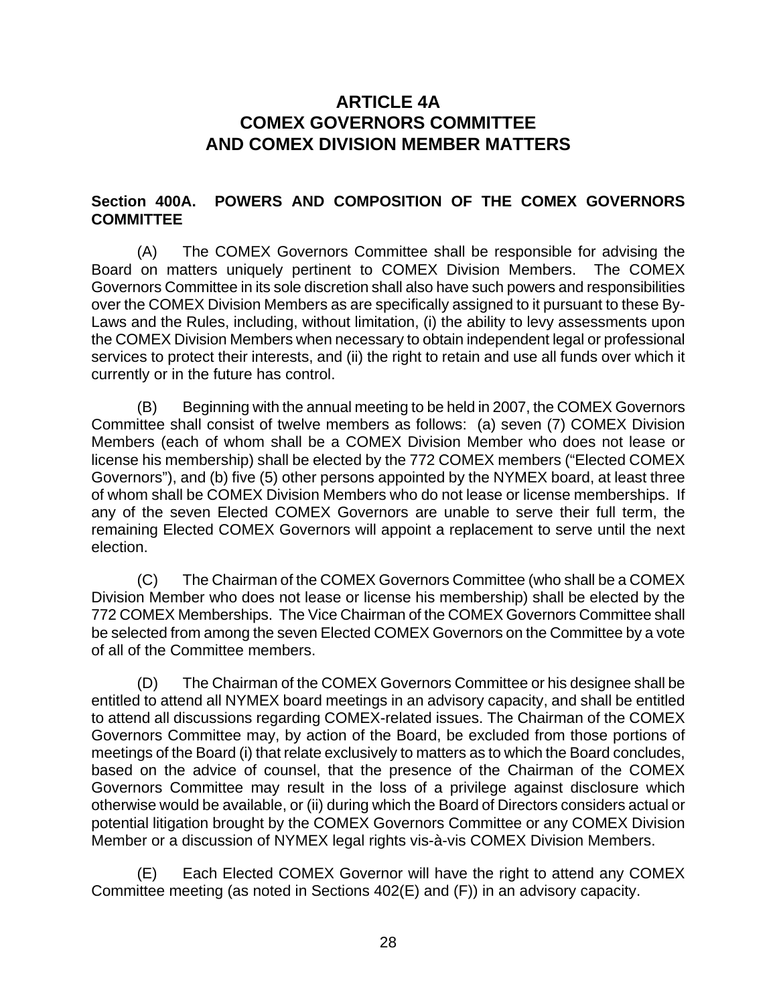# **ARTICLE 4A COMEX GOVERNORS COMMITTEE AND COMEX DIVISION MEMBER MATTERS**

### <span id="page-32-0"></span>**Section 400A. POWERS AND COMPOSITION OF THE COMEX GOVERNORS COMMITTEE**

(A) The COMEX Governors Committee shall be responsible for advising the Board on matters uniquely pertinent to COMEX Division Members. The COMEX Governors Committee in its sole discretion shall also have such powers and responsibilities over the COMEX Division Members as are specifically assigned to it pursuant to these By-Laws and the Rules, including, without limitation, (i) the ability to levy assessments upon the COMEX Division Members when necessary to obtain independent legal or professional services to protect their interests, and (ii) the right to retain and use all funds over which it currently or in the future has control.

(B) Beginning with the annual meeting to be held in 2007, the COMEX Governors Committee shall consist of twelve members as follows: (a) seven (7) COMEX Division Members (each of whom shall be a COMEX Division Member who does not lease or license his membership) shall be elected by the 772 COMEX members ("Elected COMEX Governors"), and (b) five (5) other persons appointed by the NYMEX board, at least three of whom shall be COMEX Division Members who do not lease or license memberships. If any of the seven Elected COMEX Governors are unable to serve their full term, the remaining Elected COMEX Governors will appoint a replacement to serve until the next election.

(C) The Chairman of the COMEX Governors Committee (who shall be a COMEX Division Member who does not lease or license his membership) shall be elected by the 772 COMEX Memberships. The Vice Chairman of the COMEX Governors Committee shall be selected from among the seven Elected COMEX Governors on the Committee by a vote of all of the Committee members.

(D) The Chairman of the COMEX Governors Committee or his designee shall be entitled to attend all NYMEX board meetings in an advisory capacity, and shall be entitled to attend all discussions regarding COMEX-related issues. The Chairman of the COMEX Governors Committee may, by action of the Board, be excluded from those portions of meetings of the Board (i) that relate exclusively to matters as to which the Board concludes, based on the advice of counsel, that the presence of the Chairman of the COMEX Governors Committee may result in the loss of a privilege against disclosure which otherwise would be available, or (ii) during which the Board of Directors considers actual or potential litigation brought by the COMEX Governors Committee or any COMEX Division Member or a discussion of NYMEX legal rights vis-à-vis COMEX Division Members.

(E) Each Elected COMEX Governor will have the right to attend any COMEX Committee meeting (as noted in Sections 402(E) and (F)) in an advisory capacity.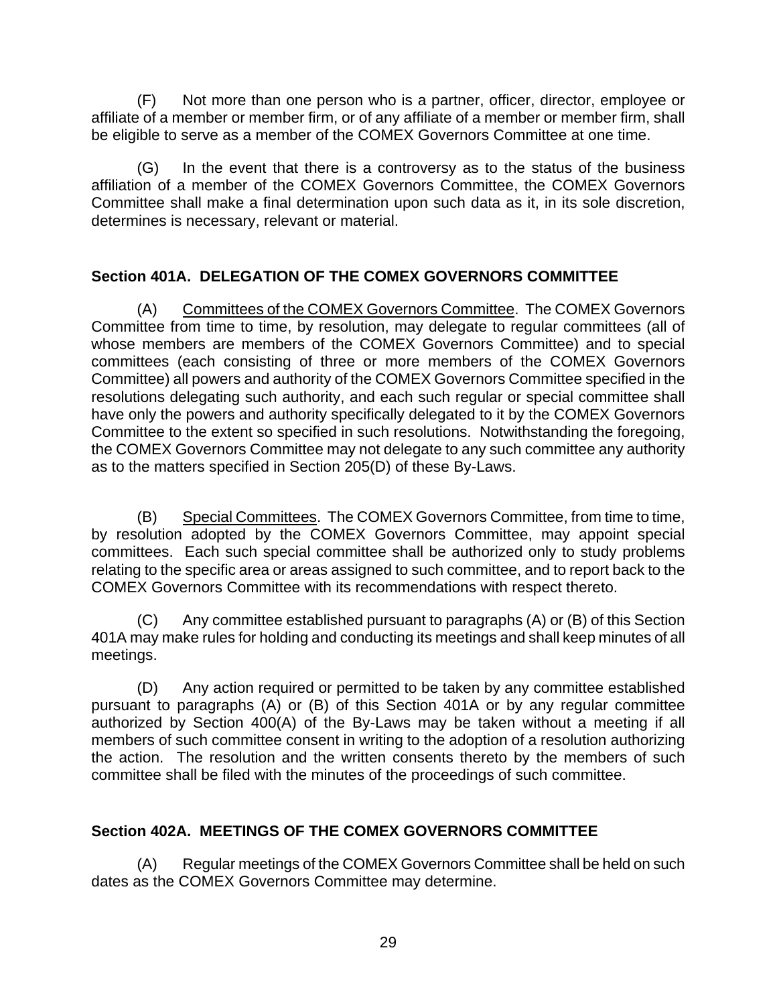<span id="page-33-0"></span>(F) Not more than one person who is a partner, officer, director, employee or affiliate of a member or member firm, or of any affiliate of a member or member firm, shall be eligible to serve as a member of the COMEX Governors Committee at one time.

(G) In the event that there is a controversy as to the status of the business affiliation of a member of the COMEX Governors Committee, the COMEX Governors Committee shall make a final determination upon such data as it, in its sole discretion, determines is necessary, relevant or material.

# **Section 401A. DELEGATION OF THE COMEX GOVERNORS COMMITTEE**

(A) Committees of the COMEX Governors Committee. The COMEX Governors Committee from time to time, by resolution, may delegate to regular committees (all of whose members are members of the COMEX Governors Committee) and to special committees (each consisting of three or more members of the COMEX Governors Committee) all powers and authority of the COMEX Governors Committee specified in the resolutions delegating such authority, and each such regular or special committee shall have only the powers and authority specifically delegated to it by the COMEX Governors Committee to the extent so specified in such resolutions. Notwithstanding the foregoing, the COMEX Governors Committee may not delegate to any such committee any authority as to the matters specified in Section 205(D) of these By-Laws.

(B) Special Committees. The COMEX Governors Committee, from time to time, by resolution adopted by the COMEX Governors Committee, may appoint special committees. Each such special committee shall be authorized only to study problems relating to the specific area or areas assigned to such committee, and to report back to the COMEX Governors Committee with its recommendations with respect thereto.

(C) Any committee established pursuant to paragraphs (A) or (B) of this Section 401A may make rules for holding and conducting its meetings and shall keep minutes of all meetings.

(D) Any action required or permitted to be taken by any committee established pursuant to paragraphs (A) or (B) of this Section 401A or by any regular committee authorized by Section 400(A) of the By-Laws may be taken without a meeting if all members of such committee consent in writing to the adoption of a resolution authorizing the action. The resolution and the written consents thereto by the members of such committee shall be filed with the minutes of the proceedings of such committee.

# **Section 402A. MEETINGS OF THE COMEX GOVERNORS COMMITTEE**

(A) Regular meetings of the COMEX Governors Committee shall be held on such dates as the COMEX Governors Committee may determine.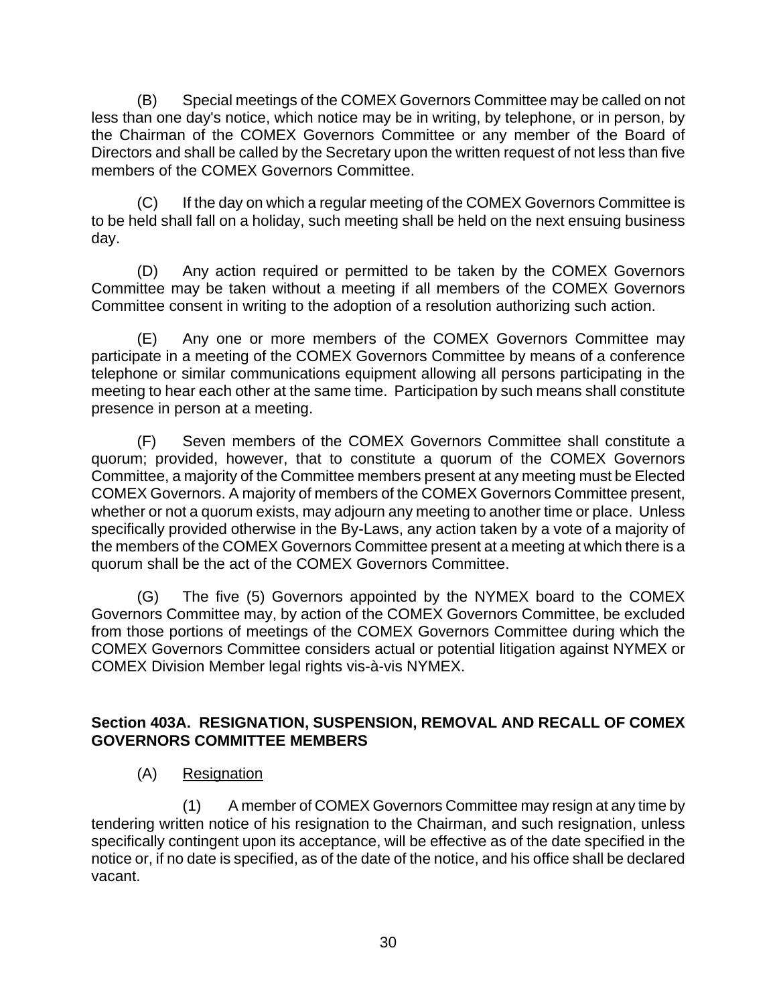<span id="page-34-0"></span>(B) Special meetings of the COMEX Governors Committee may be called on not less than one day's notice, which notice may be in writing, by telephone, or in person, by the Chairman of the COMEX Governors Committee or any member of the Board of Directors and shall be called by the Secretary upon the written request of not less than five members of the COMEX Governors Committee.

(C) If the day on which a regular meeting of the COMEX Governors Committee is to be held shall fall on a holiday, such meeting shall be held on the next ensuing business day.

(D) Any action required or permitted to be taken by the COMEX Governors Committee may be taken without a meeting if all members of the COMEX Governors Committee consent in writing to the adoption of a resolution authorizing such action.

(E) Any one or more members of the COMEX Governors Committee may participate in a meeting of the COMEX Governors Committee by means of a conference telephone or similar communications equipment allowing all persons participating in the meeting to hear each other at the same time. Participation by such means shall constitute presence in person at a meeting.

(F) Seven members of the COMEX Governors Committee shall constitute a quorum; provided, however, that to constitute a quorum of the COMEX Governors Committee, a majority of the Committee members present at any meeting must be Elected COMEX Governors. A majority of members of the COMEX Governors Committee present, whether or not a quorum exists, may adjourn any meeting to another time or place. Unless specifically provided otherwise in the By-Laws, any action taken by a vote of a majority of the members of the COMEX Governors Committee present at a meeting at which there is a quorum shall be the act of the COMEX Governors Committee.

(G) The five (5) Governors appointed by the NYMEX board to the COMEX Governors Committee may, by action of the COMEX Governors Committee, be excluded from those portions of meetings of the COMEX Governors Committee during which the COMEX Governors Committee considers actual or potential litigation against NYMEX or COMEX Division Member legal rights vis-à-vis NYMEX.

# **Section 403A. RESIGNATION, SUSPENSION, REMOVAL AND RECALL OF COMEX GOVERNORS COMMITTEE MEMBERS**

(A) Resignation

(1) A member of COMEX Governors Committee may resign at any time by tendering written notice of his resignation to the Chairman, and such resignation, unless specifically contingent upon its acceptance, will be effective as of the date specified in the notice or, if no date is specified, as of the date of the notice, and his office shall be declared vacant.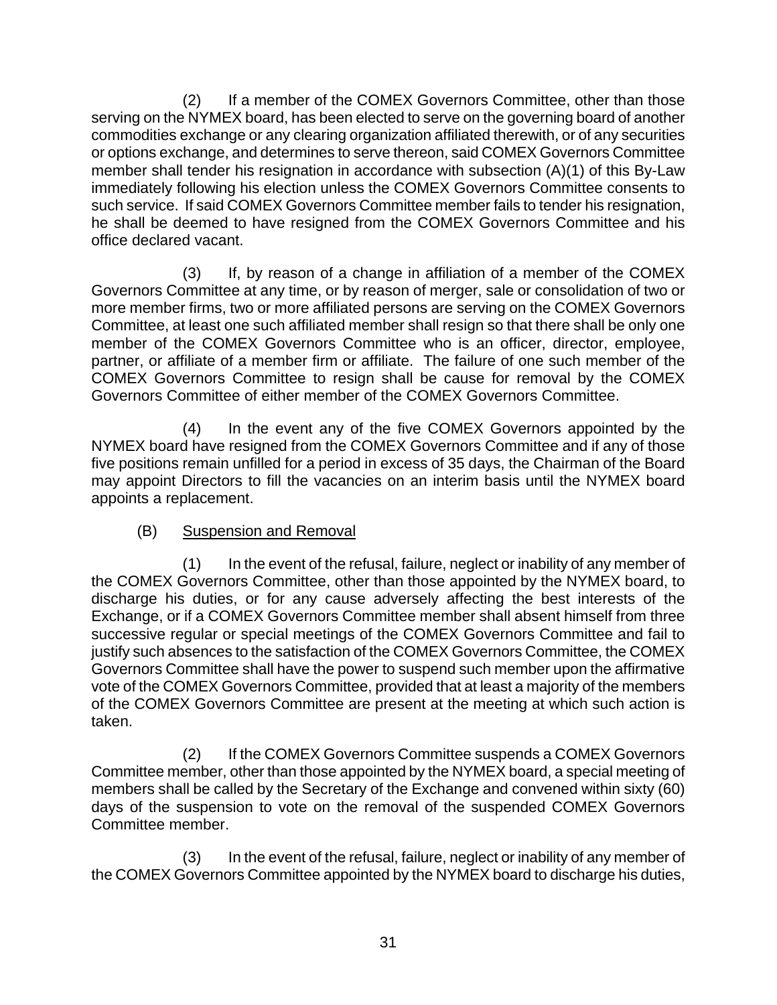(2) If a member of the COMEX Governors Committee, other than those serving on the NYMEX board, has been elected to serve on the governing board of another commodities exchange or any clearing organization affiliated therewith, or of any securities or options exchange, and determines to serve thereon, said COMEX Governors Committee member shall tender his resignation in accordance with subsection (A)(1) of this By-Law immediately following his election unless the COMEX Governors Committee consents to such service. If said COMEX Governors Committee member fails to tender his resignation, he shall be deemed to have resigned from the COMEX Governors Committee and his office declared vacant.

(3) If, by reason of a change in affiliation of a member of the COMEX Governors Committee at any time, or by reason of merger, sale or consolidation of two or more member firms, two or more affiliated persons are serving on the COMEX Governors Committee, at least one such affiliated member shall resign so that there shall be only one member of the COMEX Governors Committee who is an officer, director, employee, partner, or affiliate of a member firm or affiliate. The failure of one such member of the COMEX Governors Committee to resign shall be cause for removal by the COMEX Governors Committee of either member of the COMEX Governors Committee.

(4) In the event any of the five COMEX Governors appointed by the NYMEX board have resigned from the COMEX Governors Committee and if any of those five positions remain unfilled for a period in excess of 35 days, the Chairman of the Board may appoint Directors to fill the vacancies on an interim basis until the NYMEX board appoints a replacement.

# (B) Suspension and Removal

(1) In the event of the refusal, failure, neglect or inability of any member of the COMEX Governors Committee, other than those appointed by the NYMEX board, to discharge his duties, or for any cause adversely affecting the best interests of the Exchange, or if a COMEX Governors Committee member shall absent himself from three successive regular or special meetings of the COMEX Governors Committee and fail to justify such absences to the satisfaction of the COMEX Governors Committee, the COMEX Governors Committee shall have the power to suspend such member upon the affirmative vote of the COMEX Governors Committee, provided that at least a majority of the members of the COMEX Governors Committee are present at the meeting at which such action is taken.

(2) If the COMEX Governors Committee suspends a COMEX Governors Committee member, other than those appointed by the NYMEX board, a special meeting of members shall be called by the Secretary of the Exchange and convened within sixty (60) days of the suspension to vote on the removal of the suspended COMEX Governors Committee member.

(3) In the event of the refusal, failure, neglect or inability of any member of the COMEX Governors Committee appointed by the NYMEX board to discharge his duties,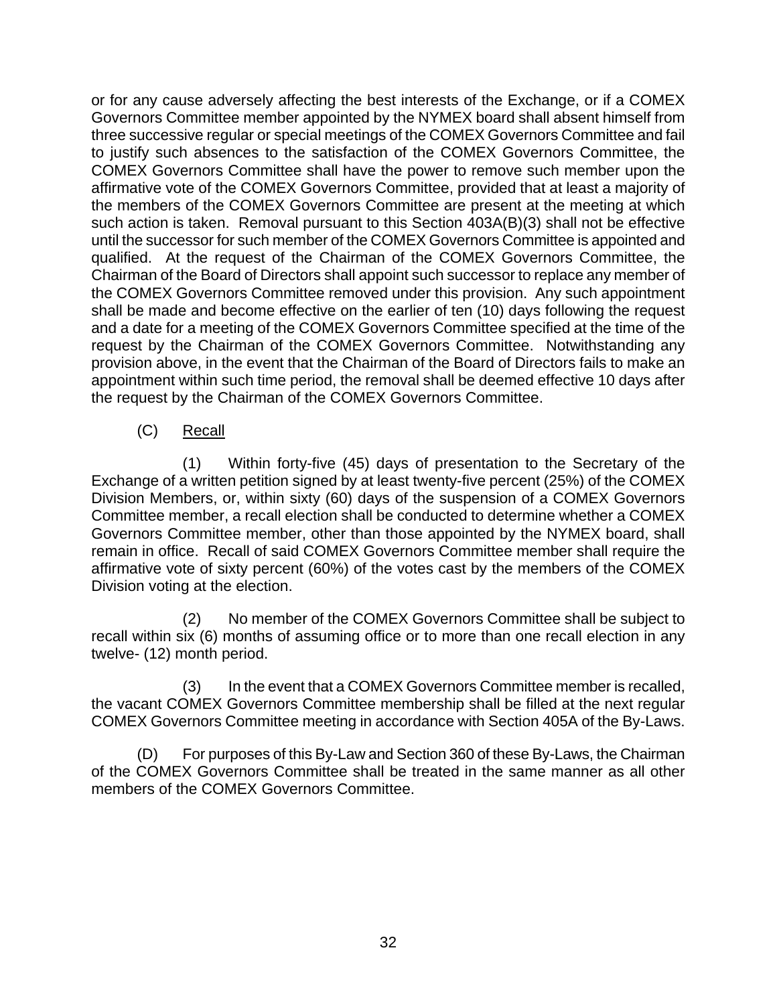or for any cause adversely affecting the best interests of the Exchange, or if a COMEX Governors Committee member appointed by the NYMEX board shall absent himself from three successive regular or special meetings of the COMEX Governors Committee and fail to justify such absences to the satisfaction of the COMEX Governors Committee, the COMEX Governors Committee shall have the power to remove such member upon the affirmative vote of the COMEX Governors Committee, provided that at least a majority of the members of the COMEX Governors Committee are present at the meeting at which such action is taken. Removal pursuant to this Section 403A(B)(3) shall not be effective until the successor for such member of the COMEX Governors Committee is appointed and qualified. At the request of the Chairman of the COMEX Governors Committee, the Chairman of the Board of Directors shall appoint such successor to replace any member of the COMEX Governors Committee removed under this provision. Any such appointment shall be made and become effective on the earlier of ten (10) days following the request and a date for a meeting of the COMEX Governors Committee specified at the time of the request by the Chairman of the COMEX Governors Committee. Notwithstanding any provision above, in the event that the Chairman of the Board of Directors fails to make an appointment within such time period, the removal shall be deemed effective 10 days after the request by the Chairman of the COMEX Governors Committee.

(C) Recall

(1) Within forty-five (45) days of presentation to the Secretary of the Exchange of a written petition signed by at least twenty-five percent (25%) of the COMEX Division Members, or, within sixty (60) days of the suspension of a COMEX Governors Committee member, a recall election shall be conducted to determine whether a COMEX Governors Committee member, other than those appointed by the NYMEX board, shall remain in office. Recall of said COMEX Governors Committee member shall require the affirmative vote of sixty percent (60%) of the votes cast by the members of the COMEX Division voting at the election.

(2) No member of the COMEX Governors Committee shall be subject to recall within six (6) months of assuming office or to more than one recall election in any twelve- (12) month period.

(3) In the event that a COMEX Governors Committee member is recalled, the vacant COMEX Governors Committee membership shall be filled at the next regular COMEX Governors Committee meeting in accordance with Section 405A of the By-Laws.

(D) For purposes of this By-Law and Section 360 of these By-Laws, the Chairman of the COMEX Governors Committee shall be treated in the same manner as all other members of the COMEX Governors Committee.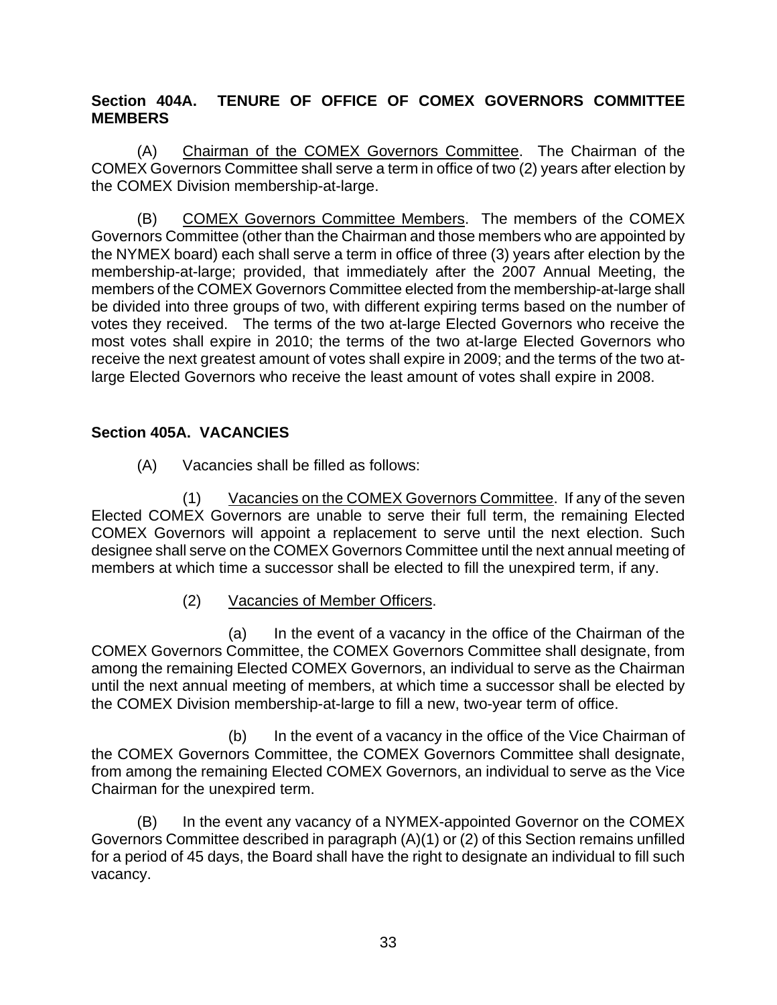# <span id="page-37-0"></span>**Section 404A. TENURE OF OFFICE OF COMEX GOVERNORS COMMITTEE MEMBERS**

(A) Chairman of the COMEX Governors Committee. The Chairman of the COMEX Governors Committee shall serve a term in office of two (2) years after election by the COMEX Division membership-at-large.

(B) COMEX Governors Committee Members. The members of the COMEX Governors Committee (other than the Chairman and those members who are appointed by the NYMEX board) each shall serve a term in office of three (3) years after election by the membership-at-large; provided, that immediately after the 2007 Annual Meeting, the members of the COMEX Governors Committee elected from the membership-at-large shall be divided into three groups of two, with different expiring terms based on the number of votes they received. The terms of the two at-large Elected Governors who receive the most votes shall expire in 2010; the terms of the two at-large Elected Governors who receive the next greatest amount of votes shall expire in 2009; and the terms of the two atlarge Elected Governors who receive the least amount of votes shall expire in 2008.

# **Section 405A. VACANCIES**

(A) Vacancies shall be filled as follows:

(1) Vacancies on the COMEX Governors Committee. If any of the seven Elected COMEX Governors are unable to serve their full term, the remaining Elected COMEX Governors will appoint a replacement to serve until the next election. Such designee shall serve on the COMEX Governors Committee until the next annual meeting of members at which time a successor shall be elected to fill the unexpired term, if any.

(2) Vacancies of Member Officers.

(a) In the event of a vacancy in the office of the Chairman of the COMEX Governors Committee, the COMEX Governors Committee shall designate, from among the remaining Elected COMEX Governors, an individual to serve as the Chairman until the next annual meeting of members, at which time a successor shall be elected by the COMEX Division membership-at-large to fill a new, two-year term of office.

(b) In the event of a vacancy in the office of the Vice Chairman of the COMEX Governors Committee, the COMEX Governors Committee shall designate, from among the remaining Elected COMEX Governors, an individual to serve as the Vice Chairman for the unexpired term.

(B) In the event any vacancy of a NYMEX-appointed Governor on the COMEX Governors Committee described in paragraph (A)(1) or (2) of this Section remains unfilled for a period of 45 days, the Board shall have the right to designate an individual to fill such vacancy.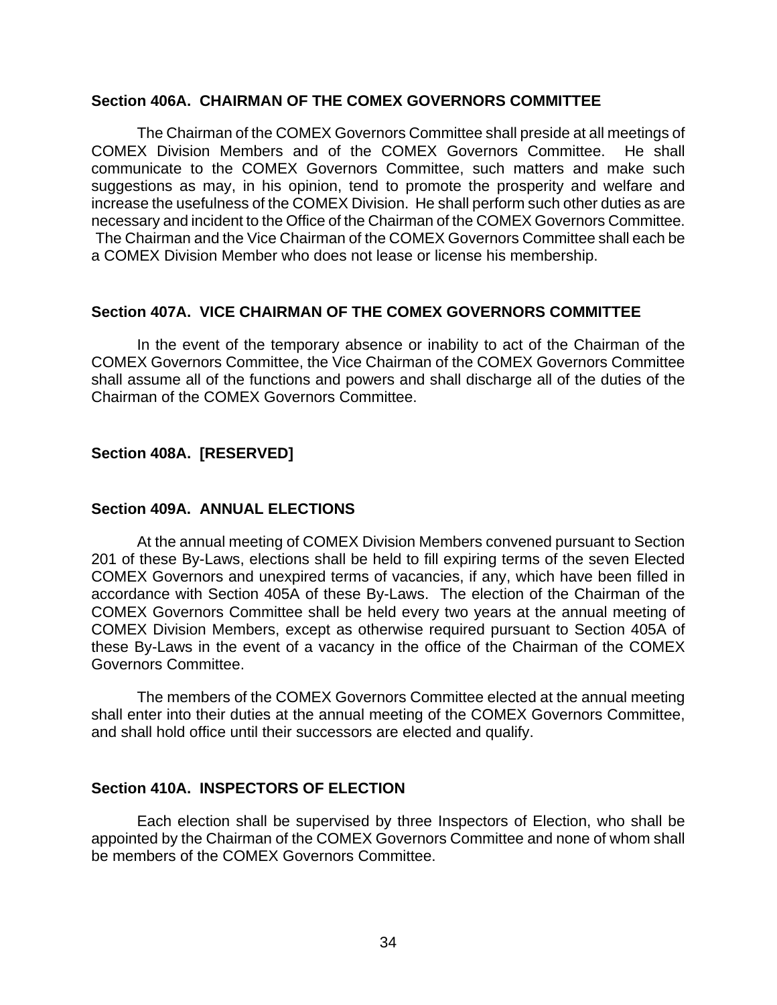#### <span id="page-38-0"></span>**Section 406A. CHAIRMAN OF THE COMEX GOVERNORS COMMITTEE**

The Chairman of the COMEX Governors Committee shall preside at all meetings of COMEX Division Members and of the COMEX Governors Committee. He shall communicate to the COMEX Governors Committee, such matters and make such suggestions as may, in his opinion, tend to promote the prosperity and welfare and increase the usefulness of the COMEX Division. He shall perform such other duties as are necessary and incident to the Office of the Chairman of the COMEX Governors Committee. The Chairman and the Vice Chairman of the COMEX Governors Committee shall each be a COMEX Division Member who does not lease or license his membership.

#### **Section 407A. VICE CHAIRMAN OF THE COMEX GOVERNORS COMMITTEE**

In the event of the temporary absence or inability to act of the Chairman of the COMEX Governors Committee, the Vice Chairman of the COMEX Governors Committee shall assume all of the functions and powers and shall discharge all of the duties of the Chairman of the COMEX Governors Committee.

### **Section 408A. [RESERVED]**

#### **Section 409A. ANNUAL ELECTIONS**

At the annual meeting of COMEX Division Members convened pursuant to Section 201 of these By-Laws, elections shall be held to fill expiring terms of the seven Elected COMEX Governors and unexpired terms of vacancies, if any, which have been filled in accordance with Section 405A of these By-Laws. The election of the Chairman of the COMEX Governors Committee shall be held every two years at the annual meeting of COMEX Division Members, except as otherwise required pursuant to Section 405A of these By-Laws in the event of a vacancy in the office of the Chairman of the COMEX Governors Committee.

The members of the COMEX Governors Committee elected at the annual meeting shall enter into their duties at the annual meeting of the COMEX Governors Committee, and shall hold office until their successors are elected and qualify.

### **Section 410A. INSPECTORS OF ELECTION**

Each election shall be supervised by three Inspectors of Election, who shall be appointed by the Chairman of the COMEX Governors Committee and none of whom shall be members of the COMEX Governors Committee.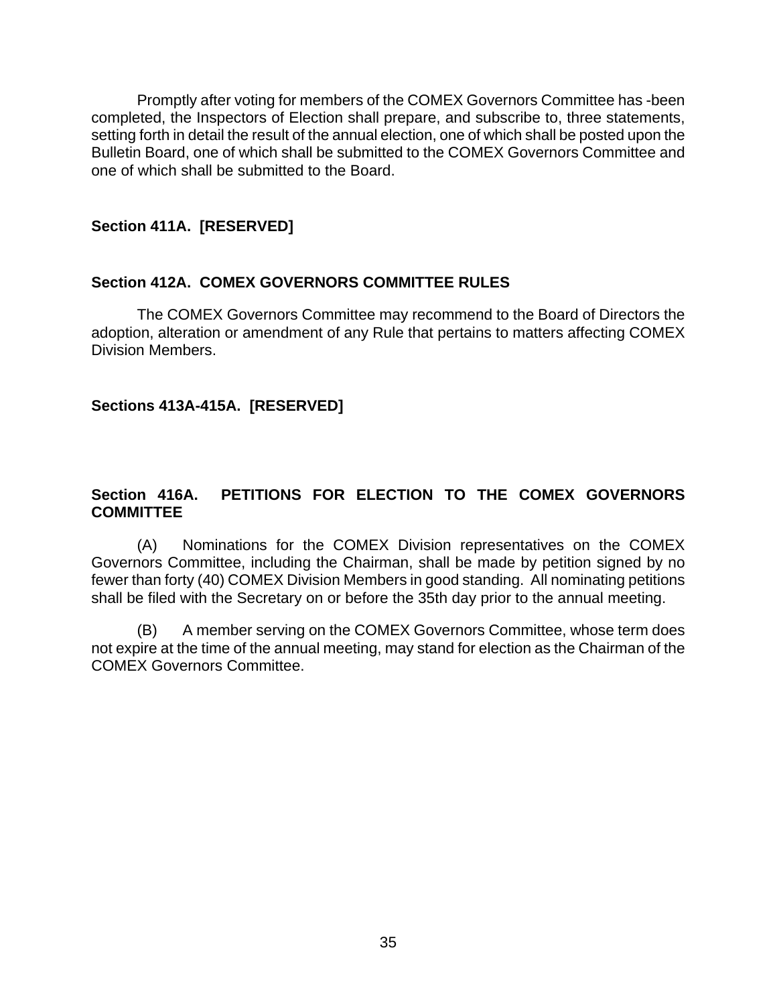<span id="page-39-0"></span>Promptly after voting for members of the COMEX Governors Committee has -been completed, the Inspectors of Election shall prepare, and subscribe to, three statements, setting forth in detail the result of the annual election, one of which shall be posted upon the Bulletin Board, one of which shall be submitted to the COMEX Governors Committee and one of which shall be submitted to the Board.

### **Section 411A. [RESERVED]**

### **Section 412A. COMEX GOVERNORS COMMITTEE RULES**

The COMEX Governors Committee may recommend to the Board of Directors the adoption, alteration or amendment of any Rule that pertains to matters affecting COMEX Division Members.

### **Sections 413A-415A. [RESERVED]**

### **Section 416A. PETITIONS FOR ELECTION TO THE COMEX GOVERNORS COMMITTEE**

(A) Nominations for the COMEX Division representatives on the COMEX Governors Committee, including the Chairman, shall be made by petition signed by no fewer than forty (40) COMEX Division Members in good standing. All nominating petitions shall be filed with the Secretary on or before the 35th day prior to the annual meeting.

(B) A member serving on the COMEX Governors Committee, whose term does not expire at the time of the annual meeting, may stand for election as the Chairman of the COMEX Governors Committee.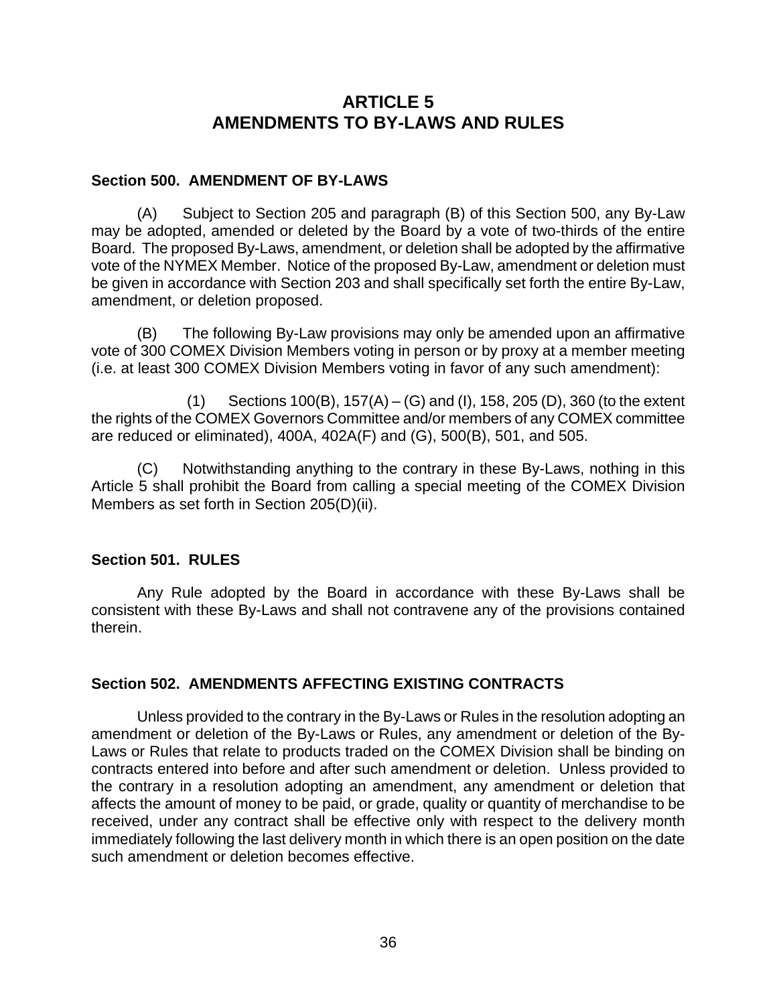# **ARTICLE 5 AMENDMENTS TO BY-LAWS AND RULES**

### <span id="page-40-0"></span>**Section 500. AMENDMENT OF BY-LAWS**

(A) Subject to Section 205 and paragraph (B) of this Section 500, any By-Law may be adopted, amended or deleted by the Board by a vote of two-thirds of the entire Board. The proposed By-Laws, amendment, or deletion shall be adopted by the affirmative vote of the NYMEX Member. Notice of the proposed By-Law, amendment or deletion must be given in accordance with Section 203 and shall specifically set forth the entire By-Law, amendment, or deletion proposed.

(B) The following By-Law provisions may only be amended upon an affirmative vote of 300 COMEX Division Members voting in person or by proxy at a member meeting (i.e. at least 300 COMEX Division Members voting in favor of any such amendment):

 (1) Sections 100(B), 157(A) – (G) and (I), 158, 205 (D), 360 (to the extent the rights of the COMEX Governors Committee and/or members of any COMEX committee are reduced or eliminated), 400A, 402A(F) and (G), 500(B), 501, and 505.

(C) Notwithstanding anything to the contrary in these By-Laws, nothing in this Article 5 shall prohibit the Board from calling a special meeting of the COMEX Division Members as set forth in Section 205(D)(ii).

### **Section 501. RULES**

Any Rule adopted by the Board in accordance with these By-Laws shall be consistent with these By-Laws and shall not contravene any of the provisions contained therein.

### **Section 502. AMENDMENTS AFFECTING EXISTING CONTRACTS**

Unless provided to the contrary in the By-Laws or Rules in the resolution adopting an amendment or deletion of the By-Laws or Rules, any amendment or deletion of the By-Laws or Rules that relate to products traded on the COMEX Division shall be binding on contracts entered into before and after such amendment or deletion. Unless provided to the contrary in a resolution adopting an amendment, any amendment or deletion that affects the amount of money to be paid, or grade, quality or quantity of merchandise to be received, under any contract shall be effective only with respect to the delivery month immediately following the last delivery month in which there is an open position on the date such amendment or deletion becomes effective.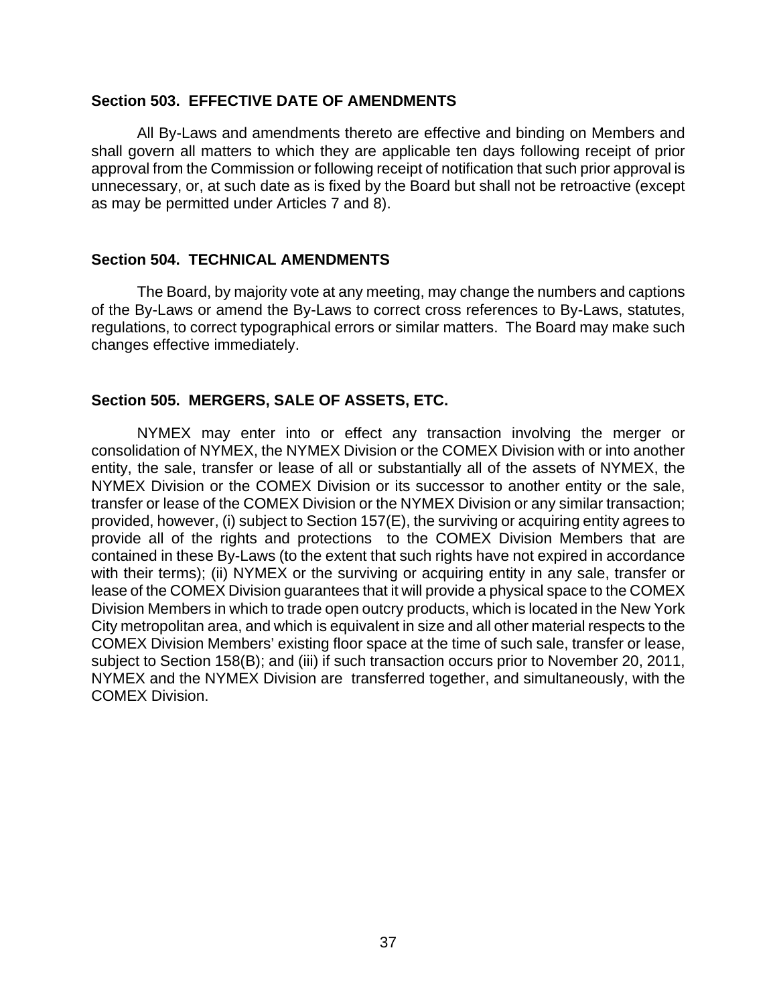#### <span id="page-41-0"></span>**Section 503. EFFECTIVE DATE OF AMENDMENTS**

All By-Laws and amendments thereto are effective and binding on Members and shall govern all matters to which they are applicable ten days following receipt of prior approval from the Commission or following receipt of notification that such prior approval is unnecessary, or, at such date as is fixed by the Board but shall not be retroactive (except as may be permitted under Articles 7 and 8).

#### **Section 504. TECHNICAL AMENDMENTS**

The Board, by majority vote at any meeting, may change the numbers and captions of the By-Laws or amend the By-Laws to correct cross references to By-Laws, statutes, regulations, to correct typographical errors or similar matters. The Board may make such changes effective immediately.

#### **Section 505. MERGERS, SALE OF ASSETS, ETC.**

NYMEX may enter into or effect any transaction involving the merger or consolidation of NYMEX, the NYMEX Division or the COMEX Division with or into another entity, the sale, transfer or lease of all or substantially all of the assets of NYMEX, the NYMEX Division or the COMEX Division or its successor to another entity or the sale, transfer or lease of the COMEX Division or the NYMEX Division or any similar transaction; provided, however, (i) subject to Section 157(E), the surviving or acquiring entity agrees to provide all of the rights and protections to the COMEX Division Members that are contained in these By-Laws (to the extent that such rights have not expired in accordance with their terms); (ii) NYMEX or the surviving or acquiring entity in any sale, transfer or lease of the COMEX Division guarantees that it will provide a physical space to the COMEX Division Members in which to trade open outcry products, which is located in the New York City metropolitan area, and which is equivalent in size and all other material respects to the COMEX Division Members' existing floor space at the time of such sale, transfer or lease, subject to Section 158(B); and (iii) if such transaction occurs prior to November 20, 2011, NYMEX and the NYMEX Division are transferred together, and simultaneously, with the COMEX Division.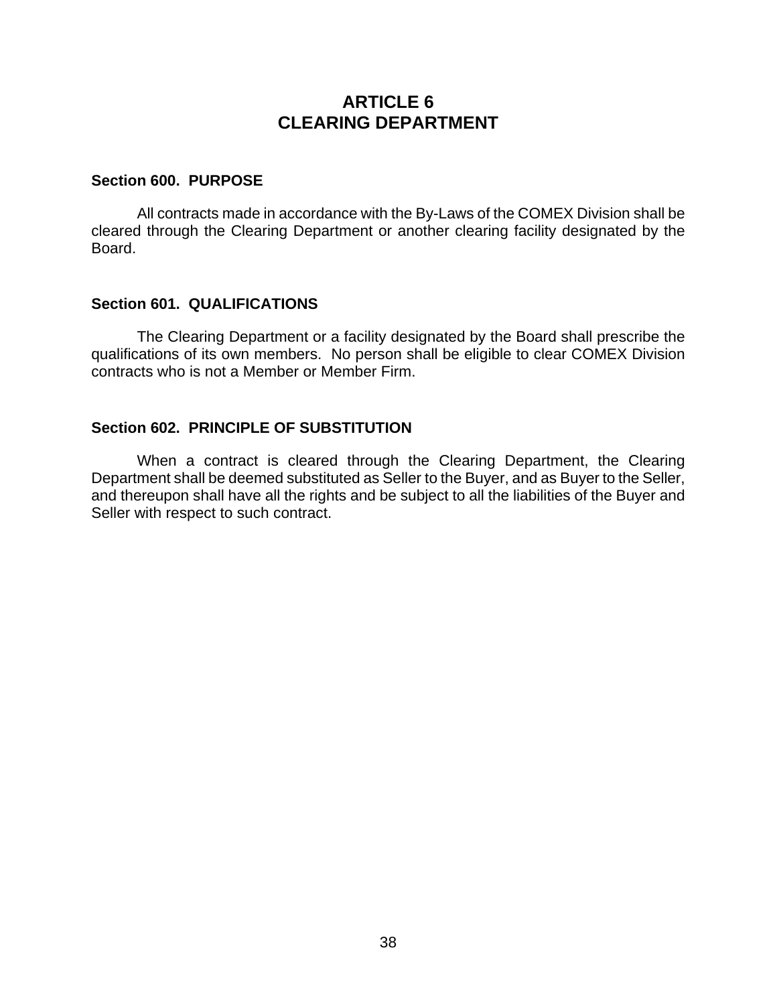# **ARTICLE 6 CLEARING DEPARTMENT**

#### <span id="page-42-0"></span>**Section 600. PURPOSE**

All contracts made in accordance with the By-Laws of the COMEX Division shall be cleared through the Clearing Department or another clearing facility designated by the Board.

#### **Section 601. QUALIFICATIONS**

The Clearing Department or a facility designated by the Board shall prescribe the qualifications of its own members. No person shall be eligible to clear COMEX Division contracts who is not a Member or Member Firm.

#### **Section 602. PRINCIPLE OF SUBSTITUTION**

When a contract is cleared through the Clearing Department, the Clearing Department shall be deemed substituted as Seller to the Buyer, and as Buyer to the Seller, and thereupon shall have all the rights and be subject to all the liabilities of the Buyer and Seller with respect to such contract.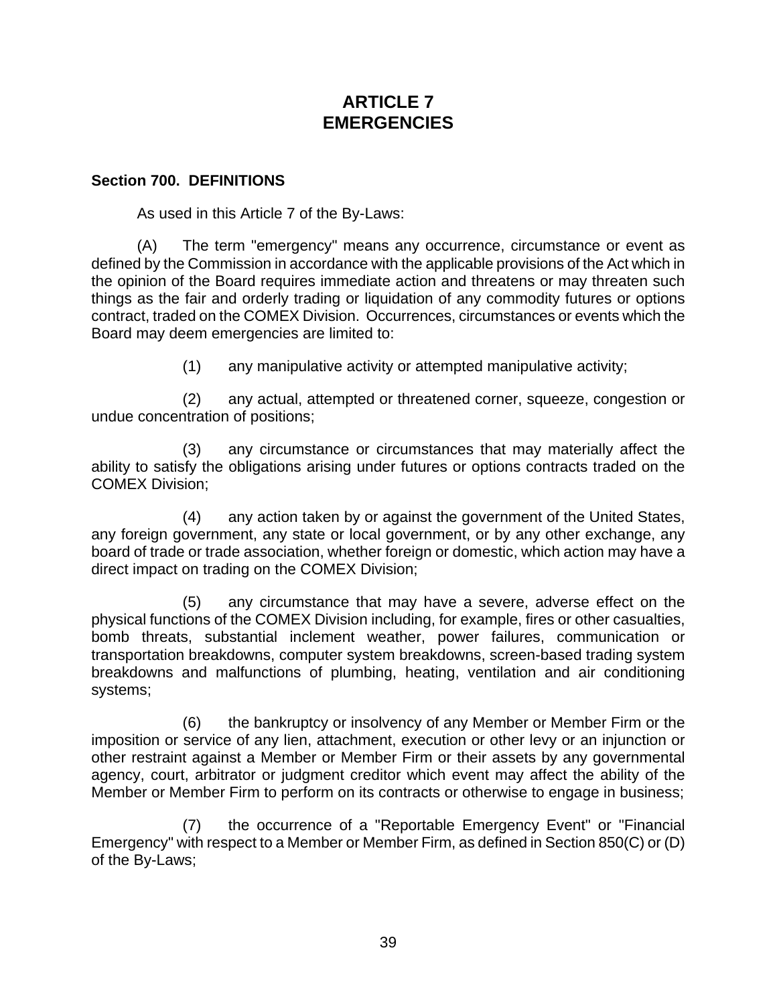# **ARTICLE 7 EMERGENCIES**

#### <span id="page-43-0"></span>**Section 700. DEFINITIONS**

As used in this Article 7 of the By-Laws:

(A) The term "emergency" means any occurrence, circumstance or event as defined by the Commission in accordance with the applicable provisions of the Act which in the opinion of the Board requires immediate action and threatens or may threaten such things as the fair and orderly trading or liquidation of any commodity futures or options contract, traded on the COMEX Division. Occurrences, circumstances or events which the Board may deem emergencies are limited to:

(1) any manipulative activity or attempted manipulative activity;

(2) any actual, attempted or threatened corner, squeeze, congestion or undue concentration of positions;

(3) any circumstance or circumstances that may materially affect the ability to satisfy the obligations arising under futures or options contracts traded on the COMEX Division;

(4) any action taken by or against the government of the United States, any foreign government, any state or local government, or by any other exchange, any board of trade or trade association, whether foreign or domestic, which action may have a direct impact on trading on the COMEX Division;

(5) any circumstance that may have a severe, adverse effect on the physical functions of the COMEX Division including, for example, fires or other casualties, bomb threats, substantial inclement weather, power failures, communication or transportation breakdowns, computer system breakdowns, screen-based trading system breakdowns and malfunctions of plumbing, heating, ventilation and air conditioning systems;

(6) the bankruptcy or insolvency of any Member or Member Firm or the imposition or service of any lien, attachment, execution or other levy or an injunction or other restraint against a Member or Member Firm or their assets by any governmental agency, court, arbitrator or judgment creditor which event may affect the ability of the Member or Member Firm to perform on its contracts or otherwise to engage in business;

the occurrence of a "Reportable Emergency Event" or "Financial Emergency" with respect to a Member or Member Firm, as defined in Section 850(C) or (D) of the By-Laws;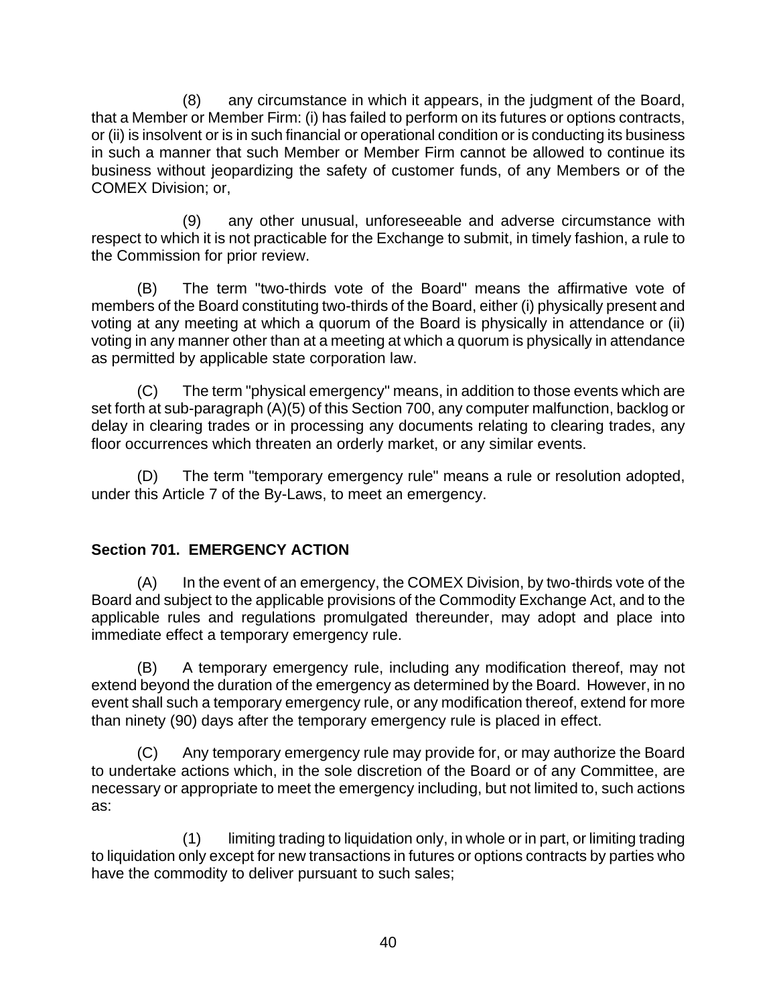<span id="page-44-0"></span>(8) any circumstance in which it appears, in the judgment of the Board, that a Member or Member Firm: (i) has failed to perform on its futures or options contracts, or (ii) is insolvent or is in such financial or operational condition or is conducting its business in such a manner that such Member or Member Firm cannot be allowed to continue its business without jeopardizing the safety of customer funds, of any Members or of the COMEX Division; or,

(9) any other unusual, unforeseeable and adverse circumstance with respect to which it is not practicable for the Exchange to submit, in timely fashion, a rule to the Commission for prior review.

(B) The term "two-thirds vote of the Board" means the affirmative vote of members of the Board constituting two-thirds of the Board, either (i) physically present and voting at any meeting at which a quorum of the Board is physically in attendance or (ii) voting in any manner other than at a meeting at which a quorum is physically in attendance as permitted by applicable state corporation law.

(C) The term "physical emergency" means, in addition to those events which are set forth at sub-paragraph (A)(5) of this Section 700, any computer malfunction, backlog or delay in clearing trades or in processing any documents relating to clearing trades, any floor occurrences which threaten an orderly market, or any similar events.

(D) The term "temporary emergency rule" means a rule or resolution adopted, under this Article 7 of the By-Laws, to meet an emergency.

# **Section 701. EMERGENCY ACTION**

(A) In the event of an emergency, the COMEX Division, by two-thirds vote of the Board and subject to the applicable provisions of the Commodity Exchange Act, and to the applicable rules and regulations promulgated thereunder, may adopt and place into immediate effect a temporary emergency rule.

(B) A temporary emergency rule, including any modification thereof, may not extend beyond the duration of the emergency as determined by the Board. However, in no event shall such a temporary emergency rule, or any modification thereof, extend for more than ninety (90) days after the temporary emergency rule is placed in effect.

(C) Any temporary emergency rule may provide for, or may authorize the Board to undertake actions which, in the sole discretion of the Board or of any Committee, are necessary or appropriate to meet the emergency including, but not limited to, such actions as:

(1) limiting trading to liquidation only, in whole or in part, or limiting trading to liquidation only except for new transactions in futures or options contracts by parties who have the commodity to deliver pursuant to such sales;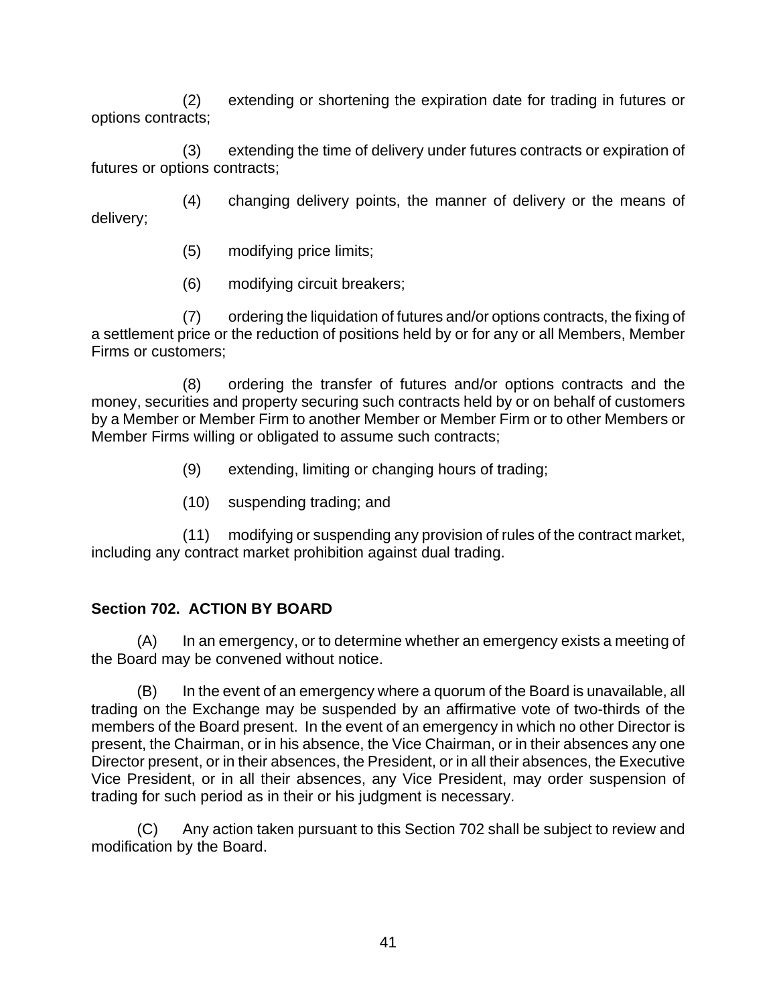<span id="page-45-0"></span>(2) extending or shortening the expiration date for trading in futures or options contracts;

(3) extending the time of delivery under futures contracts or expiration of futures or options contracts;

(4) changing delivery points, the manner of delivery or the means of delivery;

- (5) modifying price limits;
- (6) modifying circuit breakers;

(7) ordering the liquidation of futures and/or options contracts, the fixing of a settlement price or the reduction of positions held by or for any or all Members, Member Firms or customers;

(8) ordering the transfer of futures and/or options contracts and the money, securities and property securing such contracts held by or on behalf of customers by a Member or Member Firm to another Member or Member Firm or to other Members or Member Firms willing or obligated to assume such contracts;

- (9) extending, limiting or changing hours of trading;
- (10) suspending trading; and

(11) modifying or suspending any provision of rules of the contract market, including any contract market prohibition against dual trading.

# **Section 702. ACTION BY BOARD**

(A) In an emergency, or to determine whether an emergency exists a meeting of the Board may be convened without notice.

(B) In the event of an emergency where a quorum of the Board is unavailable, all trading on the Exchange may be suspended by an affirmative vote of two-thirds of the members of the Board present. In the event of an emergency in which no other Director is present, the Chairman, or in his absence, the Vice Chairman, or in their absences any one Director present, or in their absences, the President, or in all their absences, the Executive Vice President, or in all their absences, any Vice President, may order suspension of trading for such period as in their or his judgment is necessary.

(C) Any action taken pursuant to this Section 702 shall be subject to review and modification by the Board.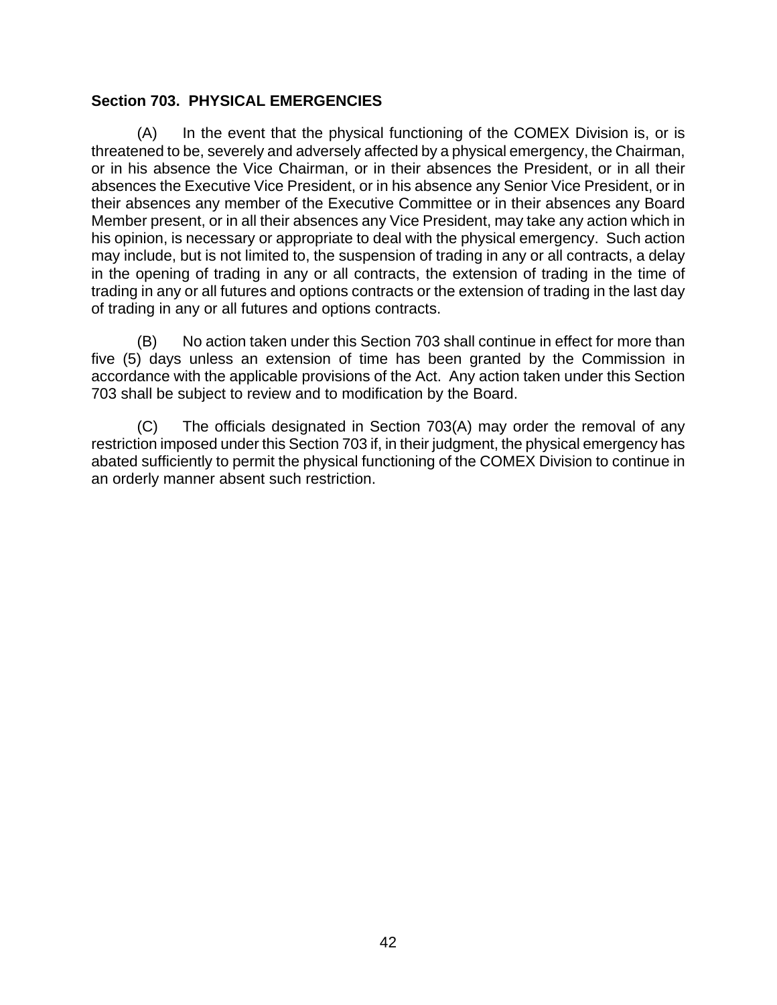### <span id="page-46-0"></span>**Section 703. PHYSICAL EMERGENCIES**

(A) In the event that the physical functioning of the COMEX Division is, or is threatened to be, severely and adversely affected by a physical emergency, the Chairman, or in his absence the Vice Chairman, or in their absences the President, or in all their absences the Executive Vice President, or in his absence any Senior Vice President, or in their absences any member of the Executive Committee or in their absences any Board Member present, or in all their absences any Vice President, may take any action which in his opinion, is necessary or appropriate to deal with the physical emergency. Such action may include, but is not limited to, the suspension of trading in any or all contracts, a delay in the opening of trading in any or all contracts, the extension of trading in the time of trading in any or all futures and options contracts or the extension of trading in the last day of trading in any or all futures and options contracts.

(B) No action taken under this Section 703 shall continue in effect for more than five (5) days unless an extension of time has been granted by the Commission in accordance with the applicable provisions of the Act. Any action taken under this Section 703 shall be subject to review and to modification by the Board.

(C) The officials designated in Section 703(A) may order the removal of any restriction imposed under this Section 703 if, in their judgment, the physical emergency has abated sufficiently to permit the physical functioning of the COMEX Division to continue in an orderly manner absent such restriction.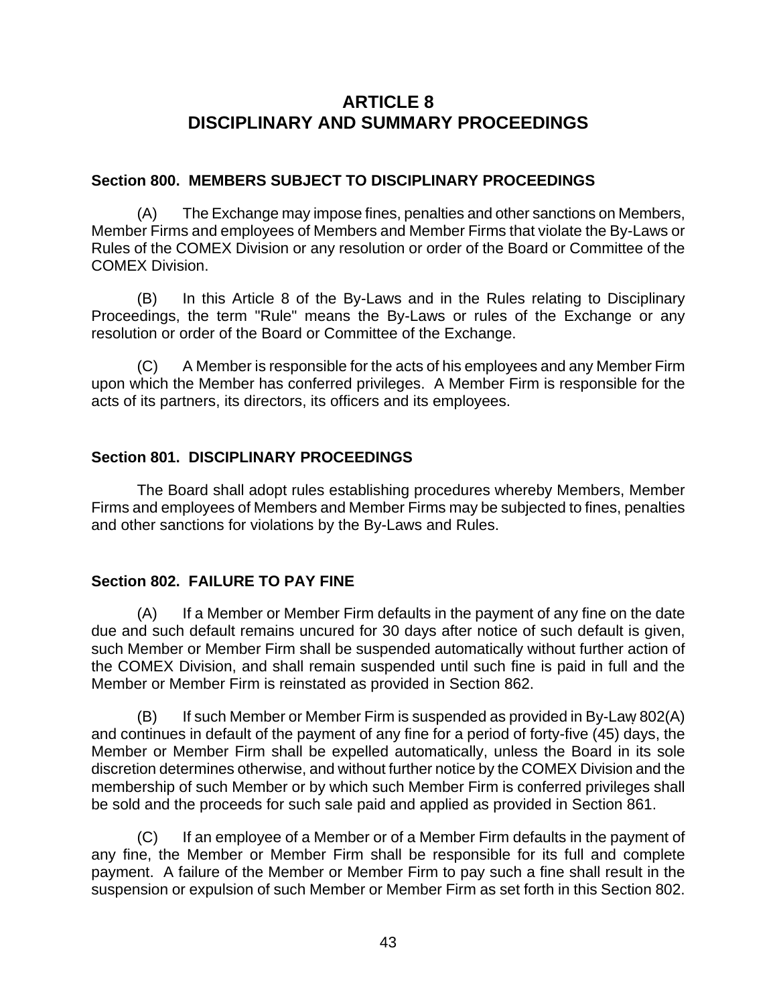# **ARTICLE 8 DISCIPLINARY AND SUMMARY PROCEEDINGS**

### <span id="page-47-0"></span>**Section 800. MEMBERS SUBJECT TO DISCIPLINARY PROCEEDINGS**

(A) The Exchange may impose fines, penalties and other sanctions on Members, Member Firms and employees of Members and Member Firms that violate the By-Laws or Rules of the COMEX Division or any resolution or order of the Board or Committee of the COMEX Division.

(B) In this Article 8 of the By-Laws and in the Rules relating to Disciplinary Proceedings, the term "Rule" means the By-Laws or rules of the Exchange or any resolution or order of the Board or Committee of the Exchange.

(C) A Member is responsible for the acts of his employees and any Member Firm upon which the Member has conferred privileges. A Member Firm is responsible for the acts of its partners, its directors, its officers and its employees.

# **Section 801. DISCIPLINARY PROCEEDINGS**

The Board shall adopt rules establishing procedures whereby Members, Member Firms and employees of Members and Member Firms may be subjected to fines, penalties and other sanctions for violations by the By-Laws and Rules.

# **Section 802. FAILURE TO PAY FINE**

(A) If a Member or Member Firm defaults in the payment of any fine on the date due and such default remains uncured for 30 days after notice of such default is given, such Member or Member Firm shall be suspended automatically without further action of the COMEX Division, and shall remain suspended until such fine is paid in full and the Member or Member Firm is reinstated as provided in Section 862.

(B) If such Member or Member Firm is suspended as provided in By-Law 802(A) and continues in default of the payment of any fine for a period of forty-five (45) days, the Member or Member Firm shall be expelled automatically, unless the Board in its sole discretion determines otherwise, and without further notice by the COMEX Division and the membership of such Member or by which such Member Firm is conferred privileges shall be sold and the proceeds for such sale paid and applied as provided in Section 861.

(C) If an employee of a Member or of a Member Firm defaults in the payment of any fine, the Member or Member Firm shall be responsible for its full and complete payment. A failure of the Member or Member Firm to pay such a fine shall result in the suspension or expulsion of such Member or Member Firm as set forth in this Section 802.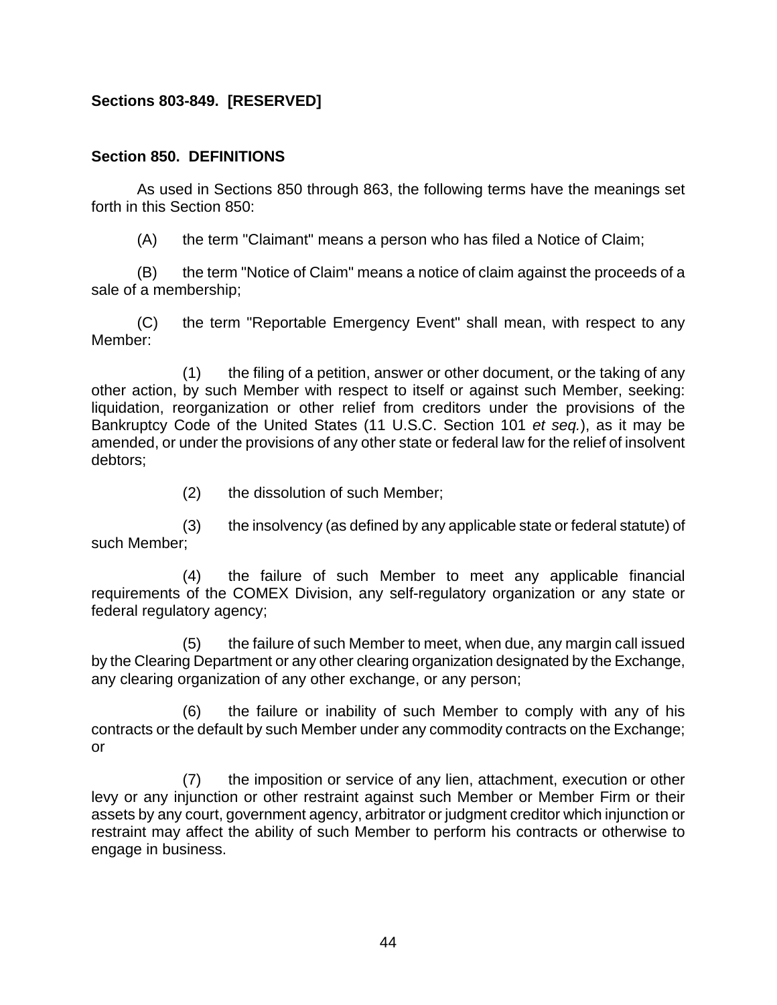# <span id="page-48-0"></span>**Sections 803-849. [RESERVED]**

#### **Section 850. DEFINITIONS**

As used in Sections 850 through 863, the following terms have the meanings set forth in this Section 850:

(A) the term "Claimant" means a person who has filed a Notice of Claim;

(B) the term "Notice of Claim" means a notice of claim against the proceeds of a sale of a membership;

(C) the term "Reportable Emergency Event" shall mean, with respect to any Member:

(1) the filing of a petition, answer or other document, or the taking of any other action, by such Member with respect to itself or against such Member, seeking: liquidation, reorganization or other relief from creditors under the provisions of the Bankruptcy Code of the United States (11 U.S.C. Section 101 *et seq.*), as it may be amended, or under the provisions of any other state or federal law for the relief of insolvent debtors;

(2) the dissolution of such Member;

(3) the insolvency (as defined by any applicable state or federal statute) of such Member;

(4) the failure of such Member to meet any applicable financial requirements of the COMEX Division, any self-regulatory organization or any state or federal regulatory agency;

(5) the failure of such Member to meet, when due, any margin call issued by the Clearing Department or any other clearing organization designated by the Exchange, any clearing organization of any other exchange, or any person;

(6) the failure or inability of such Member to comply with any of his contracts or the default by such Member under any commodity contracts on the Exchange; or

(7) the imposition or service of any lien, attachment, execution or other levy or any injunction or other restraint against such Member or Member Firm or their assets by any court, government agency, arbitrator or judgment creditor which injunction or restraint may affect the ability of such Member to perform his contracts or otherwise to engage in business.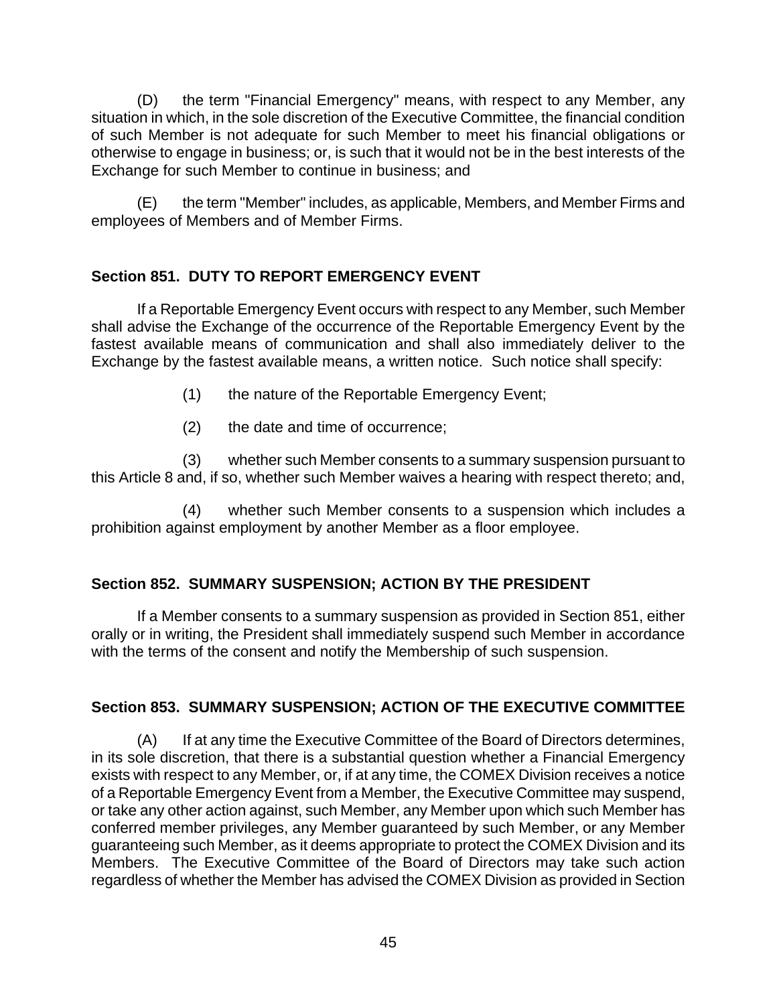<span id="page-49-0"></span>(D) the term "Financial Emergency" means, with respect to any Member, any situation in which, in the sole discretion of the Executive Committee, the financial condition of such Member is not adequate for such Member to meet his financial obligations or otherwise to engage in business; or, is such that it would not be in the best interests of the Exchange for such Member to continue in business; and

(E) the term "Member" includes, as applicable, Members, and Member Firms and employees of Members and of Member Firms.

# **Section 851. DUTY TO REPORT EMERGENCY EVENT**

If a Reportable Emergency Event occurs with respect to any Member, such Member shall advise the Exchange of the occurrence of the Reportable Emergency Event by the fastest available means of communication and shall also immediately deliver to the Exchange by the fastest available means, a written notice. Such notice shall specify:

- (1) the nature of the Reportable Emergency Event;
- (2) the date and time of occurrence;

(3) whether such Member consents to a summary suspension pursuant to this Article 8 and, if so, whether such Member waives a hearing with respect thereto; and,

(4) whether such Member consents to a suspension which includes a prohibition against employment by another Member as a floor employee.

# **Section 852. SUMMARY SUSPENSION; ACTION BY THE PRESIDENT**

If a Member consents to a summary suspension as provided in Section 851, either orally or in writing, the President shall immediately suspend such Member in accordance with the terms of the consent and notify the Membership of such suspension.

# **Section 853. SUMMARY SUSPENSION; ACTION OF THE EXECUTIVE COMMITTEE**

(A) If at any time the Executive Committee of the Board of Directors determines, in its sole discretion, that there is a substantial question whether a Financial Emergency exists with respect to any Member, or, if at any time, the COMEX Division receives a notice of a Reportable Emergency Event from a Member, the Executive Committee may suspend, or take any other action against, such Member, any Member upon which such Member has conferred member privileges, any Member guaranteed by such Member, or any Member guaranteeing such Member, as it deems appropriate to protect the COMEX Division and its Members. The Executive Committee of the Board of Directors may take such action regardless of whether the Member has advised the COMEX Division as provided in Section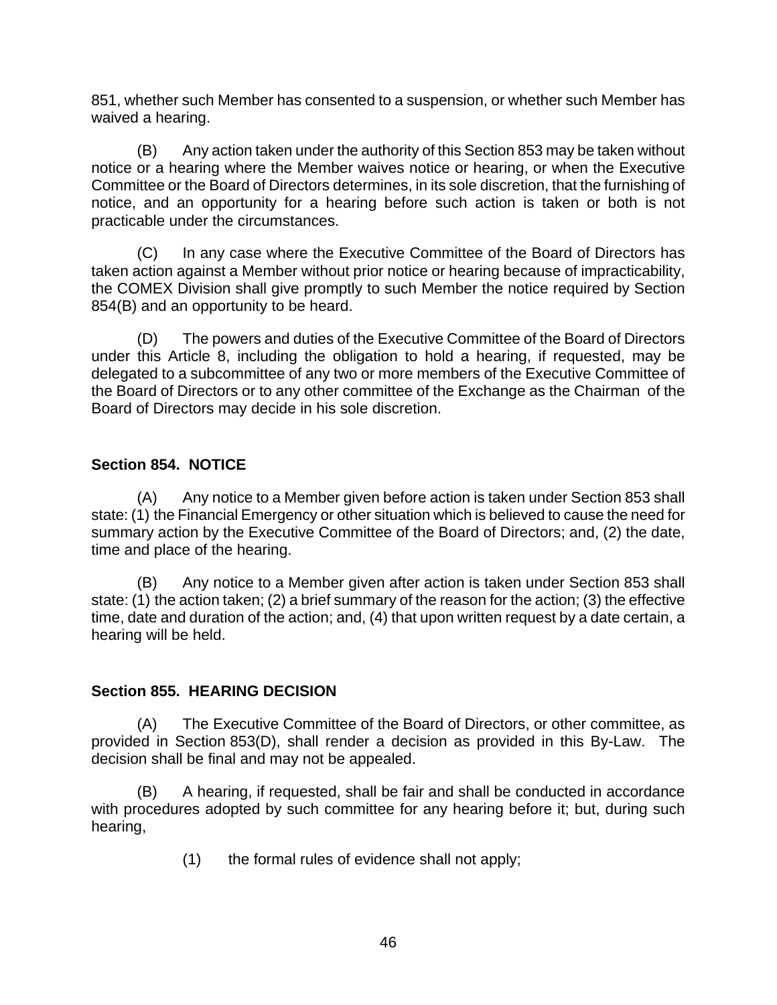<span id="page-50-0"></span>851, whether such Member has consented to a suspension, or whether such Member has waived a hearing.

(B) Any action taken under the authority of this Section 853 may be taken without notice or a hearing where the Member waives notice or hearing, or when the Executive Committee or the Board of Directors determines, in its sole discretion, that the furnishing of notice, and an opportunity for a hearing before such action is taken or both is not practicable under the circumstances.

(C) In any case where the Executive Committee of the Board of Directors has taken action against a Member without prior notice or hearing because of impracticability, the COMEX Division shall give promptly to such Member the notice required by Section 854(B) and an opportunity to be heard.

(D) The powers and duties of the Executive Committee of the Board of Directors under this Article 8, including the obligation to hold a hearing, if requested, may be delegated to a subcommittee of any two or more members of the Executive Committee of the Board of Directors or to any other committee of the Exchange as the Chairman of the Board of Directors may decide in his sole discretion.

### **Section 854. NOTICE**

(A) Any notice to a Member given before action is taken under Section 853 shall state: (1) the Financial Emergency or other situation which is believed to cause the need for summary action by the Executive Committee of the Board of Directors; and, (2) the date, time and place of the hearing.

(B) Any notice to a Member given after action is taken under Section 853 shall state: (1) the action taken; (2) a brief summary of the reason for the action; (3) the effective time, date and duration of the action; and, (4) that upon written request by a date certain, a hearing will be held.

### **Section 855. HEARING DECISION**

(A) The Executive Committee of the Board of Directors, or other committee, as provided in Section 853(D), shall render a decision as provided in this By-Law. The decision shall be final and may not be appealed.

(B) A hearing, if requested, shall be fair and shall be conducted in accordance with procedures adopted by such committee for any hearing before it; but, during such hearing,

(1) the formal rules of evidence shall not apply;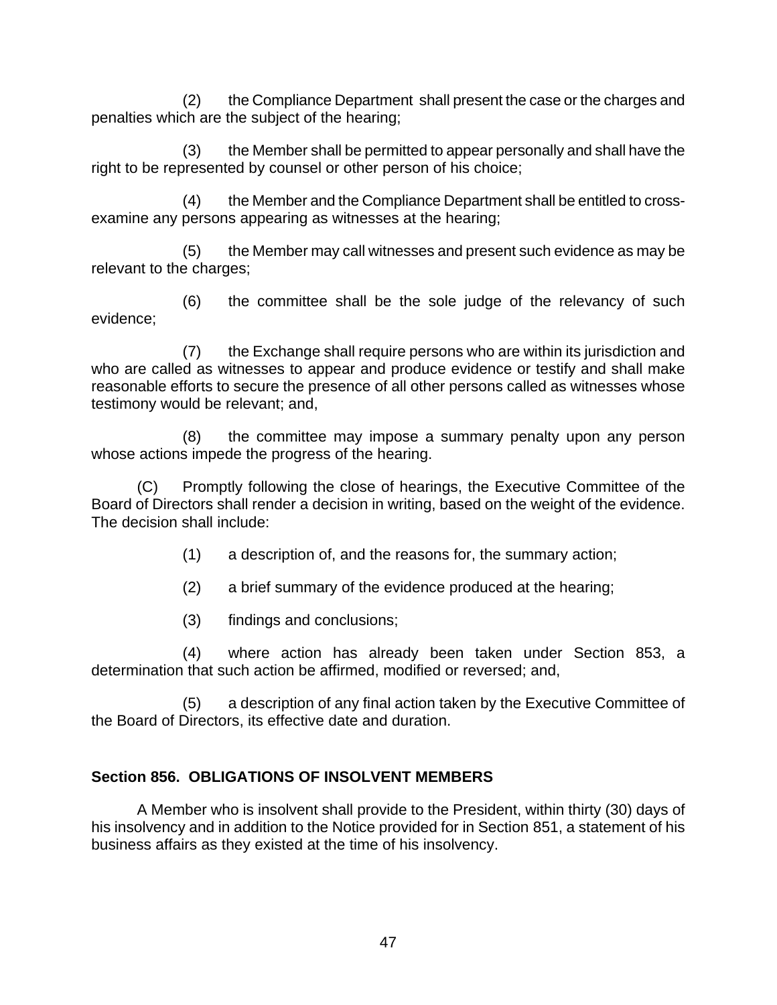<span id="page-51-0"></span>(2) the Compliance Department shall present the case or the charges and penalties which are the subject of the hearing;

(3) the Member shall be permitted to appear personally and shall have the right to be represented by counsel or other person of his choice;

(4) the Member and the Compliance Department shall be entitled to crossexamine any persons appearing as witnesses at the hearing;

(5) the Member may call witnesses and present such evidence as may be relevant to the charges;

(6) the committee shall be the sole judge of the relevancy of such evidence;

(7) the Exchange shall require persons who are within its jurisdiction and who are called as witnesses to appear and produce evidence or testify and shall make reasonable efforts to secure the presence of all other persons called as witnesses whose testimony would be relevant; and,

(8) the committee may impose a summary penalty upon any person whose actions impede the progress of the hearing.

(C) Promptly following the close of hearings, the Executive Committee of the Board of Directors shall render a decision in writing, based on the weight of the evidence. The decision shall include:

- (1) a description of, and the reasons for, the summary action;
- (2) a brief summary of the evidence produced at the hearing;
- (3) findings and conclusions;

(4) where action has already been taken under Section 853, a determination that such action be affirmed, modified or reversed; and,

(5) a description of any final action taken by the Executive Committee of the Board of Directors, its effective date and duration.

# **Section 856. OBLIGATIONS OF INSOLVENT MEMBERS**

A Member who is insolvent shall provide to the President, within thirty (30) days of his insolvency and in addition to the Notice provided for in Section 851, a statement of his business affairs as they existed at the time of his insolvency.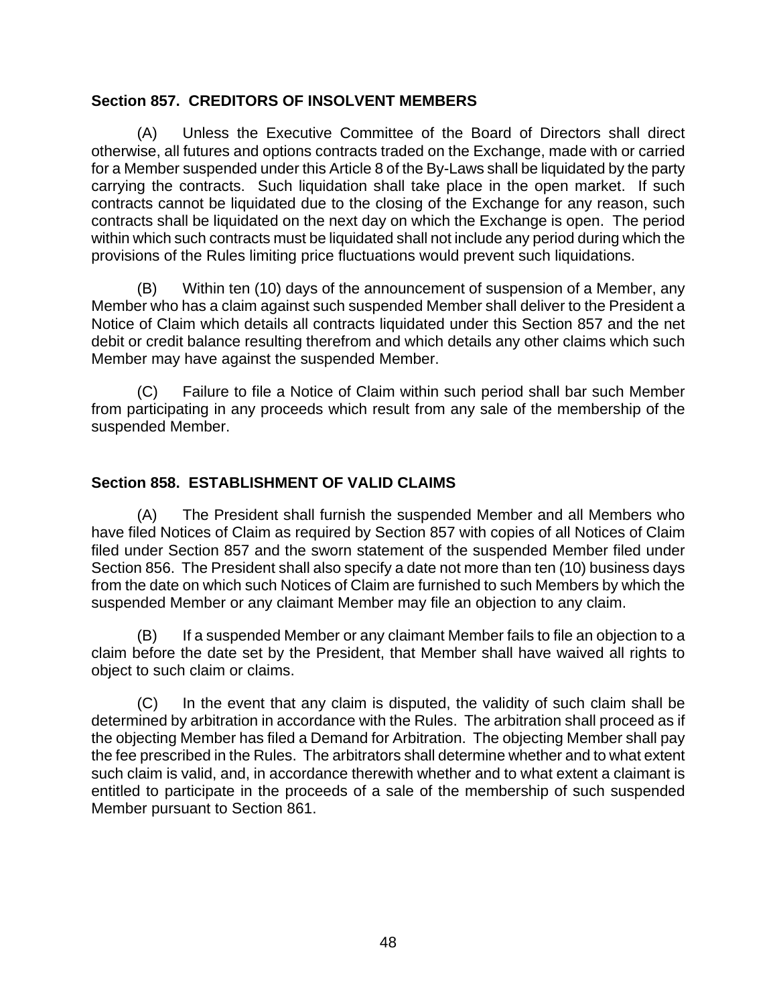### <span id="page-52-0"></span>**Section 857. CREDITORS OF INSOLVENT MEMBERS**

(A) Unless the Executive Committee of the Board of Directors shall direct otherwise, all futures and options contracts traded on the Exchange, made with or carried for a Member suspended under this Article 8 of the By-Laws shall be liquidated by the party carrying the contracts. Such liquidation shall take place in the open market. If such contracts cannot be liquidated due to the closing of the Exchange for any reason, such contracts shall be liquidated on the next day on which the Exchange is open. The period within which such contracts must be liquidated shall not include any period during which the provisions of the Rules limiting price fluctuations would prevent such liquidations.

(B) Within ten (10) days of the announcement of suspension of a Member, any Member who has a claim against such suspended Member shall deliver to the President a Notice of Claim which details all contracts liquidated under this Section 857 and the net debit or credit balance resulting therefrom and which details any other claims which such Member may have against the suspended Member.

(C) Failure to file a Notice of Claim within such period shall bar such Member from participating in any proceeds which result from any sale of the membership of the suspended Member.

# **Section 858. ESTABLISHMENT OF VALID CLAIMS**

(A) The President shall furnish the suspended Member and all Members who have filed Notices of Claim as required by Section 857 with copies of all Notices of Claim filed under Section 857 and the sworn statement of the suspended Member filed under Section 856. The President shall also specify a date not more than ten (10) business days from the date on which such Notices of Claim are furnished to such Members by which the suspended Member or any claimant Member may file an objection to any claim.

(B) If a suspended Member or any claimant Member fails to file an objection to a claim before the date set by the President, that Member shall have waived all rights to object to such claim or claims.

(C) In the event that any claim is disputed, the validity of such claim shall be determined by arbitration in accordance with the Rules. The arbitration shall proceed as if the objecting Member has filed a Demand for Arbitration. The objecting Member shall pay the fee prescribed in the Rules. The arbitrators shall determine whether and to what extent such claim is valid, and, in accordance therewith whether and to what extent a claimant is entitled to participate in the proceeds of a sale of the membership of such suspended Member pursuant to Section 861.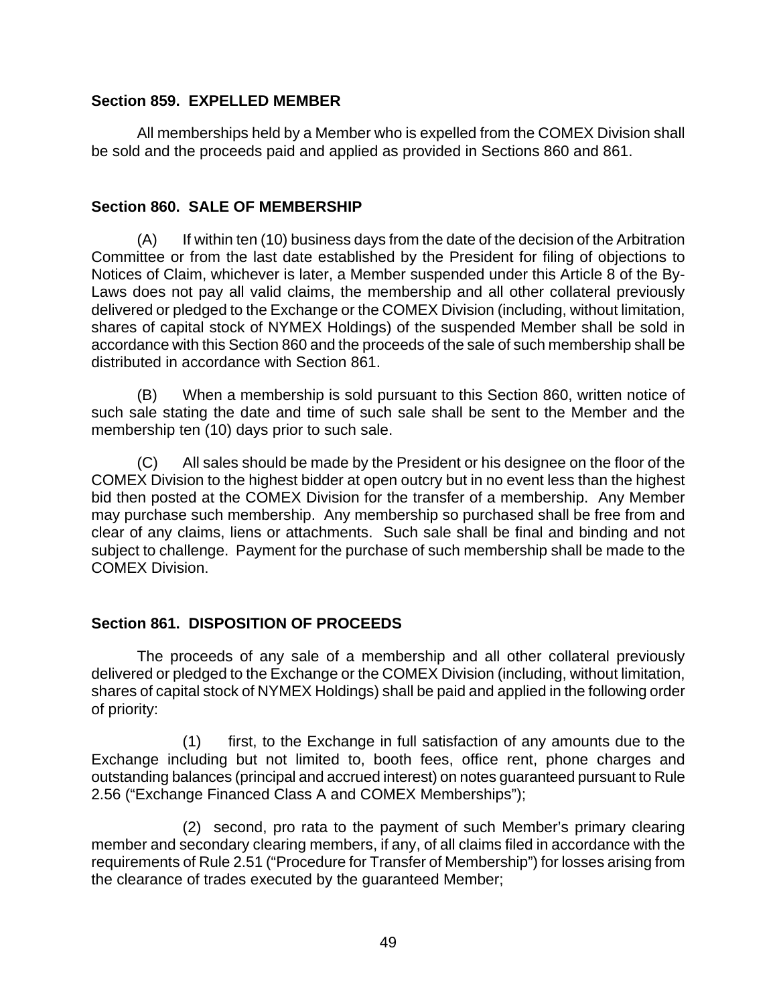### <span id="page-53-0"></span>**Section 859. EXPELLED MEMBER**

All memberships held by a Member who is expelled from the COMEX Division shall be sold and the proceeds paid and applied as provided in Sections 860 and 861.

### **Section 860. SALE OF MEMBERSHIP**

(A) If within ten (10) business days from the date of the decision of the Arbitration Committee or from the last date established by the President for filing of objections to Notices of Claim, whichever is later, a Member suspended under this Article 8 of the By-Laws does not pay all valid claims, the membership and all other collateral previously delivered or pledged to the Exchange or the COMEX Division (including, without limitation, shares of capital stock of NYMEX Holdings) of the suspended Member shall be sold in accordance with this Section 860 and the proceeds of the sale of such membership shall be distributed in accordance with Section 861.

(B) When a membership is sold pursuant to this Section 860, written notice of such sale stating the date and time of such sale shall be sent to the Member and the membership ten (10) days prior to such sale.

(C) All sales should be made by the President or his designee on the floor of the COMEX Division to the highest bidder at open outcry but in no event less than the highest bid then posted at the COMEX Division for the transfer of a membership. Any Member may purchase such membership. Any membership so purchased shall be free from and clear of any claims, liens or attachments. Such sale shall be final and binding and not subject to challenge. Payment for the purchase of such membership shall be made to the COMEX Division.

# **Section 861. DISPOSITION OF PROCEEDS**

The proceeds of any sale of a membership and all other collateral previously delivered or pledged to the Exchange or the COMEX Division (including, without limitation, shares of capital stock of NYMEX Holdings) shall be paid and applied in the following order of priority:

(1) first, to the Exchange in full satisfaction of any amounts due to the Exchange including but not limited to, booth fees, office rent, phone charges and outstanding balances (principal and accrued interest) on notes guaranteed pursuant to Rule 2.56 ("Exchange Financed Class A and COMEX Memberships");

(2) second, pro rata to the payment of such Member's primary clearing member and secondary clearing members, if any, of all claims filed in accordance with the requirements of Rule 2.51 ("Procedure for Transfer of Membership") for losses arising from the clearance of trades executed by the guaranteed Member;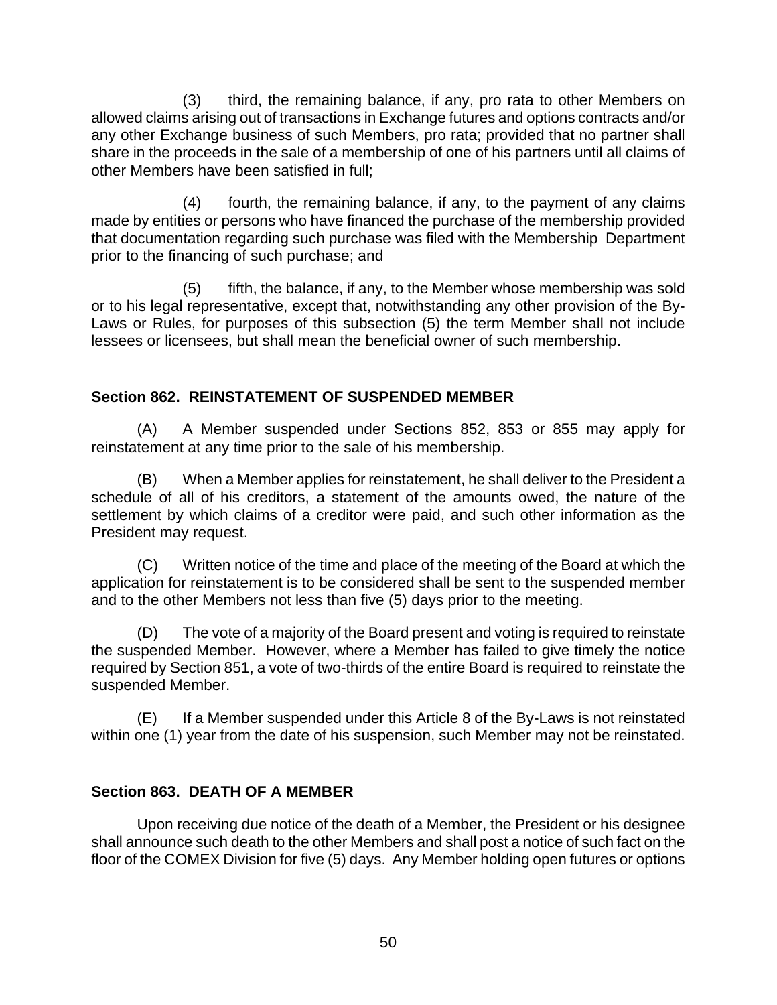<span id="page-54-0"></span>(3) third, the remaining balance, if any, pro rata to other Members on allowed claims arising out of transactions in Exchange futures and options contracts and/or any other Exchange business of such Members, pro rata; provided that no partner shall share in the proceeds in the sale of a membership of one of his partners until all claims of other Members have been satisfied in full;

(4) fourth, the remaining balance, if any, to the payment of any claims made by entities or persons who have financed the purchase of the membership provided that documentation regarding such purchase was filed with the Membership Department prior to the financing of such purchase; and

(5) fifth, the balance, if any, to the Member whose membership was sold or to his legal representative, except that, notwithstanding any other provision of the By-Laws or Rules, for purposes of this subsection (5) the term Member shall not include lessees or licensees, but shall mean the beneficial owner of such membership.

# **Section 862. REINSTATEMENT OF SUSPENDED MEMBER**

(A) A Member suspended under Sections 852, 853 or 855 may apply for reinstatement at any time prior to the sale of his membership.

(B) When a Member applies for reinstatement, he shall deliver to the President a schedule of all of his creditors, a statement of the amounts owed, the nature of the settlement by which claims of a creditor were paid, and such other information as the President may request.

(C) Written notice of the time and place of the meeting of the Board at which the application for reinstatement is to be considered shall be sent to the suspended member and to the other Members not less than five (5) days prior to the meeting.

(D) The vote of a majority of the Board present and voting is required to reinstate the suspended Member. However, where a Member has failed to give timely the notice required by Section 851, a vote of two-thirds of the entire Board is required to reinstate the suspended Member.

(E) If a Member suspended under this Article 8 of the By-Laws is not reinstated within one (1) year from the date of his suspension, such Member may not be reinstated.

# **Section 863. DEATH OF A MEMBER**

Upon receiving due notice of the death of a Member, the President or his designee shall announce such death to the other Members and shall post a notice of such fact on the floor of the COMEX Division for five (5) days. Any Member holding open futures or options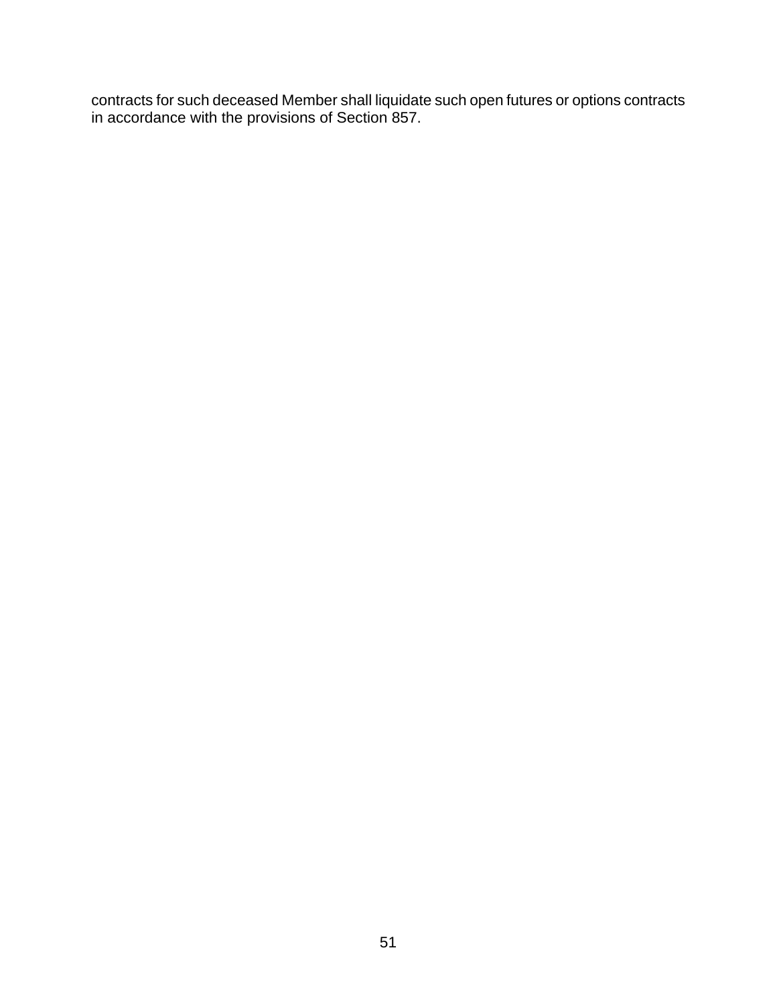contracts for such deceased Member shall liquidate such open futures or options contracts in accordance with the provisions of Section 857.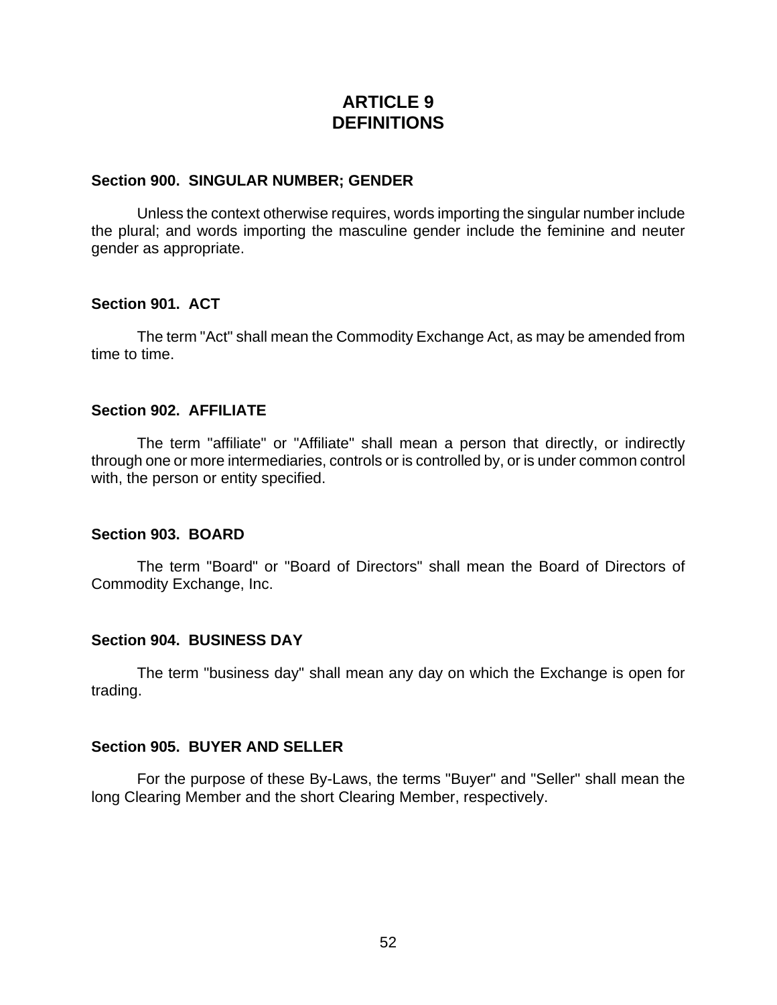# **ARTICLE 9 DEFINITIONS**

#### <span id="page-56-0"></span>**Section 900. SINGULAR NUMBER; GENDER**

Unless the context otherwise requires, words importing the singular number include the plural; and words importing the masculine gender include the feminine and neuter gender as appropriate.

#### **Section 901. ACT**

The term "Act" shall mean the Commodity Exchange Act, as may be amended from time to time.

#### **Section 902. AFFILIATE**

The term "affiliate" or "Affiliate" shall mean a person that directly, or indirectly through one or more intermediaries, controls or is controlled by, or is under common control with, the person or entity specified.

#### **Section 903. BOARD**

The term "Board" or "Board of Directors" shall mean the Board of Directors of Commodity Exchange, Inc.

#### **Section 904. BUSINESS DAY**

The term "business day" shall mean any day on which the Exchange is open for trading.

#### **Section 905. BUYER AND SELLER**

For the purpose of these By-Laws, the terms "Buyer" and "Seller" shall mean the long Clearing Member and the short Clearing Member, respectively.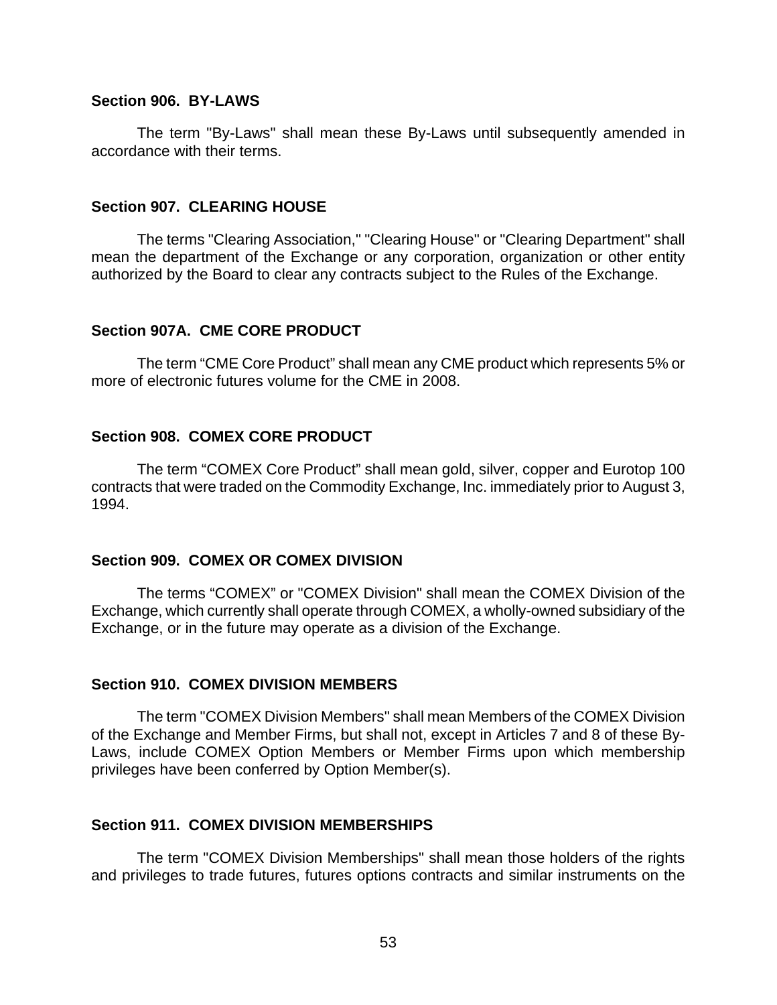#### <span id="page-57-0"></span>**Section 906. BY-LAWS**

The term "By-Laws" shall mean these By-Laws until subsequently amended in accordance with their terms.

#### **Section 907. CLEARING HOUSE**

The terms "Clearing Association," "Clearing House" or "Clearing Department" shall mean the department of the Exchange or any corporation, organization or other entity authorized by the Board to clear any contracts subject to the Rules of the Exchange.

#### **Section 907A. CME CORE PRODUCT**

The term "CME Core Product" shall mean any CME product which represents 5% or more of electronic futures volume for the CME in 2008.

#### **Section 908. COMEX CORE PRODUCT**

The term "COMEX Core Product" shall mean gold, silver, copper and Eurotop 100 contracts that were traded on the Commodity Exchange, Inc. immediately prior to August 3, 1994.

#### **Section 909. COMEX OR COMEX DIVISION**

The terms "COMEX" or "COMEX Division" shall mean the COMEX Division of the Exchange, which currently shall operate through COMEX, a wholly-owned subsidiary of the Exchange, or in the future may operate as a division of the Exchange.

#### **Section 910. COMEX DIVISION MEMBERS**

The term "COMEX Division Members" shall mean Members of the COMEX Division of the Exchange and Member Firms, but shall not, except in Articles 7 and 8 of these By-Laws, include COMEX Option Members or Member Firms upon which membership privileges have been conferred by Option Member(s).

#### **Section 911. COMEX DIVISION MEMBERSHIPS**

The term "COMEX Division Memberships" shall mean those holders of the rights and privileges to trade futures, futures options contracts and similar instruments on the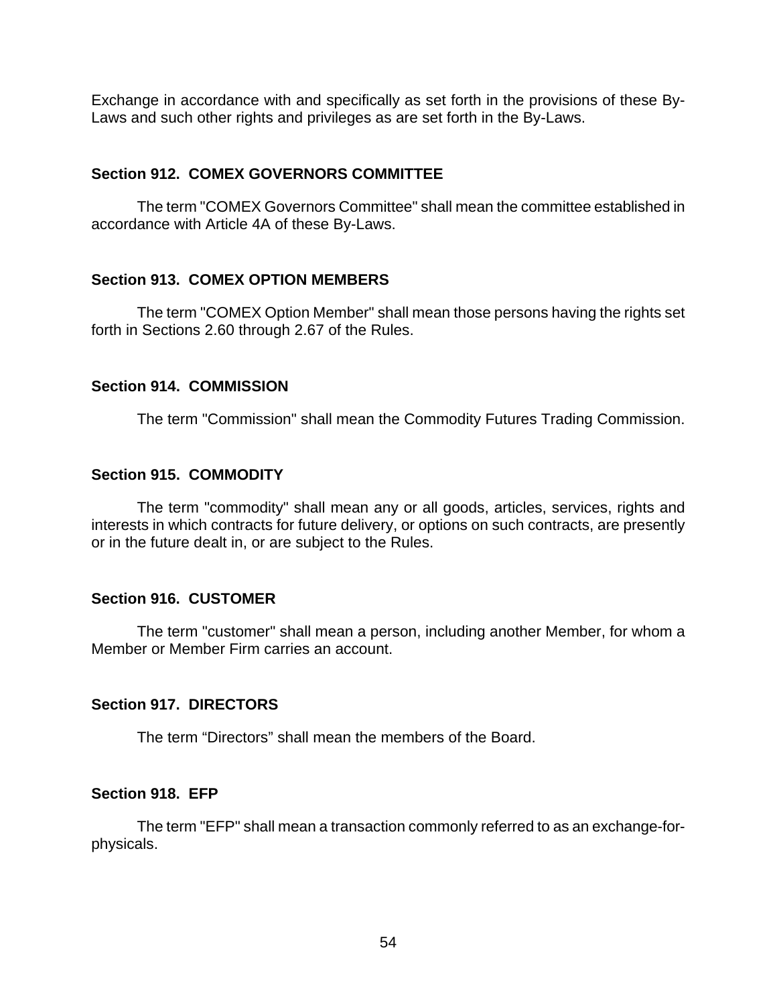<span id="page-58-0"></span>Exchange in accordance with and specifically as set forth in the provisions of these By-Laws and such other rights and privileges as are set forth in the By-Laws.

### **Section 912. COMEX GOVERNORS COMMITTEE**

The term "COMEX Governors Committee" shall mean the committee established in accordance with Article 4A of these By-Laws.

### **Section 913. COMEX OPTION MEMBERS**

The term "COMEX Option Member" shall mean those persons having the rights set forth in Sections 2.60 through 2.67 of the Rules.

### **Section 914. COMMISSION**

The term "Commission" shall mean the Commodity Futures Trading Commission.

### **Section 915. COMMODITY**

The term "commodity" shall mean any or all goods, articles, services, rights and interests in which contracts for future delivery, or options on such contracts, are presently or in the future dealt in, or are subject to the Rules.

### **Section 916. CUSTOMER**

The term "customer" shall mean a person, including another Member, for whom a Member or Member Firm carries an account.

# **Section 917. DIRECTORS**

The term "Directors" shall mean the members of the Board.

### **Section 918. EFP**

The term "EFP" shall mean a transaction commonly referred to as an exchange-forphysicals.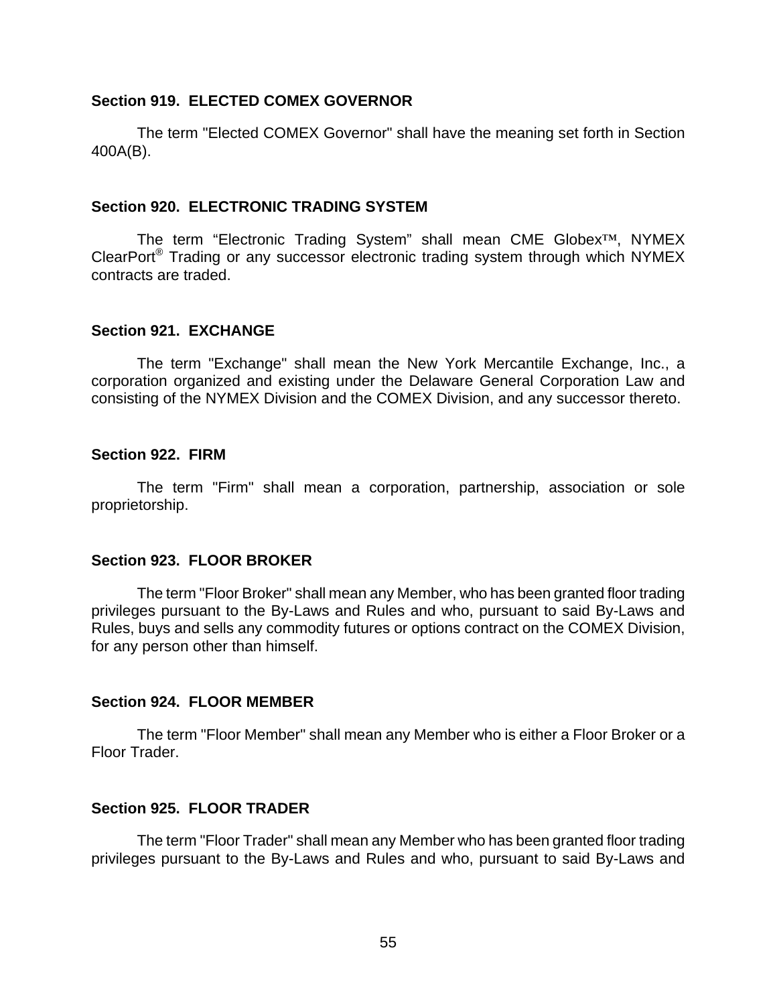#### <span id="page-59-0"></span>**Section 919. ELECTED COMEX GOVERNOR**

The term "Elected COMEX Governor" shall have the meaning set forth in Section 400A(B).

#### **Section 920. ELECTRONIC TRADING SYSTEM**

The term "Electronic Trading System" shall mean CME Globex™, NYMEX ClearPort® Trading or any successor electronic trading system through which NYMEX contracts are traded.

#### **Section 921. EXCHANGE**

The term "Exchange" shall mean the New York Mercantile Exchange, Inc., a corporation organized and existing under the Delaware General Corporation Law and consisting of the NYMEX Division and the COMEX Division, and any successor thereto.

#### **Section 922. FIRM**

The term "Firm" shall mean a corporation, partnership, association or sole proprietorship.

### **Section 923. FLOOR BROKER**

The term "Floor Broker" shall mean any Member, who has been granted floor trading privileges pursuant to the By-Laws and Rules and who, pursuant to said By-Laws and Rules, buys and sells any commodity futures or options contract on the COMEX Division, for any person other than himself.

### **Section 924. FLOOR MEMBER**

The term "Floor Member" shall mean any Member who is either a Floor Broker or a Floor Trader.

### **Section 925. FLOOR TRADER**

The term "Floor Trader" shall mean any Member who has been granted floor trading privileges pursuant to the By-Laws and Rules and who, pursuant to said By-Laws and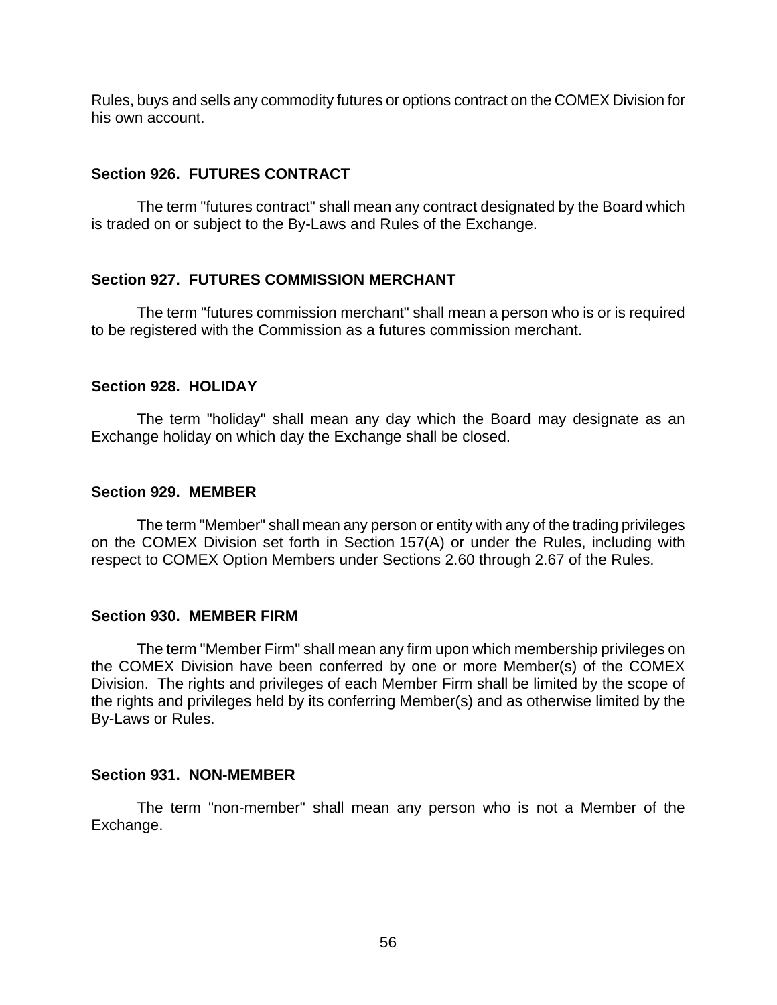<span id="page-60-0"></span>Rules, buys and sells any commodity futures or options contract on the COMEX Division for his own account.

### **Section 926. FUTURES CONTRACT**

The term "futures contract" shall mean any contract designated by the Board which is traded on or subject to the By-Laws and Rules of the Exchange.

### **Section 927. FUTURES COMMISSION MERCHANT**

The term "futures commission merchant" shall mean a person who is or is required to be registered with the Commission as a futures commission merchant.

### **Section 928. HOLIDAY**

The term "holiday" shall mean any day which the Board may designate as an Exchange holiday on which day the Exchange shall be closed.

### **Section 929. MEMBER**

The term "Member" shall mean any person or entity with any of the trading privileges on the COMEX Division set forth in Section 157(A) or under the Rules, including with respect to COMEX Option Members under Sections 2.60 through 2.67 of the Rules.

### **Section 930. MEMBER FIRM**

The term "Member Firm" shall mean any firm upon which membership privileges on the COMEX Division have been conferred by one or more Member(s) of the COMEX Division. The rights and privileges of each Member Firm shall be limited by the scope of the rights and privileges held by its conferring Member(s) and as otherwise limited by the By-Laws or Rules.

### **Section 931. NON-MEMBER**

The term "non-member" shall mean any person who is not a Member of the Exchange.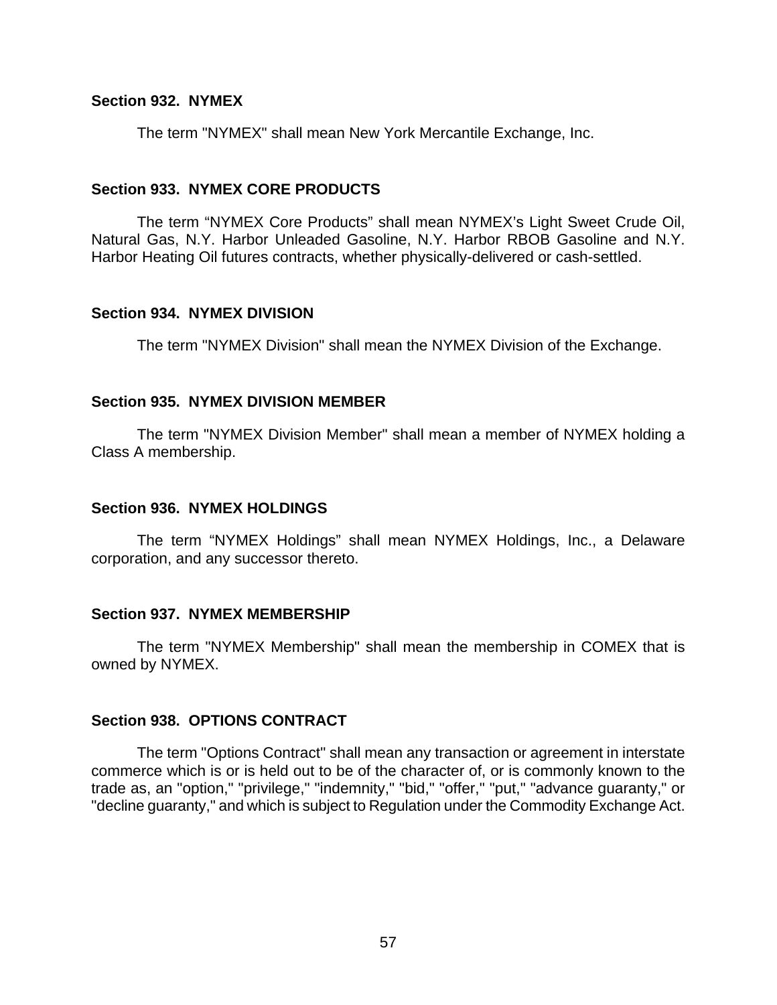#### <span id="page-61-0"></span>**Section 932. NYMEX**

The term "NYMEX" shall mean New York Mercantile Exchange, Inc.

#### **Section 933. NYMEX CORE PRODUCTS**

The term "NYMEX Core Products" shall mean NYMEX's Light Sweet Crude Oil, Natural Gas, N.Y. Harbor Unleaded Gasoline, N.Y. Harbor RBOB Gasoline and N.Y. Harbor Heating Oil futures contracts, whether physically-delivered or cash-settled.

#### **Section 934. NYMEX DIVISION**

The term "NYMEX Division" shall mean the NYMEX Division of the Exchange.

#### **Section 935. NYMEX DIVISION MEMBER**

The term "NYMEX Division Member" shall mean a member of NYMEX holding a Class A membership.

#### **Section 936. NYMEX HOLDINGS**

The term "NYMEX Holdings" shall mean NYMEX Holdings, Inc., a Delaware corporation, and any successor thereto.

#### **Section 937. NYMEX MEMBERSHIP**

The term "NYMEX Membership" shall mean the membership in COMEX that is owned by NYMEX.

#### **Section 938. OPTIONS CONTRACT**

The term "Options Contract" shall mean any transaction or agreement in interstate commerce which is or is held out to be of the character of, or is commonly known to the trade as, an "option," "privilege," "indemnity," "bid," "offer," "put," "advance guaranty," or "decline guaranty," and which is subject to Regulation under the Commodity Exchange Act.